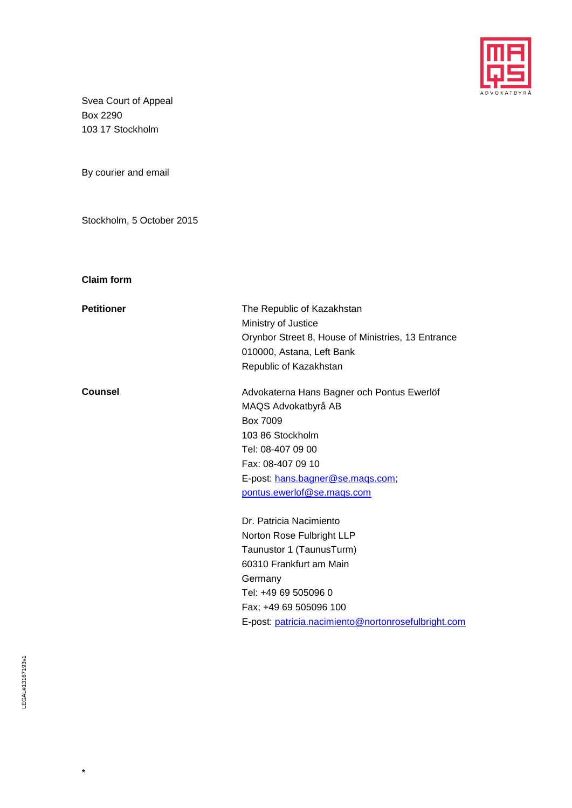

Svea Court of Appeal Box 2290 103 17 Stockholm

By courier and email

Stockholm, 5 October 2015

**Claim form**

| <b>Petitioner</b> | The Republic of Kazakhstan<br>Ministry of Justice<br>Orynbor Street 8, House of Ministries, 13 Entrance<br>010000, Astana, Left Bank<br>Republic of Kazakhstan                                                                  |
|-------------------|---------------------------------------------------------------------------------------------------------------------------------------------------------------------------------------------------------------------------------|
| <b>Counsel</b>    | Advokaterna Hans Bagner och Pontus Ewerlöf<br>MAQS Advokatbyrå AB<br>Box 7009<br>103 86 Stockholm<br>Tel: 08-407 09 00<br>Fax: 08-407 09 10<br>E-post: hans.bagner@se.mags.com;<br>pontus.ewerlof@se.maqs.com                   |
|                   | Dr. Patricia Nacimiento<br>Norton Rose Fulbright LLP<br>Taunustor 1 (TaunusTurm)<br>60310 Frankfurt am Main<br>Germany<br>Tel: +49 69 505096 0<br>Fax; +49 69 505096 100<br>E-post: patricia.nacimiento@nortonrosefulbright.com |

\*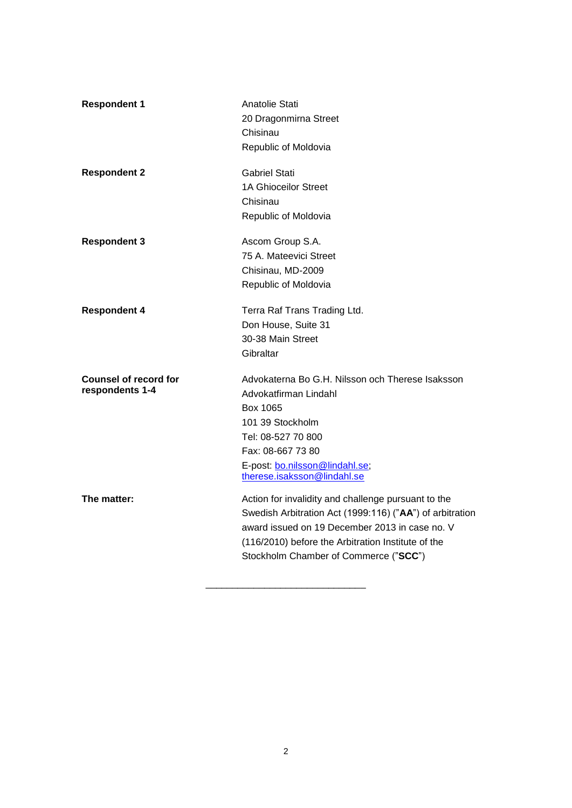| <b>Respondent 1</b>                             | Anatolie Stati<br>20 Dragonmirna Street<br>Chisinau<br>Republic of Moldovia                                                                                                                                                                                      |
|-------------------------------------------------|------------------------------------------------------------------------------------------------------------------------------------------------------------------------------------------------------------------------------------------------------------------|
| <b>Respondent 2</b>                             | <b>Gabriel Stati</b><br><b>1A Ghioceilor Street</b><br>Chisinau<br>Republic of Moldovia                                                                                                                                                                          |
| <b>Respondent 3</b>                             | Ascom Group S.A.<br>75 A. Mateevici Street<br>Chisinau, MD-2009<br>Republic of Moldovia                                                                                                                                                                          |
| <b>Respondent 4</b>                             | Terra Raf Trans Trading Ltd.<br>Don House, Suite 31<br>30-38 Main Street<br>Gibraltar                                                                                                                                                                            |
| <b>Counsel of record for</b><br>respondents 1-4 | Advokaterna Bo G.H. Nilsson och Therese Isaksson<br>Advokatfirman Lindahl<br>Box 1065<br>101 39 Stockholm<br>Tel: 08-527 70 800<br>Fax: 08-667 73 80<br>E-post: bo.nilsson@lindahl.se;<br>therese.isaksson@lindahl.se                                            |
| The matter:                                     | Action for invalidity and challenge pursuant to the<br>Swedish Arbitration Act (1999:116) ("AA") of arbitration<br>award issued on 19 December 2013 in case no. V<br>(116/2010) before the Arbitration Institute of the<br>Stockholm Chamber of Commerce ("SCC") |

\_\_\_\_\_\_\_\_\_\_\_\_\_\_\_\_\_\_\_\_\_\_\_\_\_\_\_\_\_\_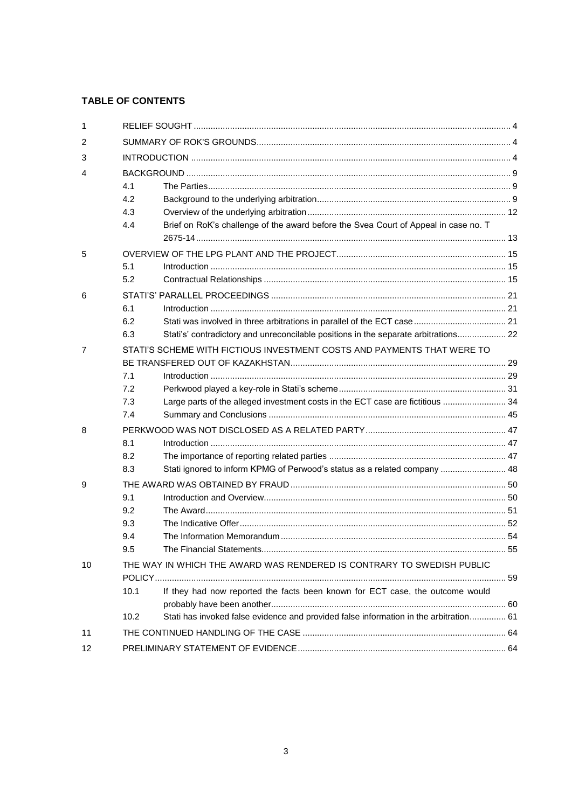# **TABLE OF CONTENTS**

| 1  |      |                                                                                       |  |
|----|------|---------------------------------------------------------------------------------------|--|
| 2  |      |                                                                                       |  |
| 3  |      |                                                                                       |  |
| 4  |      |                                                                                       |  |
|    | 4.1  |                                                                                       |  |
|    | 4.2  |                                                                                       |  |
|    | 4.3  |                                                                                       |  |
|    | 4.4  | Brief on RoK's challenge of the award before the Svea Court of Appeal in case no. T   |  |
|    |      |                                                                                       |  |
| 5  |      |                                                                                       |  |
|    | 5.1  |                                                                                       |  |
|    | 5.2  |                                                                                       |  |
| 6  |      |                                                                                       |  |
|    | 6.1  |                                                                                       |  |
|    | 6.2  |                                                                                       |  |
|    | 6.3  | Stati's' contradictory and unreconcilable positions in the separate arbitrations 22   |  |
| 7  |      | STATI'S SCHEME WITH FICTIOUS INVESTMENT COSTS AND PAYMENTS THAT WERE TO               |  |
|    |      |                                                                                       |  |
|    | 7.1  |                                                                                       |  |
|    | 7.2  |                                                                                       |  |
|    | 7.3  | Large parts of the alleged investment costs in the ECT case are fictitious  34        |  |
|    | 7.4  |                                                                                       |  |
| 8  |      |                                                                                       |  |
|    | 8.1  |                                                                                       |  |
|    | 8.2  |                                                                                       |  |
|    | 8.3  | Stati ignored to inform KPMG of Perwood's status as a related company  48             |  |
| 9  |      |                                                                                       |  |
|    | 9.1  |                                                                                       |  |
|    | 9.2  |                                                                                       |  |
|    | 9.3  |                                                                                       |  |
|    | 9.4  |                                                                                       |  |
|    | 9.5  |                                                                                       |  |
| 10 |      | THE WAY IN WHICH THE AWARD WAS RENDERED IS CONTRARY TO SWEDISH PUBLIC                 |  |
|    |      |                                                                                       |  |
|    | 10.1 | If they had now reported the facts been known for ECT case, the outcome would         |  |
|    |      |                                                                                       |  |
|    | 10.2 | Stati has invoked false evidence and provided false information in the arbitration 61 |  |
| 11 |      |                                                                                       |  |
| 12 |      |                                                                                       |  |
|    |      |                                                                                       |  |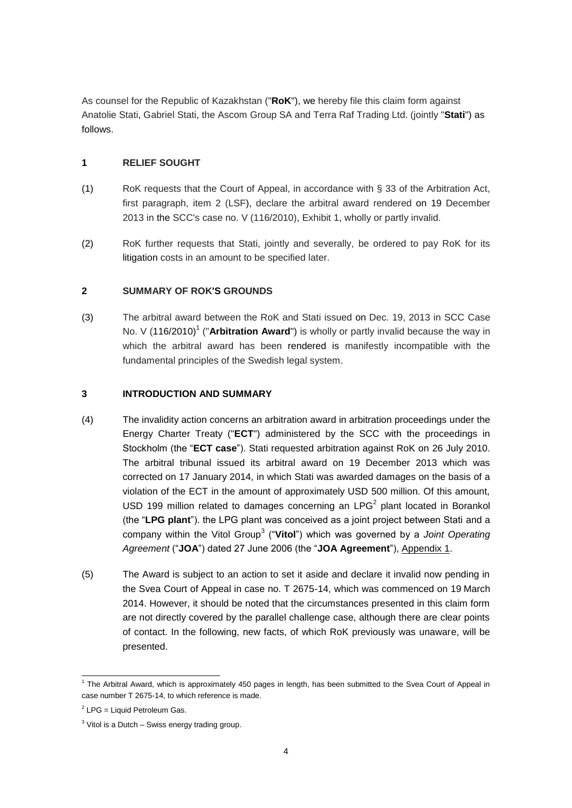As counsel for the Republic of Kazakhstan ("**RoK**"), we hereby file this claim form against Anatolie Stati, Gabriel Stati, the Ascom Group SA and Terra Raf Trading Ltd. (jointly "**Stati**") as follows.

# <span id="page-3-0"></span>**1 RELIEF SOUGHT**

- (1) RoK requests that the Court of Appeal, in accordance with § 33 of the Arbitration Act, first paragraph, item 2 (LSF), declare the arbitral award rendered on 19 December 2013 in the SCC's case no. V (116/2010), Exhibit 1, wholly or partly invalid.
- (2) RoK further requests that Stati, jointly and severally, be ordered to pay RoK for its litigation costs in an amount to be specified later.

# <span id="page-3-1"></span>**2 SUMMARY OF ROK'S GROUNDS**

(3) The arbitral award between the RoK and Stati issued on Dec. 19, 2013 in SCC Case No. V (116/2010)<sup>1</sup> ("Arbitration Award") is wholly or partly invalid because the way in which the arbitral award has been rendered is manifestly incompatible with the fundamental principles of the Swedish legal system.

## <span id="page-3-2"></span>**3 INTRODUCTION AND SUMMARY**

- (4) The invalidity action concerns an arbitration award in arbitration proceedings under the Energy Charter Treaty ("**ECT**") administered by the SCC with the proceedings in Stockholm (the "**ECT case**"). Stati requested arbitration against RoK on 26 July 2010. The arbitral tribunal issued its arbitral award on 19 December 2013 which was corrected on 17 January 2014, in which Stati was awarded damages on the basis of a violation of the ECT in the amount of approximately USD 500 million. Of this amount, USD 199 million related to damages concerning an LPG<sup>2</sup> plant located in Borankol (the "**LPG plant**"). the LPG plant was conceived as a joint project between Stati and a company within the Vitol Group<sup>3</sup> ("**Vitol**") which was governed by a *Joint Operating Agreement* ("**JOA**") dated 27 June 2006 (the "**JOA Agreement**"), Appendix 1.
- (5) The Award is subject to an action to set it aside and declare it invalid now pending in the Svea Court of Appeal in case no. T 2675-14, which was commenced on 19 March 2014. However, it should be noted that the circumstances presented in this claim form are not directly covered by the parallel challenge case, although there are clear points of contact. In the following, new facts, of which RoK previously was unaware, will be presented.

 1 The Arbitral Award, which is approximately 450 pages in length, has been submitted to the Svea Court of Appeal in case number T 2675-14, to which reference is made.

 $2$  LPG = Liquid Petroleum Gas.

 $3$  Vitol is a Dutch – Swiss energy trading group.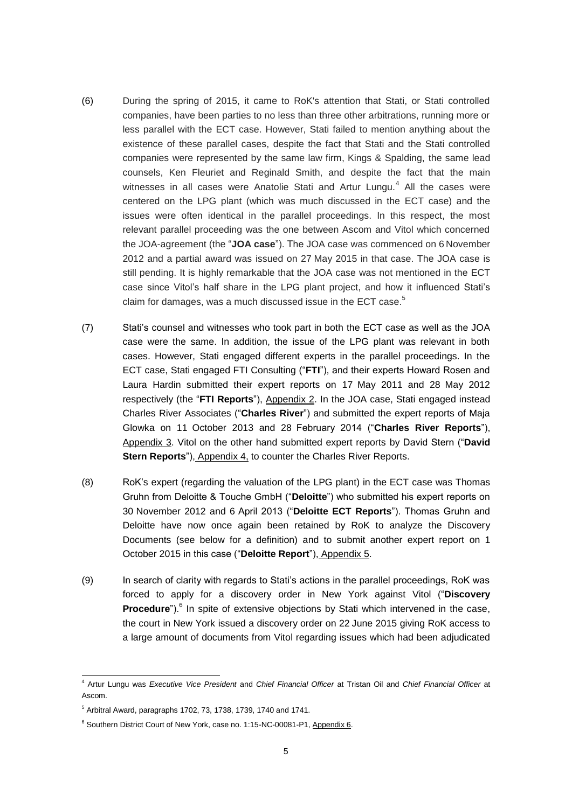- (6) During the spring of 2015, it came to RoK's attention that Stati, or Stati controlled companies, have been parties to no less than three other arbitrations, running more or less parallel with the ECT case. However, Stati failed to mention anything about the existence of these parallel cases, despite the fact that Stati and the Stati controlled companies were represented by the same law firm, Kings & Spalding, the same lead counsels, Ken Fleuriet and Reginald Smith, and despite the fact that the main witnesses in all cases were Anatolie Stati and Artur Lungu. $4$  All the cases were centered on the LPG plant (which was much discussed in the ECT case) and the issues were often identical in the parallel proceedings. In this respect, the most relevant parallel proceeding was the one between Ascom and Vitol which concerned the JOA-agreement (the "**JOA case**"). The JOA case was commenced on 6 November 2012 and a partial award was issued on 27 May 2015 in that case. The JOA case is still pending. It is highly remarkable that the JOA case was not mentioned in the ECT case since Vitol's half share in the LPG plant project, and how it influenced Stati's claim for damages, was a much discussed issue in the ECT case.<sup>5</sup>
- (7) Stati's counsel and witnesses who took part in both the ECT case as well as the JOA case were the same. In addition, the issue of the LPG plant was relevant in both cases. However, Stati engaged different experts in the parallel proceedings. In the ECT case, Stati engaged FTI Consulting ("**FTI**"), and their experts Howard Rosen and Laura Hardin submitted their expert reports on 17 May 2011 and 28 May 2012 respectively (the "**FTI Reports**"), Appendix 2. In the JOA case, Stati engaged instead Charles River Associates ("**Charles River**") and submitted the expert reports of Maja Glowka on 11 October 2013 and 28 February 2014 ("**Charles River Reports**"), Appendix 3. Vitol on the other hand submitted expert reports by David Stern ("**David Stern Reports**"), Appendix 4, to counter the Charles River Reports.
- (8) RoK's expert (regarding the valuation of the LPG plant) in the ECT case was Thomas Gruhn from Deloitte & Touche GmbH ("**Deloitte**") who submitted his expert reports on 30 November 2012 and 6 April 2013 ("**Deloitte ECT Reports**"). Thomas Gruhn and Deloitte have now once again been retained by RoK to analyze the Discovery Documents (see below for a definition) and to submit another expert report on 1 October 2015 in this case ("**Deloitte Report**"), Appendix 5.
- (9) In search of clarity with regards to Stati's actions in the parallel proceedings, RoK was forced to apply for a discovery order in New York against Vitol ("**Discovery**  Procedure").<sup>6</sup> In spite of extensive objections by Stati which intervened in the case, the court in New York issued a discovery order on 22 June 2015 giving RoK access to a large amount of documents from Vitol regarding issues which had been adjudicated

1

<sup>4</sup> Artur Lungu was *Executive Vice President* and *Chief Financial Officer* at Tristan Oil and *Chief Financial Officer* at Ascom.

 $5$  Arbitral Award, paragraphs 1702, 73, 1738, 1739, 1740 and 1741.

<sup>&</sup>lt;sup>6</sup> Southern District Court of New York, case no. 1:15-NC-00081-P1, Appendix 6.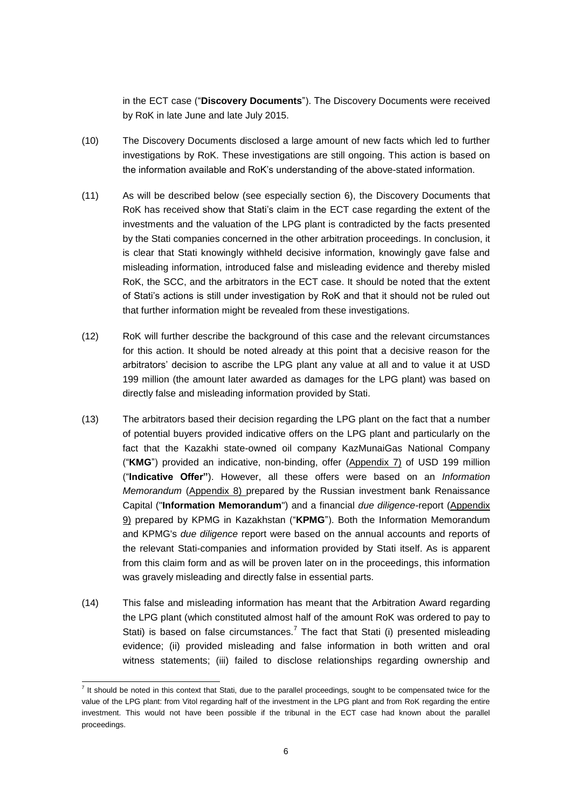in the ECT case ("**Discovery Documents**"). The Discovery Documents were received by RoK in late June and late July 2015.

- (10) The Discovery Documents disclosed a large amount of new facts which led to further investigations by RoK. These investigations are still ongoing. This action is based on the information available and RoK's understanding of the above-stated information.
- (11) As will be described below (see especially section 6), the Discovery Documents that RoK has received show that Stati's claim in the ECT case regarding the extent of the investments and the valuation of the LPG plant is contradicted by the facts presented by the Stati companies concerned in the other arbitration proceedings. In conclusion, it is clear that Stati knowingly withheld decisive information, knowingly gave false and misleading information, introduced false and misleading evidence and thereby misled RoK, the SCC, and the arbitrators in the ECT case. It should be noted that the extent of Stati's actions is still under investigation by RoK and that it should not be ruled out that further information might be revealed from these investigations.
- (12) RoK will further describe the background of this case and the relevant circumstances for this action. It should be noted already at this point that a decisive reason for the arbitrators' decision to ascribe the LPG plant any value at all and to value it at USD 199 million (the amount later awarded as damages for the LPG plant) was based on directly false and misleading information provided by Stati.
- (13) The arbitrators based their decision regarding the LPG plant on the fact that a number of potential buyers provided indicative offers on the LPG plant and particularly on the fact that the Kazakhi state-owned oil company KazMunaiGas National Company ("**KMG**") provided an indicative, non-binding, offer (Appendix 7) of USD 199 million ("**Indicative Offer"**). However, all these offers were based on an *Information Memorandum* (Appendix 8) prepared by the Russian investment bank Renaissance Capital ("**Information Memorandum**") and a financial *due diligence-*report (Appendix 9) prepared by KPMG in Kazakhstan ("**KPMG**"). Both the Information Memorandum and KPMG's *due diligence* report were based on the annual accounts and reports of the relevant Stati-companies and information provided by Stati itself. As is apparent from this claim form and as will be proven later on in the proceedings, this information was gravely misleading and directly false in essential parts.
- (14) This false and misleading information has meant that the Arbitration Award regarding the LPG plant (which constituted almost half of the amount RoK was ordered to pay to Stati) is based on false circumstances.<sup>7</sup> The fact that Stati (i) presented misleading evidence; (ii) provided misleading and false information in both written and oral witness statements; (iii) failed to disclose relationships regarding ownership and

 7 It should be noted in this context that Stati, due to the parallel proceedings, sought to be compensated twice for the value of the LPG plant: from Vitol regarding half of the investment in the LPG plant and from RoK regarding the entire investment. This would not have been possible if the tribunal in the ECT case had known about the parallel proceedings.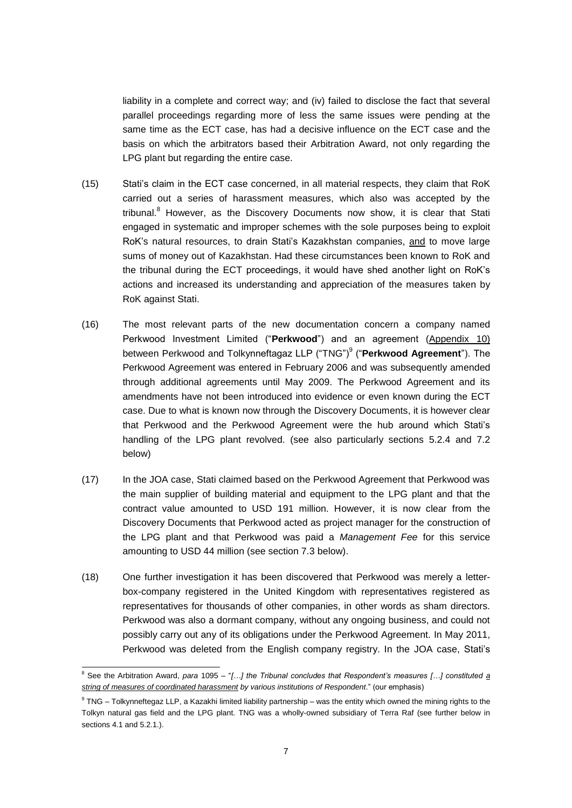liability in a complete and correct way; and (iv) failed to disclose the fact that several parallel proceedings regarding more of less the same issues were pending at the same time as the ECT case, has had a decisive influence on the ECT case and the basis on which the arbitrators based their Arbitration Award, not only regarding the LPG plant but regarding the entire case.

- (15) Stati's claim in the ECT case concerned, in all material respects, they claim that RoK carried out a series of harassment measures, which also was accepted by the tribunal.<sup>8</sup> However, as the Discovery Documents now show, it is clear that Stati engaged in systematic and improper schemes with the sole purposes being to exploit RoK's natural resources, to drain Stati's Kazakhstan companies, and to move large sums of money out of Kazakhstan. Had these circumstances been known to RoK and the tribunal during the ECT proceedings, it would have shed another light on RoK's actions and increased its understanding and appreciation of the measures taken by RoK against Stati.
- (16) The most relevant parts of the new documentation concern a company named Perkwood Investment Limited ("**Perkwood**") and an agreement (Appendix 10) between Perkwood and Tolkynneftagaz LLP ("TNG")<sup>9</sup> ("**Perkwood Agreement**"). The Perkwood Agreement was entered in February 2006 and was subsequently amended through additional agreements until May 2009. The Perkwood Agreement and its amendments have not been introduced into evidence or even known during the ECT case. Due to what is known now through the Discovery Documents, it is however clear that Perkwood and the Perkwood Agreement were the hub around which Stati's handling of the LPG plant revolved. (see also particularly sections 5.2.4 and 7.2 below)
- (17) In the JOA case, Stati claimed based on the Perkwood Agreement that Perkwood was the main supplier of building material and equipment to the LPG plant and that the contract value amounted to USD 191 million. However, it is now clear from the Discovery Documents that Perkwood acted as project manager for the construction of the LPG plant and that Perkwood was paid a *Management Fee* for this service amounting to USD 44 million (see section 7.3 below).
- (18) One further investigation it has been discovered that Perkwood was merely a letterbox-company registered in the United Kingdom with representatives registered as representatives for thousands of other companies, in other words as sham directors. Perkwood was also a dormant company, without any ongoing business, and could not possibly carry out any of its obligations under the Perkwood Agreement. In May 2011, Perkwood was deleted from the English company registry. In the JOA case, Stati's

<sup>1</sup> <sup>8</sup> See the Arbitration Award, *para* 1095 – "*[…] the Tribunal concludes that Respondent's measures […] constituted a string of measures of coordinated harassment by various institutions of Respondent*." (our emphasis)

<sup>&</sup>lt;sup>9</sup> TNG – Tolkynneftegaz LLP, a Kazakhi limited liability partnership – was the entity which owned the mining rights to the Tolkyn natural gas field and the LPG plant. TNG was a wholly-owned subsidiary of Terra Raf (see further below in sections 4.1 and 5.2.1.).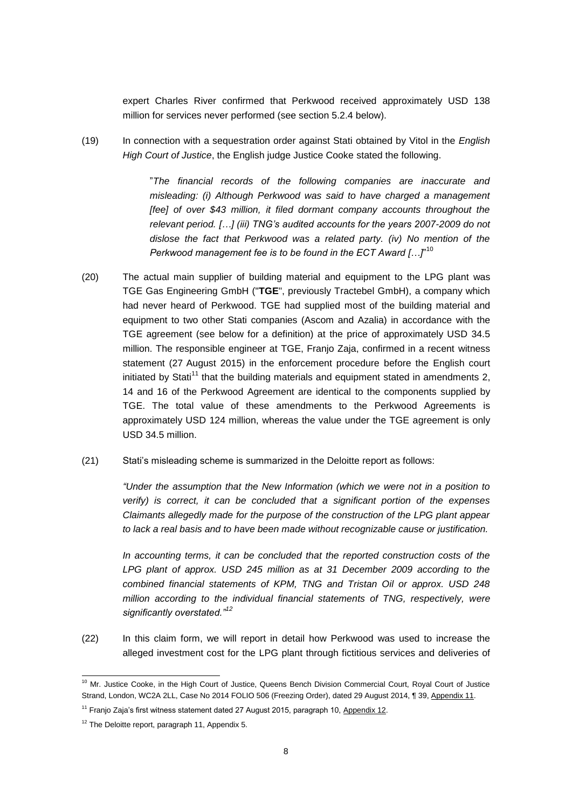expert Charles River confirmed that Perkwood received approximately USD 138 million for services never performed (see section 5.2.4 below).

(19) In connection with a sequestration order against Stati obtained by Vitol in the *English High Court of Justice*, the English judge Justice Cooke stated the following.

> "*The financial records of the following companies are inaccurate and misleading: (i) Although Perkwood was said to have charged a management [fee] of over \$43 million, it filed dormant company accounts throughout the relevant period. […] (iii) TNG's audited accounts for the years 2007-2009 do not dislose the fact that Perkwood was a related party. (iv) No mention of the Perkwood management fee is to be found in the ECT Award […]*" 10

- (20) The actual main supplier of building material and equipment to the LPG plant was TGE Gas Engineering GmbH ("**TGE**", previously Tractebel GmbH), a company which had never heard of Perkwood. TGE had supplied most of the building material and equipment to two other Stati companies (Ascom and Azalia) in accordance with the TGE agreement (see below for a definition) at the price of approximately USD 34.5 million. The responsible engineer at TGE, Franjo Zaja, confirmed in a recent witness statement (27 August 2015) in the enforcement procedure before the English court initiated by Stati<sup>11</sup> that the building materials and equipment stated in amendments 2, 14 and 16 of the Perkwood Agreement are identical to the components supplied by TGE. The total value of these amendments to the Perkwood Agreements is approximately USD 124 million, whereas the value under the TGE agreement is only USD 34.5 million.
- (21) Stati's misleading scheme is summarized in the Deloitte report as follows:

*"Under the assumption that the New Information (which we were not in a position to verify) is correct, it can be concluded that a significant portion of the expenses Claimants allegedly made for the purpose of the construction of the LPG plant appear to lack a real basis and to have been made without recognizable cause or justification.*

*In accounting terms, it can be concluded that the reported construction costs of the* LPG plant of approx. USD 245 million as at 31 December 2009 according to the *combined financial statements of KPM, TNG and Tristan Oil or approx. USD 248 million according to the individual financial statements of TNG, respectively, were significantly overstated."<sup>12</sup>*

(22) In this claim form, we will report in detail how Perkwood was used to increase the alleged investment cost for the LPG plant through fictitious services and deliveries of

1

<sup>&</sup>lt;sup>10</sup> Mr. Justice Cooke, in the High Court of Justice, Queens Bench Division Commercial Court, Royal Court of Justice Strand, London, WC2A 2LL, Case No 2014 FOLIO 506 (Freezing Order), dated 29 August 2014, ¶ 39, Appendix 11.

 $11$  Franjo Zaja's first witness statement dated 27 August 2015, paragraph 10, Appendix 12.

<sup>&</sup>lt;sup>12</sup> The Deloitte report, paragraph 11, Appendix 5.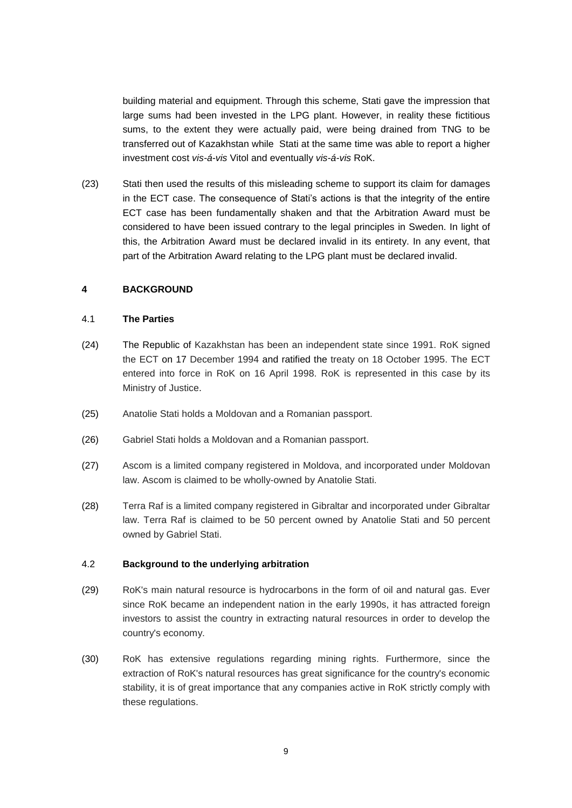building material and equipment. Through this scheme, Stati gave the impression that large sums had been invested in the LPG plant. However, in reality these fictitious sums, to the extent they were actually paid, were being drained from TNG to be transferred out of Kazakhstan while Stati at the same time was able to report a higher investment cost *vis-á-vis* Vitol and eventually *vis-á-vis* RoK.

(23) Stati then used the results of this misleading scheme to support its claim for damages in the ECT case. The consequence of Stati's actions is that the integrity of the entire ECT case has been fundamentally shaken and that the Arbitration Award must be considered to have been issued contrary to the legal principles in Sweden. In light of this, the Arbitration Award must be declared invalid in its entirety. In any event, that part of the Arbitration Award relating to the LPG plant must be declared invalid.

### <span id="page-8-0"></span>**4 BACKGROUND**

#### <span id="page-8-1"></span>4.1 **The Parties**

- (24) The Republic of Kazakhstan has been an independent state since 1991. RoK signed the ECT on 17 December 1994 and ratified the treaty on 18 October 1995. The ECT entered into force in RoK on 16 April 1998. RoK is represented in this case by its Ministry of Justice.
- (25) Anatolie Stati holds a Moldovan and a Romanian passport.
- (26) Gabriel Stati holds a Moldovan and a Romanian passport.
- (27) Ascom is a limited company registered in Moldova, and incorporated under Moldovan law. Ascom is claimed to be wholly-owned by Anatolie Stati.
- (28) Terra Raf is a limited company registered in Gibraltar and incorporated under Gibraltar law. Terra Raf is claimed to be 50 percent owned by Anatolie Stati and 50 percent owned by Gabriel Stati.

### <span id="page-8-2"></span>4.2 **Background to the underlying arbitration**

- (29) RoK's main natural resource is hydrocarbons in the form of oil and natural gas. Ever since RoK became an independent nation in the early 1990s, it has attracted foreign investors to assist the country in extracting natural resources in order to develop the country's economy.
- (30) RoK has extensive regulations regarding mining rights. Furthermore, since the extraction of RoK's natural resources has great significance for the country's economic stability, it is of great importance that any companies active in RoK strictly comply with these regulations.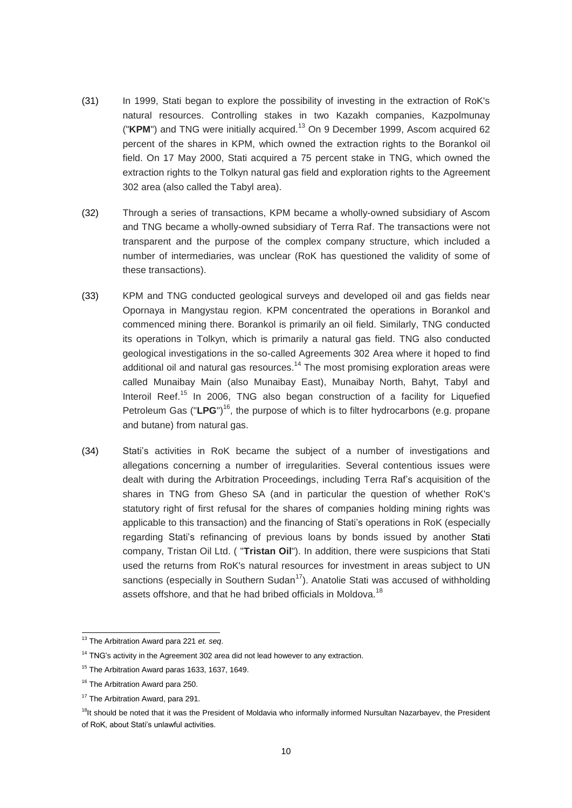- (31) In 1999, Stati began to explore the possibility of investing in the extraction of RoK's natural resources. Controlling stakes in two Kazakh companies, Kazpolmunay ("KPM") and TNG were initially acquired.<sup>13</sup> On 9 December 1999, Ascom acquired 62 percent of the shares in KPM, which owned the extraction rights to the Borankol oil field. On 17 May 2000, Stati acquired a 75 percent stake in TNG, which owned the extraction rights to the Tolkyn natural gas field and exploration rights to the Agreement 302 area (also called the Tabyl area).
- (32) Through a series of transactions, KPM became a wholly-owned subsidiary of Ascom and TNG became a wholly-owned subsidiary of Terra Raf. The transactions were not transparent and the purpose of the complex company structure, which included a number of intermediaries, was unclear (RoK has questioned the validity of some of these transactions).
- (33) KPM and TNG conducted geological surveys and developed oil and gas fields near Opornaya in Mangystau region. KPM concentrated the operations in Borankol and commenced mining there. Borankol is primarily an oil field. Similarly, TNG conducted its operations in Tolkyn, which is primarily a natural gas field. TNG also conducted geological investigations in the so-called Agreements 302 Area where it hoped to find additional oil and natural gas resources.<sup>14</sup> The most promising exploration areas were called Munaibay Main (also Munaibay East), Munaibay North, Bahyt, Tabyl and Interoil Reef.<sup>15</sup> In 2006, TNG also began construction of a facility for Liquefied Petroleum Gas ("LPG")<sup>16</sup>, the purpose of which is to filter hydrocarbons (e.g. propane and butane) from natural gas.
- (34) Stati's activities in RoK became the subject of a number of investigations and allegations concerning a number of irregularities. Several contentious issues were dealt with during the Arbitration Proceedings, including Terra Raf's acquisition of the shares in TNG from Gheso SA (and in particular the question of whether RoK's statutory right of first refusal for the shares of companies holding mining rights was applicable to this transaction) and the financing of Stati's operations in RoK (especially regarding Stati's refinancing of previous loans by bonds issued by another Stati company, Tristan Oil Ltd. ( "**Tristan Oil**"). In addition, there were suspicions that Stati used the returns from RoK's natural resources for investment in areas subject to UN sanctions (especially in Southern Sudan<sup>17</sup>). Anatolie Stati was accused of withholding assets offshore, and that he had bribed officials in Moldova.<sup>18</sup>

<sup>-</sup><sup>13</sup> The Arbitration Award para 221 *et. seq*.

<sup>&</sup>lt;sup>14</sup> TNG's activity in the Agreement 302 area did not lead however to any extraction.

<sup>&</sup>lt;sup>15</sup> The Arbitration Award paras 1633, 1637, 1649.

<sup>&</sup>lt;sup>16</sup> The Arbitration Award para 250.

<sup>&</sup>lt;sup>17</sup> The Arbitration Award, para 291.

<sup>&</sup>lt;sup>18</sup>It should be noted that it was the President of Moldavia who informally informed Nursultan Nazarbayev, the President of RoK, about Stati's unlawful activities.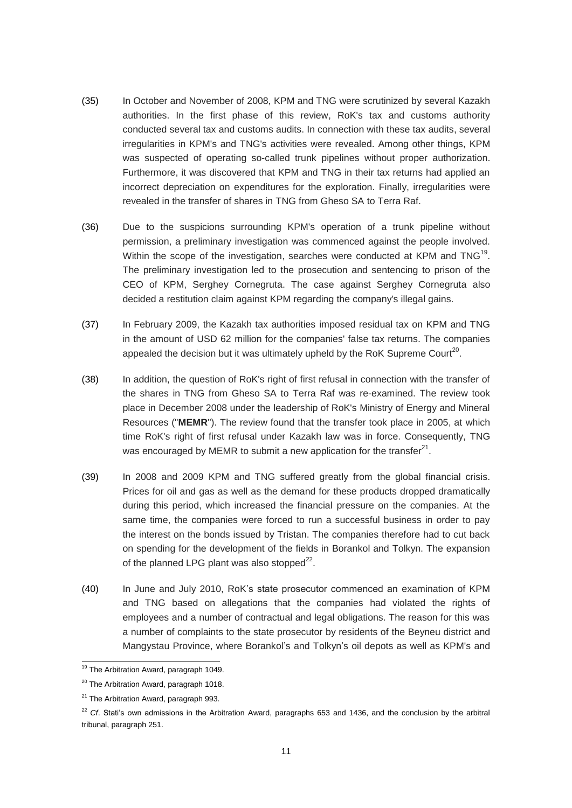- (35) In October and November of 2008, KPM and TNG were scrutinized by several Kazakh authorities. In the first phase of this review, RoK's tax and customs authority conducted several tax and customs audits. In connection with these tax audits, several irregularities in KPM's and TNG's activities were revealed. Among other things, KPM was suspected of operating so-called trunk pipelines without proper authorization. Furthermore, it was discovered that KPM and TNG in their tax returns had applied an incorrect depreciation on expenditures for the exploration. Finally, irregularities were revealed in the transfer of shares in TNG from Gheso SA to Terra Raf.
- (36) Due to the suspicions surrounding KPM's operation of a trunk pipeline without permission, a preliminary investigation was commenced against the people involved. Within the scope of the investigation, searches were conducted at KPM and TNG<sup>19</sup>. The preliminary investigation led to the prosecution and sentencing to prison of the CEO of KPM, Serghey Cornegruta. The case against Serghey Cornegruta also decided a restitution claim against KPM regarding the company's illegal gains.
- (37) In February 2009, the Kazakh tax authorities imposed residual tax on KPM and TNG in the amount of USD 62 million for the companies' false tax returns. The companies appealed the decision but it was ultimately upheld by the RoK Supreme Court<sup>20</sup>.
- (38) In addition, the question of RoK's right of first refusal in connection with the transfer of the shares in TNG from Gheso SA to Terra Raf was re-examined. The review took place in December 2008 under the leadership of RoK's Ministry of Energy and Mineral Resources ("**MEMR**"). The review found that the transfer took place in 2005, at which time RoK's right of first refusal under Kazakh law was in force. Consequently, TNG was encouraged by MEMR to submit a new application for the transfer<sup>21</sup>.
- (39) In 2008 and 2009 KPM and TNG suffered greatly from the global financial crisis. Prices for oil and gas as well as the demand for these products dropped dramatically during this period, which increased the financial pressure on the companies. At the same time, the companies were forced to run a successful business in order to pay the interest on the bonds issued by Tristan. The companies therefore had to cut back on spending for the development of the fields in Borankol and Tolkyn. The expansion of the planned LPG plant was also stopped $^{22}$ .
- (40) In June and July 2010, RoK's state prosecutor commenced an examination of KPM and TNG based on allegations that the companies had violated the rights of employees and a number of contractual and legal obligations. The reason for this was a number of complaints to the state prosecutor by residents of the Beyneu district and Mangystau Province, where Borankol's and Tolkyn's oil depots as well as KPM's and

-

<sup>&</sup>lt;sup>19</sup> The Arbitration Award, paragraph 1049.

<sup>&</sup>lt;sup>20</sup> The Arbitration Award, paragraph 1018.

<sup>&</sup>lt;sup>21</sup> The Arbitration Award, paragraph 993.

<sup>&</sup>lt;sup>22</sup> *Cf.* Stati's own admissions in the Arbitration Award, paragraphs 653 and 1436, and the conclusion by the arbitral tribunal, paragraph 251.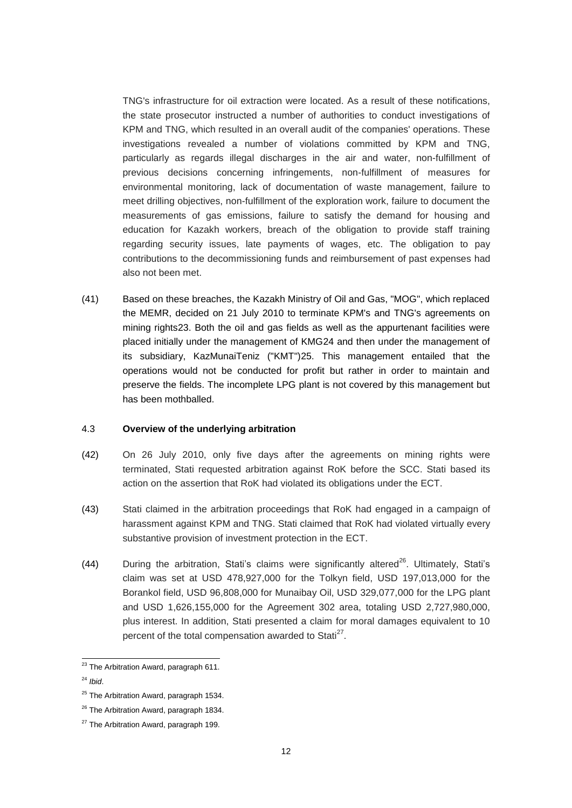TNG's infrastructure for oil extraction were located. As a result of these notifications, the state prosecutor instructed a number of authorities to conduct investigations of KPM and TNG, which resulted in an overall audit of the companies' operations. These investigations revealed a number of violations committed by KPM and TNG, particularly as regards illegal discharges in the air and water, non-fulfillment of previous decisions concerning infringements, non-fulfillment of measures for environmental monitoring, lack of documentation of waste management, failure to meet drilling objectives, non-fulfillment of the exploration work, failure to document the measurements of gas emissions, failure to satisfy the demand for housing and education for Kazakh workers, breach of the obligation to provide staff training regarding security issues, late payments of wages, etc. The obligation to pay contributions to the decommissioning funds and reimbursement of past expenses had also not been met.

(41) Based on these breaches, the Kazakh Ministry of Oil and Gas, "MOG", which replaced the MEMR, decided on 21 July 2010 to terminate KPM's and TNG's agreements on mining rights23. Both the oil and gas fields as well as the appurtenant facilities were placed initially under the management of KMG24 and then under the management of its subsidiary, KazMunaiTeniz ("KMT")25. This management entailed that the operations would not be conducted for profit but rather in order to maintain and preserve the fields. The incomplete LPG plant is not covered by this management but has been mothballed.

### <span id="page-11-0"></span>4.3 **Overview of the underlying arbitration**

- (42) On 26 July 2010, only five days after the agreements on mining rights were terminated, Stati requested arbitration against RoK before the SCC. Stati based its action on the assertion that RoK had violated its obligations under the ECT.
- (43) Stati claimed in the arbitration proceedings that RoK had engaged in a campaign of harassment against KPM and TNG. Stati claimed that RoK had violated virtually every substantive provision of investment protection in the ECT.
- (44) During the arbitration, Stati's claims were significantly altered<sup>26</sup>. Ultimately, Stati's claim was set at USD 478,927,000 for the Tolkyn field, USD 197,013,000 for the Borankol field, USD 96,808,000 for Munaibay Oil, USD 329,077,000 for the LPG plant and USD 1,626,155,000 for the Agreement 302 area, totaling USD 2,727,980,000, plus interest. In addition, Stati presented a claim for moral damages equivalent to 10 percent of the total compensation awarded to Stati<sup>27</sup>.

<sup>-</sup><sup>23</sup> The Arbitration Award, paragraph 611.

<sup>24</sup> *Ibid*.

 $25$  The Arbitration Award, paragraph 1534.

<sup>&</sup>lt;sup>26</sup> The Arbitration Award, paragraph 1834.

<sup>&</sup>lt;sup>27</sup> The Arbitration Award, paragraph 199.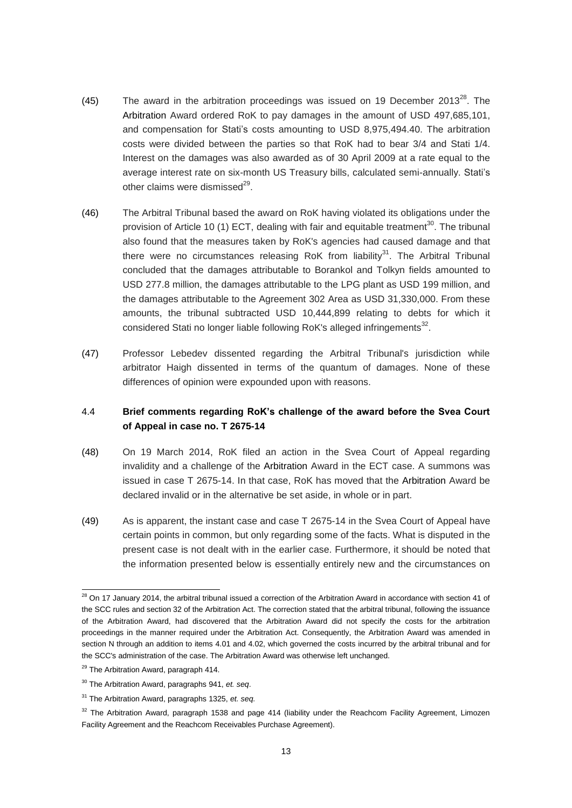- (45) The award in the arbitration proceedings was issued on 19 December 2013<sup>28</sup>. The Arbitration Award ordered RoK to pay damages in the amount of USD 497,685,101, and compensation for Stati's costs amounting to USD 8,975,494.40. The arbitration costs were divided between the parties so that RoK had to bear 3/4 and Stati 1/4. Interest on the damages was also awarded as of 30 April 2009 at a rate equal to the average interest rate on six-month US Treasury bills, calculated semi-annually. Stati's other claims were dismissed $^{29}$ .
- (46) The Arbitral Tribunal based the award on RoK having violated its obligations under the provision of Article 10 (1) ECT, dealing with fair and equitable treatment<sup>30</sup>. The tribunal also found that the measures taken by RoK's agencies had caused damage and that there were no circumstances releasing RoK from liability<sup>31</sup>. The Arbitral Tribunal concluded that the damages attributable to Borankol and Tolkyn fields amounted to USD 277.8 million, the damages attributable to the LPG plant as USD 199 million, and the damages attributable to the Agreement 302 Area as USD 31,330,000. From these amounts, the tribunal subtracted USD 10,444,899 relating to debts for which it considered Stati no longer liable following RoK's alleged infringements $^{32}$ .
- (47) Professor Lebedev dissented regarding the Arbitral Tribunal's jurisdiction while arbitrator Haigh dissented in terms of the quantum of damages. None of these differences of opinion were expounded upon with reasons.

# <span id="page-12-0"></span>4.4 **Brief comments regarding RoK's challenge of the award before the Svea Court of Appeal in case no. T 2675-14**

- (48) On 19 March 2014, RoK filed an action in the Svea Court of Appeal regarding invalidity and a challenge of the Arbitration Award in the ECT case. A summons was issued in case T 2675-14. In that case, RoK has moved that the Arbitration Award be declared invalid or in the alternative be set aside, in whole or in part.
- (49) As is apparent, the instant case and case T 2675-14 in the Svea Court of Appeal have certain points in common, but only regarding some of the facts. What is disputed in the present case is not dealt with in the earlier case. Furthermore, it should be noted that the information presented below is essentially entirely new and the circumstances on

<sup>-</sup> $^{28}$  On 17 January 2014, the arbitral tribunal issued a correction of the Arbitration Award in accordance with section 41 of the SCC rules and section 32 of the Arbitration Act. The correction stated that the arbitral tribunal, following the issuance of the Arbitration Award, had discovered that the Arbitration Award did not specify the costs for the arbitration proceedings in the manner required under the Arbitration Act. Consequently, the Arbitration Award was amended in section N through an addition to items 4.01 and 4.02, which governed the costs incurred by the arbitral tribunal and for the SCC's administration of the case. The Arbitration Award was otherwise left unchanged.

<sup>&</sup>lt;sup>29</sup> The Arbitration Award, paragraph 414.

<sup>30</sup> The Arbitration Award, paragraphs 941, *et. seq*.

<sup>31</sup> The Arbitration Award, paragraphs 1325, *et. seq.*

 $32$  The Arbitration Award, paragraph 1538 and page 414 (liability under the Reachcom Facility Agreement, Limozen Facility Agreement and the Reachcom Receivables Purchase Agreement).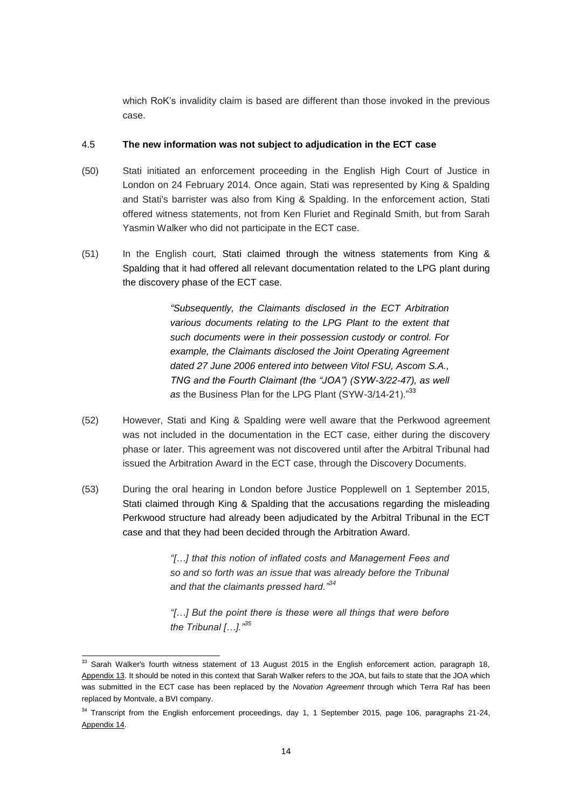which RoK's invalidity claim is based are different than those invoked in the previous case.

### 4.5 **The new information was not subject to adjudication in the ECT case**

- (50) Stati initiated an enforcement proceeding in the English High Court of Justice in London on 24 February 2014. Once again, Stati was represented by King & Spalding and Stati's barrister was also from King & Spalding. In the enforcement action, Stati offered witness statements, not from Ken Fluriet and Reginald Smith, but from Sarah Yasmin Walker who did not participate in the ECT case.
- (51) In the English court, Stati claimed through the witness statements from King & Spalding that it had offered all relevant documentation related to the LPG plant during the discovery phase of the ECT case.

*"Subsequently, the Claimants disclosed in the ECT Arbitration various documents relating to the LPG Plant to the extent that such documents were in their possession custody or control. For example, the Claimants disclosed the Joint Operating Agreement dated 27 June 2006 entered into between Vitol FSU, Ascom S.A., TNG and the Fourth Claimant (the "JOA") (SYW-3/22-47), as well*  as the Business Plan for the LPG Plant (SYW-3/14-21)."<sup>33</sup>

- (52) However, Stati and King & Spalding were well aware that the Perkwood agreement was not included in the documentation in the ECT case, either during the discovery phase or later. This agreement was not discovered until after the Arbitral Tribunal had issued the Arbitration Award in the ECT case, through the Discovery Documents.
- (53) During the oral hearing in London before Justice Popplewell on 1 September 2015, Stati claimed through King & Spalding that the accusations regarding the misleading Perkwood structure had already been adjudicated by the Arbitral Tribunal in the ECT case and that they had been decided through the Arbitration Award.

*"[…] that this notion of inflated costs and Management Fees and so and so forth was an issue that was already before the Tribunal and that the claimants pressed hard."<sup>34</sup>*

*"[…] But the point there is these were all things that were before the Tribunal […]."<sup>35</sup>*

<sup>-</sup> $33$  Sarah Walker's fourth witness statement of 13 August 2015 in the English enforcement action, paragraph 18, Appendix 13. It should be noted in this context that Sarah Walker refers to the JOA, but fails to state that the JOA which was submitted in the ECT case has been replaced by the *Novation Agreement* through which Terra Raf has been replaced by Montvale, a BVI company.

<sup>&</sup>lt;sup>34</sup> Transcript from the English enforcement proceedings, day 1, 1 September 2015, page 106, paragraphs 21-24, Appendix 14.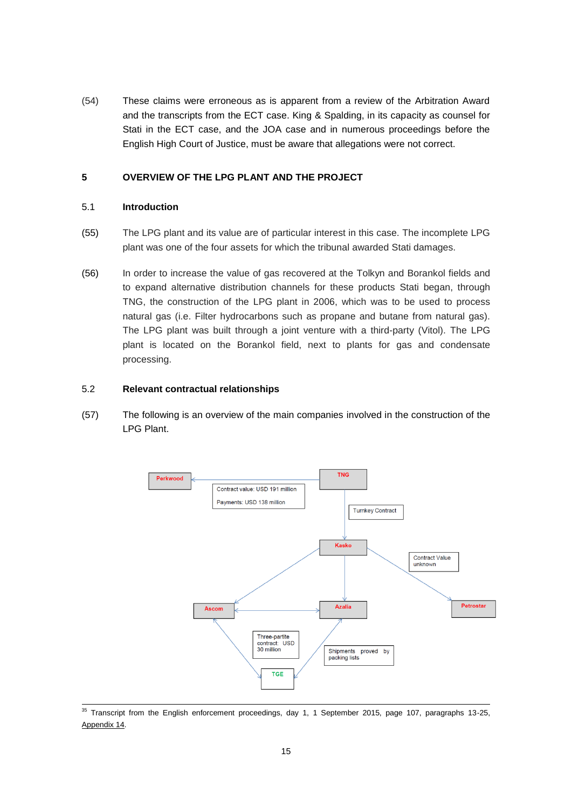(54) These claims were erroneous as is apparent from a review of the Arbitration Award and the transcripts from the ECT case. King & Spalding, in its capacity as counsel for Stati in the ECT case, and the JOA case and in numerous proceedings before the English High Court of Justice, must be aware that allegations were not correct.

# <span id="page-14-0"></span>**5 OVERVIEW OF THE LPG PLANT AND THE PROJECT**

# <span id="page-14-1"></span>5.1 **Introduction**

- (55) The LPG plant and its value are of particular interest in this case. The incomplete LPG plant was one of the four assets for which the tribunal awarded Stati damages.
- (56) In order to increase the value of gas recovered at the Tolkyn and Borankol fields and to expand alternative distribution channels for these products Stati began, through TNG, the construction of the LPG plant in 2006, which was to be used to process natural gas (i.e. Filter hydrocarbons such as propane and butane from natural gas). The LPG plant was built through a joint venture with a third-party (Vitol). The LPG plant is located on the Borankol field, next to plants for gas and condensate processing.

### <span id="page-14-2"></span>5.2 **Relevant contractual relationships**

(57) The following is an overview of the main companies involved in the construction of the LPG Plant.



<sup>-</sup> $35$  Transcript from the English enforcement proceedings, day 1, 1 September 2015, page 107, paragraphs 13-25, Appendix 14.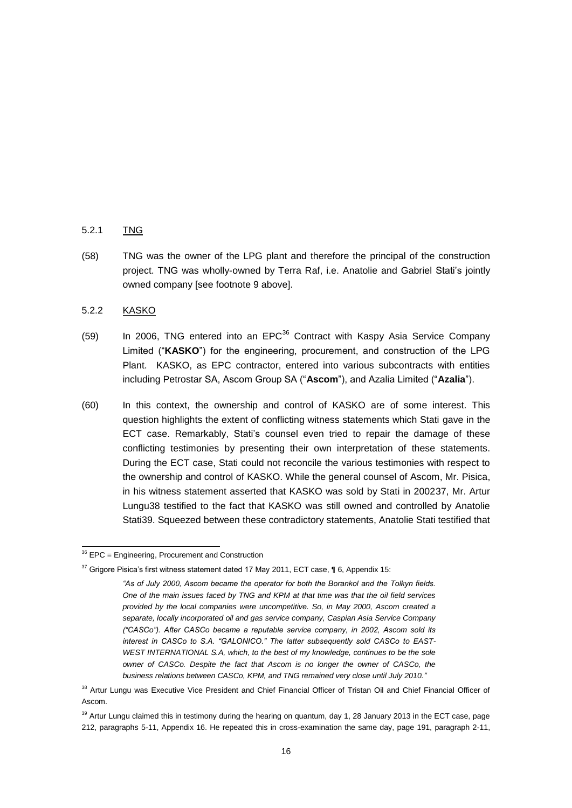### 5.2.1 TNG

(58) TNG was the owner of the LPG plant and therefore the principal of the construction project. TNG was wholly-owned by Terra Raf, i.e. Anatolie and Gabriel Stati's jointly owned company [see footnote 9 above].

### 5.2.2 KASKO

- $(59)$  In 2006, TNG entered into an EPC<sup>36</sup> Contract with Kaspy Asia Service Company Limited ("**KASKO**") for the engineering, procurement, and construction of the LPG Plant. KASKO, as EPC contractor, entered into various subcontracts with entities including Petrostar SA, Ascom Group SA ("**Ascom**"), and Azalia Limited ("**Azalia**").
- (60) In this context, the ownership and control of KASKO are of some interest. This question highlights the extent of conflicting witness statements which Stati gave in the ECT case. Remarkably, Stati's counsel even tried to repair the damage of these conflicting testimonies by presenting their own interpretation of these statements. During the ECT case, Stati could not reconcile the various testimonies with respect to the ownership and control of KASKO. While the general counsel of Ascom, Mr. Pisica, in his witness statement asserted that KASKO was sold by Stati in 200237, Mr. Artur Lungu38 testified to the fact that KASKO was still owned and controlled by Anatolie Stati39. Squeezed between these contradictory statements, Anatolie Stati testified that

<sup>-</sup> $36$  EPC = Engineering, Procurement and Construction

 $37$  Grigore Pisica's first witness statement dated 17 May 2011, ECT case,  $\P$  6, Appendix 15:

*<sup>&</sup>quot;As of July 2000, Ascom became the operator for both the Borankol and the Tolkyn fields. One of the main issues faced by TNG and KPM at that time was that the oil field services provided by the local companies were uncompetitive. So, in May 2000, Ascom created a separate, locally incorporated oil and gas service company, Caspian Asia Service Company ("CASCo"). After CASCo became a reputable service company, in 2002, Ascom sold its interest in CASCo to S.A. "GALONICO." The latter subsequently sold CASCo to EAST-WEST INTERNATIONAL S.A, which, to the best of my knowledge, continues to be the sole owner of CASCo. Despite the fact that Ascom is no longer the owner of CASCo, the business relations between CASCo, KPM, and TNG remained very close until July 2010."*

<sup>&</sup>lt;sup>38</sup> Artur Lungu was Executive Vice President and Chief Financial Officer of Tristan Oil and Chief Financial Officer of Ascom.

<sup>&</sup>lt;sup>39</sup> Artur Lungu claimed this in testimony during the hearing on quantum, day 1, 28 January 2013 in the ECT case, page 212, paragraphs 5-11, Appendix 16. He repeated this in cross-examination the same day, page 191, paragraph 2-11,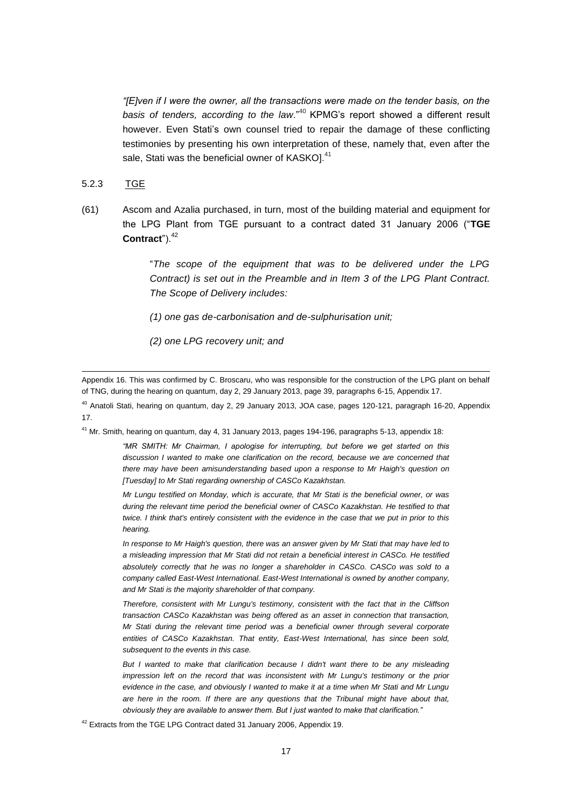*"[E]ven if I were the owner, all the transactions were made on the tender basis, on the basis of tenders, according to the law*."<sup>40</sup> KPMG's report showed a different result however. Even Stati's own counsel tried to repair the damage of these conflicting testimonies by presenting his own interpretation of these, namely that, even after the sale, Stati was the beneficial owner of KASKO]. $^{41}$ 

#### 5.2.3 TGE

-

(61) Ascom and Azalia purchased, in turn, most of the building material and equipment for the LPG Plant from TGE pursuant to a contract dated 31 January 2006 ("**TGE**  Contract").<sup>42</sup>

> "*The scope of the equipment that was to be delivered under the LPG Contract) is set out in the Preamble and in Item 3 of the LPG Plant Contract. The Scope of Delivery includes:*

*(1) one gas de-carbonisation and de-sulphurisation unit;*

*(2) one LPG recovery unit; and*

<sup>41</sup> Mr. Smith, hearing on quantum, day 4, 31 January 2013, pages 194-196, paragraphs 5-13, appendix 18:

*"MR SMITH: Mr Chairman, I apologise for interrupting, but before we get started on this discussion I wanted to make one clarification on the record, because we are concerned that there may have been amisunderstanding based upon a response to Mr Haigh's question on [Tuesday] to Mr Stati regarding ownership of CASCo Kazakhstan.*

*Mr Lungu testified on Monday, which is accurate, that Mr Stati is the beneficial owner, or was during the relevant time period the beneficial owner of CASCo Kazakhstan. He testified to that twice. I think that's entirely consistent with the evidence in the case that we put in prior to this hearing.* 

*In response to Mr Haigh's question, there was an answer given by Mr Stati that may have led to a misleading impression that Mr Stati did not retain a beneficial interest in CASCo. He testified absolutely correctly that he was no longer a shareholder in CASCo. CASCo was sold to a company called East-West International. East-West International is owned by another company, and Mr Stati is the majority shareholder of that company.* 

*Therefore, consistent with Mr Lungu's testimony, consistent with the fact that in the Cliffson transaction CASCo Kazakhstan was being offered as an asset in connection that transaction, Mr Stati during the relevant time period was a beneficial owner through several corporate entities of CASCo Kazakhstan. That entity, East-West International, has since been sold, subsequent to the events in this case.* 

*But I wanted to make that clarification because I didn't want there to be any misleading impression left on the record that was inconsistent with Mr Lungu's testimony or the prior evidence in the case, and obviously I wanted to make it at a time when Mr Stati and Mr Lungu are here in the room. If there are any questions that the Tribunal might have about that, obviously they are available to answer them. But I just wanted to make that clarification."*

<sup>42</sup> Extracts from the TGE LPG Contract dated 31 January 2006, Appendix 19.

Appendix 16. This was confirmed by C. Broscaru, who was responsible for the construction of the LPG plant on behalf of TNG, during the hearing on quantum, day 2, 29 January 2013, page 39, paragraphs 6-15, Appendix 17.

 $40$  Anatoli Stati, hearing on quantum, day 2, 29 January 2013, JOA case, pages 120-121, paragraph 16-20, Appendix 17.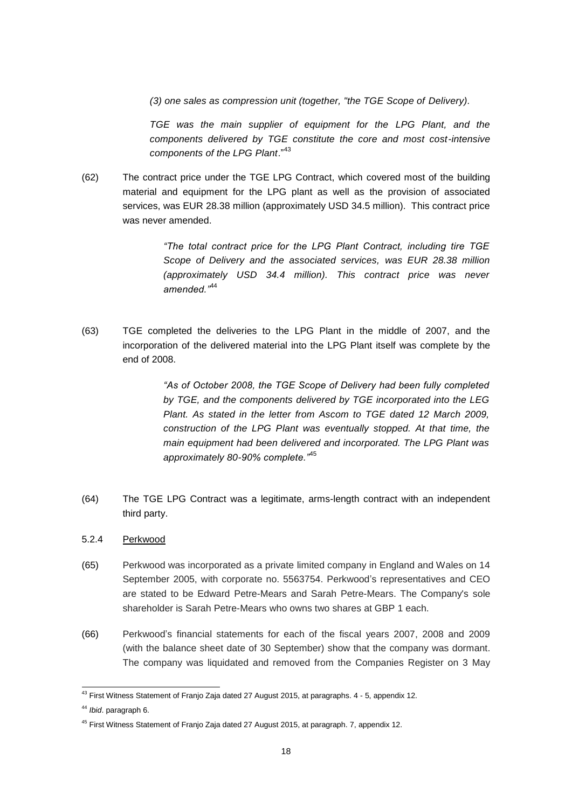*(3) one sales as compression unit (together, "the TGE Scope of Delivery).*

*TGE was the main supplier of equipment for the LPG Plant, and the components delivered by TGE constitute the core and most cost-intensive components of the LPG Plant*."<sup>43</sup>

(62) The contract price under the TGE LPG Contract, which covered most of the building material and equipment for the LPG plant as well as the provision of associated services, was EUR 28.38 million (approximately USD 34.5 million). This contract price was never amended.

> *"The total contract price for the LPG Plant Contract, including tire TGE Scope of Delivery and the associated services, was EUR 28.38 million (approximately USD 34.4 million). This contract price was never amended."*<sup>44</sup>

(63) TGE completed the deliveries to the LPG Plant in the middle of 2007, and the incorporation of the delivered material into the LPG Plant itself was complete by the end of 2008.

> *"As of October 2008, the TGE Scope of Delivery had been fully completed by TGE, and the components delivered by TGE incorporated into the LEG Plant. As stated in the letter from Ascom to TGE dated 12 March 2009, construction of the LPG Plant was eventually stopped. At that time, the main equipment had been delivered and incorporated. The LPG Plant was approximately 80-90% complete."*<sup>45</sup>

- (64) The TGE LPG Contract was a legitimate, arms-length contract with an independent third party.
- 5.2.4 Perkwood
- (65) Perkwood was incorporated as a private limited company in England and Wales on 14 September 2005, with corporate no. 5563754. Perkwood's representatives and CEO are stated to be Edward Petre-Mears and Sarah Petre-Mears. The Company's sole shareholder is Sarah Petre-Mears who owns two shares at GBP 1 each.
- (66) Perkwood's financial statements for each of the fiscal years 2007, 2008 and 2009 (with the balance sheet date of 30 September) show that the company was dormant. The company was liquidated and removed from the Companies Register on 3 May

<sup>-</sup> $^{43}$  First Witness Statement of Franjo Zaja dated 27 August 2015, at paragraphs. 4 - 5, appendix 12.

<sup>44</sup> *Ibid*. paragraph 6.

<sup>&</sup>lt;sup>45</sup> First Witness Statement of Franjo Zaja dated 27 August 2015, at paragraph. 7, appendix 12.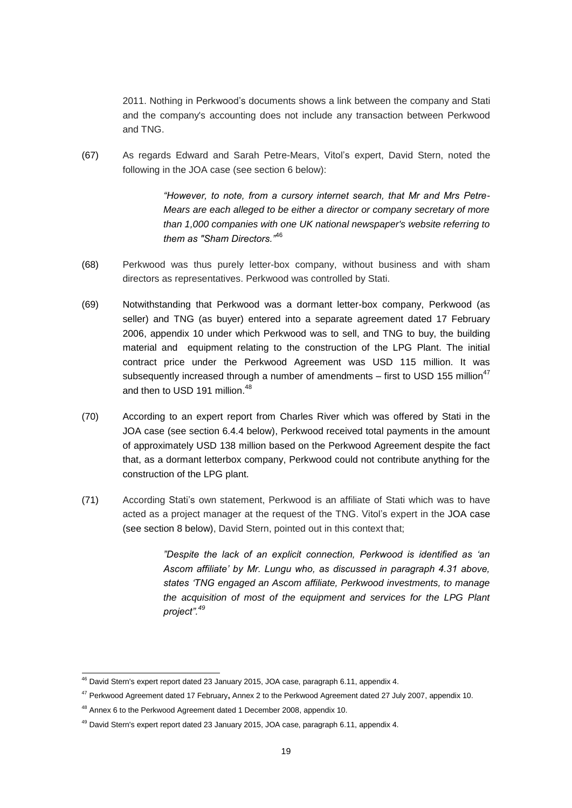2011. Nothing in Perkwood's documents shows a link between the company and Stati and the company's accounting does not include any transaction between Perkwood and TNG.

(67) As regards Edward and Sarah Petre-Mears, Vitol's expert, David Stern, noted the following in the JOA case (see section 6 below):

> *"However, to note, from a cursory internet search, that Mr and Mrs Petre-Mears are each alleged to be either a director or company secretary of more than 1,000 companies with one UK national newspaper's website referring to them as "Sham Directors."*<sup>46</sup>

- (68) Perkwood was thus purely letter-box company, without business and with sham directors as representatives. Perkwood was controlled by Stati.
- (69) Notwithstanding that Perkwood was a dormant letter-box company, Perkwood (as seller) and TNG (as buyer) entered into a separate agreement dated 17 February 2006, appendix 10 under which Perkwood was to sell, and TNG to buy, the building material and equipment relating to the construction of the LPG Plant. The initial contract price under the Perkwood Agreement was USD 115 million. It was subsequently increased through a number of amendments  $-$  first to USD 155 million<sup>47</sup> and then to USD 191 million. $^{48}$
- (70) According to an expert report from Charles River which was offered by Stati in the JOA case (see section 6.4.4 below), Perkwood received total payments in the amount of approximately USD 138 million based on the Perkwood Agreement despite the fact that, as a dormant letterbox company, Perkwood could not contribute anything for the construction of the LPG plant.
- (71) According Stati's own statement, Perkwood is an affiliate of Stati which was to have acted as a project manager at the request of the TNG. Vitol's expert in the JOA case (see section 8 below), David Stern, pointed out in this context that;

*"Despite the lack of an explicit connection, Perkwood is identified as 'an Ascom affiliate' by Mr. Lungu who, as discussed in paragraph 4.31 above, states 'TNG engaged an Ascom affiliate, Perkwood investments, to manage the acquisition of most of the equipment and services for the LPG Plant project".<sup>49</sup>*

<sup>-</sup> $^{46}$  David Stern's expert report dated 23 January 2015, JOA case, paragraph 6.11, appendix 4.

<sup>47</sup> Perkwood Agreement dated 17 February**,** Annex 2 to the Perkwood Agreement dated 27 July 2007, appendix 10.

<sup>48</sup> Annex 6 to the Perkwood Agreement dated 1 December 2008, appendix 10.

 $49$  David Stern's expert report dated 23 January 2015, JOA case, paragraph 6.11, appendix 4.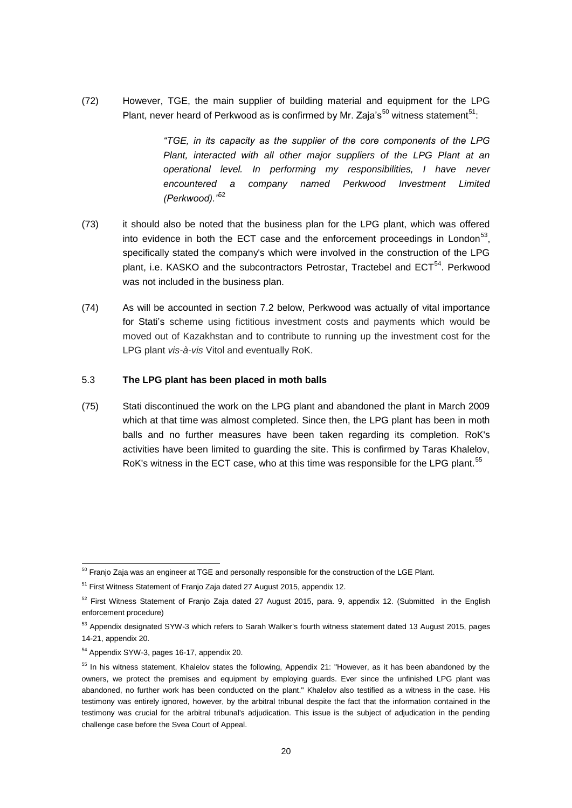(72) However, TGE, the main supplier of building material and equipment for the LPG Plant, never heard of Perkwood as is confirmed by Mr. Zaja's<sup>50</sup> witness statement<sup>51</sup>:

> *"TGE, in its capacity as the supplier of the core components of the LPG Plant, interacted with all other major suppliers of the LPG Plant at an operational level. In performing my responsibilities, I have never encountered a company named Perkwood Investment Limited (Perkwood)."*<sup>52</sup>

- (73) it should also be noted that the business plan for the LPG plant, which was offered into evidence in both the ECT case and the enforcement proceedings in London<sup>53</sup>, specifically stated the company's which were involved in the construction of the LPG plant, i.e. KASKO and the subcontractors Petrostar, Tractebel and ECT<sup>54</sup>. Perkwood was not included in the business plan.
- (74) As will be accounted in section 7.2 below, Perkwood was actually of vital importance for Stati's scheme using fictitious investment costs and payments which would be moved out of Kazakhstan and to contribute to running up the investment cost for the LPG plant *vis-à-vis* Vitol and eventually RoK.

#### 5.3 **The LPG plant has been placed in moth balls**

(75) Stati discontinued the work on the LPG plant and abandoned the plant in March 2009 which at that time was almost completed. Since then, the LPG plant has been in moth balls and no further measures have been taken regarding its completion. RoK's activities have been limited to guarding the site. This is confirmed by Taras Khalelov, RoK's witness in the ECT case, who at this time was responsible for the LPG plant.<sup>55</sup>

<sup>-</sup> $^{50}$  Franjo Zaja was an engineer at TGE and personally responsible for the construction of the LGE Plant.

<sup>&</sup>lt;sup>51</sup> First Witness Statement of Franio Zaia dated 27 August 2015, appendix 12.

 $52$  First Witness Statement of Franio Zaia dated 27 August 2015, para. 9, appendix 12. (Submitted in the English enforcement procedure)

<sup>&</sup>lt;sup>53</sup> Appendix designated SYW-3 which refers to Sarah Walker's fourth witness statement dated 13 August 2015, pages 14-21, appendix 20.

<sup>54</sup> Appendix SYW-3, pages 16-17, appendix 20.

<sup>&</sup>lt;sup>55</sup> In his witness statement, Khalelov states the following, Appendix 21: "However, as it has been abandoned by the owners, we protect the premises and equipment by employing guards. Ever since the unfinished LPG plant was abandoned, no further work has been conducted on the plant." Khalelov also testified as a witness in the case. His testimony was entirely ignored, however, by the arbitral tribunal despite the fact that the information contained in the testimony was crucial for the arbitral tribunal's adjudication. This issue is the subject of adjudication in the pending challenge case before the Svea Court of Appeal.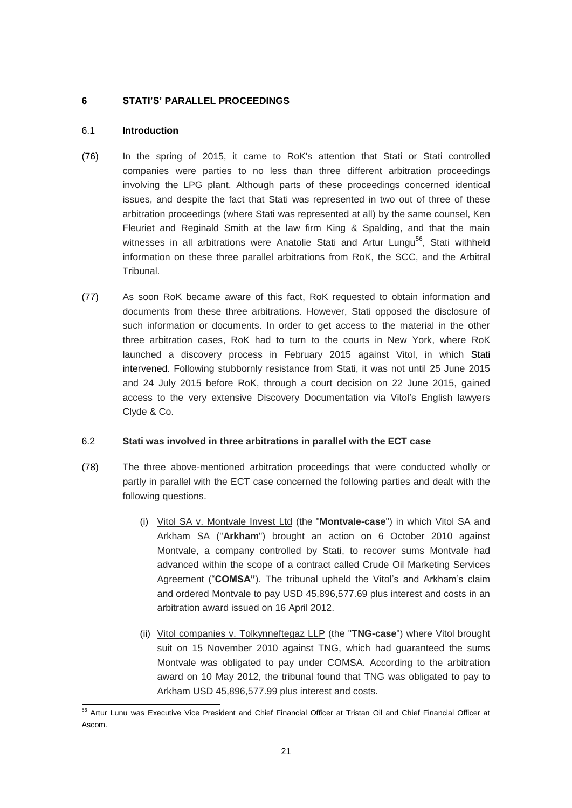## <span id="page-20-0"></span>**6 STATI'S' PARALLEL PROCEEDINGS**

### <span id="page-20-1"></span>6.1 **Introduction**

- (76) In the spring of 2015, it came to RoK's attention that Stati or Stati controlled companies were parties to no less than three different arbitration proceedings involving the LPG plant. Although parts of these proceedings concerned identical issues, and despite the fact that Stati was represented in two out of three of these arbitration proceedings (where Stati was represented at all) by the same counsel, Ken Fleuriet and Reginald Smith at the law firm King & Spalding, and that the main witnesses in all arbitrations were Anatolie Stati and Artur Lungu<sup>56</sup>, Stati withheld information on these three parallel arbitrations from RoK, the SCC, and the Arbitral Tribunal.
- (77) As soon RoK became aware of this fact, RoK requested to obtain information and documents from these three arbitrations. However, Stati opposed the disclosure of such information or documents. In order to get access to the material in the other three arbitration cases, RoK had to turn to the courts in New York, where RoK launched a discovery process in February 2015 against Vitol, in which Stati intervened. Following stubbornly resistance from Stati, it was not until 25 June 2015 and 24 July 2015 before RoK, through a court decision on 22 June 2015, gained access to the very extensive Discovery Documentation via Vitol's English lawyers Clyde & Co.

### <span id="page-20-2"></span>6.2 **Stati was involved in three arbitrations in parallel with the ECT case**

- (78) The three above-mentioned arbitration proceedings that were conducted wholly or partly in parallel with the ECT case concerned the following parties and dealt with the following questions.
	- (i) Vitol SA v. Montvale Invest Ltd (the "**Montvale-case**") in which Vitol SA and Arkham SA ("**Arkham**") brought an action on 6 October 2010 against Montvale, a company controlled by Stati, to recover sums Montvale had advanced within the scope of a contract called Crude Oil Marketing Services Agreement ("**COMSA"**). The tribunal upheld the Vitol's and Arkham's claim and ordered Montvale to pay USD 45,896,577.69 plus interest and costs in an arbitration award issued on 16 April 2012.
	- (ii) Vitol companies v. Tolkynneftegaz LLP (the "**TNG-case**") where Vitol brought suit on 15 November 2010 against TNG, which had guaranteed the sums Montvale was obligated to pay under COMSA. According to the arbitration award on 10 May 2012, the tribunal found that TNG was obligated to pay to Arkham USD 45,896,577.99 plus interest and costs.

<sup>-</sup><sup>56</sup> Artur Lunu was Executive Vice President and Chief Financial Officer at Tristan Oil and Chief Financial Officer at Ascom.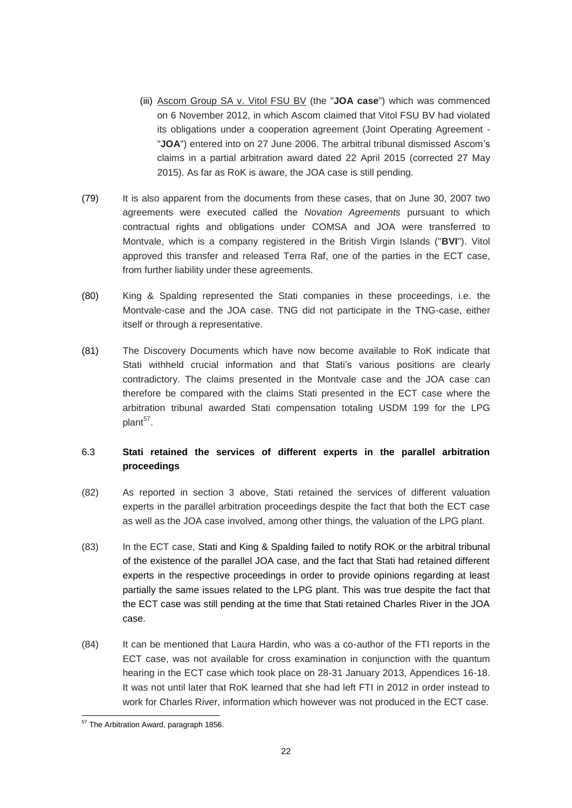- (iii) Ascom Group SA v. Vitol FSU BV (the "**JOA case**") which was commenced on 6 November 2012, in which Ascom claimed that Vitol FSU BV had violated its obligations under a cooperation agreement (Joint Operating Agreement - "**JOA**") entered into on 27 June 2006. The arbitral tribunal dismissed Ascom's claims in a partial arbitration award dated 22 April 2015 (corrected 27 May 2015). As far as RoK is aware, the JOA case is still pending.
- (79) It is also apparent from the documents from these cases, that on June 30, 2007 two agreements were executed called the *Novation Agreements* pursuant to which contractual rights and obligations under COMSA and JOA were transferred to Montvale, which is a company registered in the British Virgin Islands ("**BVI**"). Vitol approved this transfer and released Terra Raf, one of the parties in the ECT case, from further liability under these agreements.
- (80) King & Spalding represented the Stati companies in these proceedings, i.e. the Montvale-case and the JOA case. TNG did not participate in the TNG-case, either itself or through a representative.
- (81) The Discovery Documents which have now become available to RoK indicate that Stati withheld crucial information and that Stati's various positions are clearly contradictory. The claims presented in the Montvale case and the JOA case can therefore be compared with the claims Stati presented in the ECT case where the arbitration tribunal awarded Stati compensation totaling USDM 199 for the LPG plant<sup>57</sup>.

# <span id="page-21-0"></span>6.3 **Stati retained the services of different experts in the parallel arbitration proceedings**

- (82) As reported in section 3 above, Stati retained the services of different valuation experts in the parallel arbitration proceedings despite the fact that both the ECT case as well as the JOA case involved, among other things, the valuation of the LPG plant.
- (83) In the ECT case, Stati and King & Spalding failed to notify ROK or the arbitral tribunal of the existence of the parallel JOA case, and the fact that Stati had retained different experts in the respective proceedings in order to provide opinions regarding at least partially the same issues related to the LPG plant. This was true despite the fact that the ECT case was still pending at the time that Stati retained Charles River in the JOA case.
- (84) It can be mentioned that Laura Hardin, who was a co-author of the FTI reports in the ECT case, was not available for cross examination in conjunction with the quantum hearing in the ECT case which took place on 28-31 January 2013, Appendices 16-18. It was not until later that RoK learned that she had left FTI in 2012 in order instead to work for Charles River, information which however was not produced in the ECT case.

<sup>-</sup><sup>57</sup> The Arbitration Award, paragraph 1856.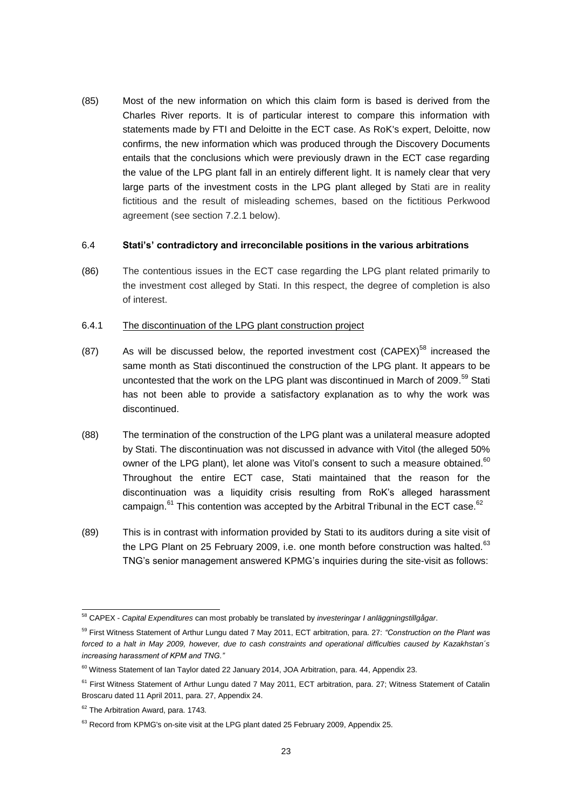(85) Most of the new information on which this claim form is based is derived from the Charles River reports. It is of particular interest to compare this information with statements made by FTI and Deloitte in the ECT case. As RoK's expert, Deloitte, now confirms, the new information which was produced through the Discovery Documents entails that the conclusions which were previously drawn in the ECT case regarding the value of the LPG plant fall in an entirely different light. It is namely clear that very large parts of the investment costs in the LPG plant alleged by Stati are in reality fictitious and the result of misleading schemes, based on the fictitious Perkwood agreement (see section 7.2.1 below).

### 6.4 **Stati's' contradictory and irreconcilable positions in the various arbitrations**

(86) The contentious issues in the ECT case regarding the LPG plant related primarily to the investment cost alleged by Stati. In this respect, the degree of completion is also of interest.

### 6.4.1 The discontinuation of the LPG plant construction project

- $(87)$  As will be discussed below, the reported investment cost  $(CAPEX)^{58}$  increased the same month as Stati discontinued the construction of the LPG plant. It appears to be uncontested that the work on the LPG plant was discontinued in March of 2009.<sup>59</sup> Stati has not been able to provide a satisfactory explanation as to why the work was discontinued.
- (88) The termination of the construction of the LPG plant was a unilateral measure adopted by Stati. The discontinuation was not discussed in advance with Vitol (the alleged 50% owner of the LPG plant), let alone was Vitol's consent to such a measure obtained.<sup>60</sup> Throughout the entire ECT case, Stati maintained that the reason for the discontinuation was a liquidity crisis resulting from RoK's alleged harassment campaign.<sup>61</sup> This contention was accepted by the Arbitral Tribunal in the ECT case.<sup>62</sup>
- (89) This is in contrast with information provided by Stati to its auditors during a site visit of the LPG Plant on 25 February 2009, i.e. one month before construction was halted.<sup>63</sup> TNG's senior management answered KPMG's inquiries during the site-visit as follows:

<sup>-</sup><sup>58</sup> CAPEX - *Capital Expenditures* can most probably be translated by *investeringar I anläggningstillgågar*.

<sup>59</sup> First Witness Statement of Arthur Lungu dated 7 May 2011, ECT arbitration, para. 27: *"Construction on the Plant was forced to a halt in May 2009, however, due to cash constraints and operational difficulties caused by Kazakhstan´s increasing harassment of KPM and TNG."*

 $60$  Witness Statement of Ian Taylor dated 22 January 2014, JOA Arbitration, para. 44, Appendix 23.

 $61$  First Witness Statement of Arthur Lungu dated 7 May 2011, ECT arbitration, para. 27; Witness Statement of Catalin Broscaru dated 11 April 2011, para. 27, Appendix 24.

<sup>&</sup>lt;sup>62</sup> The Arbitration Award, para. 1743.

 $63$  Record from KPMG's on-site visit at the LPG plant dated 25 February 2009, Appendix 25.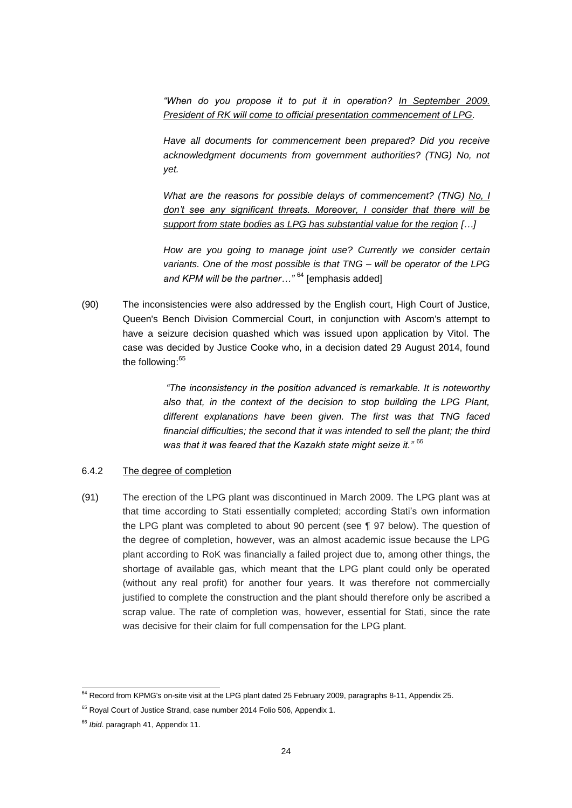"When do you propose it to put it in operation? In September 2009. *President of RK will come to official presentation commencement of LPG.* 

*Have all documents for commencement been prepared? Did you receive acknowledgment documents from government authorities? (TNG) No, not yet.* 

*What are the reasons for possible delays of commencement? (TNG) No, I don't see any significant threats. Moreover, I consider that there will be support from state bodies as LPG has substantial value for the region […]*

*How are you going to manage joint use? Currently we consider certain variants. One of the most possible is that TNG – will be operator of the LPG and KPM will be the partner…"* <sup>64</sup> [emphasis added]

(90) The inconsistencies were also addressed by the English court, High Court of Justice, Queen's Bench Division Commercial Court, in conjunction with Ascom's attempt to have a seizure decision quashed which was issued upon application by Vitol. The case was decided by Justice Cooke who, in a decision dated 29 August 2014, found the following:<sup>65</sup>

> *"The inconsistency in the position advanced is remarkable. It is noteworthy also that, in the context of the decision to stop building the LPG Plant, different explanations have been given. The first was that TNG faced financial difficulties; the second that it was intended to sell the plant; the third was that it was feared that the Kazakh state might seize it."* <sup>66</sup>

### 6.4.2 The degree of completion

(91) The erection of the LPG plant was discontinued in March 2009. The LPG plant was at that time according to Stati essentially completed; according Stati's own information the LPG plant was completed to about 90 percent (see ¶ 97 below). The question of the degree of completion, however, was an almost academic issue because the LPG plant according to RoK was financially a failed project due to, among other things, the shortage of available gas, which meant that the LPG plant could only be operated (without any real profit) for another four years. It was therefore not commercially justified to complete the construction and the plant should therefore only be ascribed a scrap value. The rate of completion was, however, essential for Stati, since the rate was decisive for their claim for full compensation for the LPG plant.

-

 $^{64}$  Record from KPMG's on-site visit at the LPG plant dated 25 February 2009, paragraphs 8-11, Appendix 25.

<sup>&</sup>lt;sup>65</sup> Royal Court of Justice Strand, case number 2014 Folio 506, Appendix 1.

<sup>66</sup> *Ibid*. paragraph 41, Appendix 11.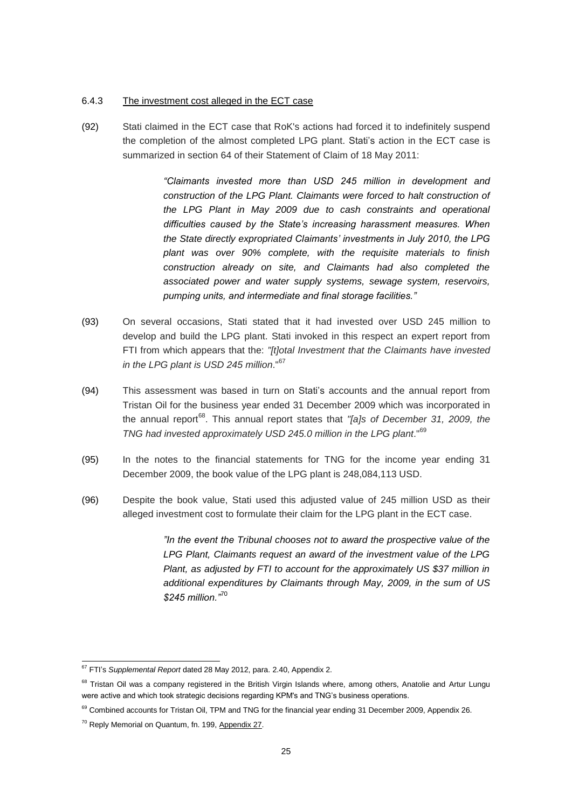#### 6.4.3 The investment cost alleged in the ECT case

(92) Stati claimed in the ECT case that RoK's actions had forced it to indefinitely suspend the completion of the almost completed LPG plant. Stati's action in the ECT case is summarized in section 64 of their Statement of Claim of 18 May 2011:

> *"Claimants invested more than USD 245 million in development and construction of the LPG Plant. Claimants were forced to halt construction of the LPG Plant in May 2009 due to cash constraints and operational difficulties caused by the State's increasing harassment measures. When the State directly expropriated Claimants' investments in July 2010, the LPG plant was over 90% complete, with the requisite materials to finish construction already on site, and Claimants had also completed the associated power and water supply systems, sewage system, reservoirs, pumping units, and intermediate and final storage facilities."*

- (93) On several occasions, Stati stated that it had invested over USD 245 million to develop and build the LPG plant. Stati invoked in this respect an expert report from FTI from which appears that the: *"[t]otal Investment that the Claimants have invested in the LPG plant is USD 245 million*."<sup>67</sup>
- (94) This assessment was based in turn on Stati's accounts and the annual report from Tristan Oil for the business year ended 31 December 2009 which was incorporated in the annual report<sup>68</sup>. This annual report states that "[a]s of December 31, 2009, the *TNG had invested approximately USD 245.0 million in the LPG plant*."<sup>69</sup>
- (95) In the notes to the financial statements for TNG for the income year ending 31 December 2009, the book value of the LPG plant is 248,084,113 USD.
- (96) Despite the book value, Stati used this adjusted value of 245 million USD as their alleged investment cost to formulate their claim for the LPG plant in the ECT case.

*"In the event the Tribunal chooses not to award the prospective value of the LPG Plant, Claimants request an award of the investment value of the LPG Plant, as adjusted by FTI to account for the approximately US \$37 million in additional expenditures by Claimants through May, 2009, in the sum of US \$245 million."*<sup>70</sup>

<sup>-</sup><sup>67</sup> FTI's *Supplemental Report* dated 28 May 2012, para. 2.40, Appendix 2.

<sup>&</sup>lt;sup>68</sup> Tristan Oil was a company registered in the British Virgin Islands where, among others, Anatolie and Artur Lungu were active and which took strategic decisions regarding KPM's and TNG's business operations.

<sup>&</sup>lt;sup>69</sup> Combined accounts for Tristan Oil, TPM and TNG for the financial year ending 31 December 2009, Appendix 26.

 $70$  Reply Memorial on Quantum, fn. 199, Appendix 27.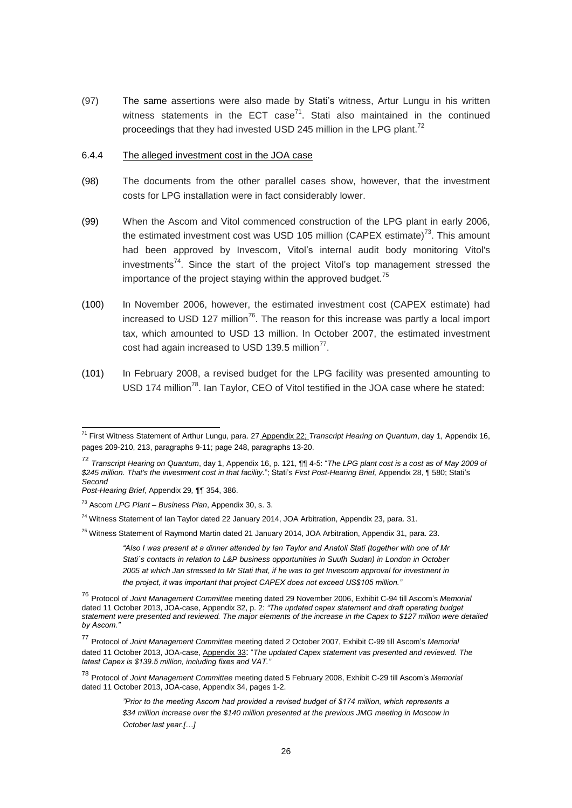(97) The same assertions were also made by Stati's witness, Artur Lungu in his written witness statements in the ECT case<sup>71</sup>. Stati also maintained in the continued proceedings that they had invested USD 245 million in the LPG plant.<sup>72</sup>

#### 6.4.4 The alleged investment cost in the JOA case

- (98) The documents from the other parallel cases show, however, that the investment costs for LPG installation were in fact considerably lower.
- (99) When the Ascom and Vitol commenced construction of the LPG plant in early 2006, the estimated investment cost was USD 105 million (CAPEX estimate)<sup>73</sup>. This amount had been approved by Invescom, Vitol's internal audit body monitoring Vitol's investments<sup>74</sup>. Since the start of the project Vitol's top management stressed the importance of the project staying within the approved budget. $75$
- (100) In November 2006, however, the estimated investment cost (CAPEX estimate) had increased to USD 127 million<sup>76</sup>. The reason for this increase was partly a local import tax, which amounted to USD 13 million. In October 2007, the estimated investment cost had again increased to USD 139.5 million $^{77}$ .
- (101) In February 2008, a revised budget for the LPG facility was presented amounting to USD 174 million<sup>78</sup>. Ian Taylor, CEO of Vitol testified in the JOA case where he stated:

-

<sup>71</sup> First Witness Statement of Arthur Lungu, para. 27 Appendix 22; *Transcript Hearing on Quantum*, day 1, Appendix 16, pages 209-210, 213, paragraphs 9-11; page 248, paragraphs 13-20.

<sup>72</sup> *Transcript Hearing on Quantum*, day 1, Appendix 16, p. 121, ¶¶ 4-5: "*The LPG plant cost is a cost as of May 2009 of \$245 million. That's the investment cost in that facility.*"; Stati's *First Post-Hearing Brief,* Appendix 28, ¶ 580; Stati's *Second*

*Post-Hearing Brief*, Appendix 29*,* ¶¶ 354, 386.

<sup>73</sup> Ascom *LPG Plant – Business Plan*, Appendix 30, s. 3.

<sup>&</sup>lt;sup>74</sup> Witness Statement of Ian Taylor dated 22 January 2014, JOA Arbitration, Appendix 23, para. 31.

<sup>&</sup>lt;sup>75</sup> Witness Statement of Raymond Martin dated 21 January 2014, JOA Arbitration, Appendix 31, para. 23.

*<sup>&</sup>quot;Also I was present at a dinner attended by Ian Taylor and Anatoli Stati (together with one of Mr Stati´s contacts in relation to L&P business opportunities in Suufh Sudan) in London in October 2005 at which Jan stressed to Mr Stati that, if he was to get Invescom approval for investment in the project, it was important that project CAPEX does not exceed US\$105 million."* 

<sup>76</sup> Protocol of *Joint Management Committee* meeting dated 29 November 2006, Exhibit C-94 till Ascom's *Memorial* dated 11 October 2013, JOA-case, Appendix 32, p. 2: *"The updated capex statement and draft operating budget statement were presented and reviewed. The major elements of the increase in the Capex to \$127 million were detailed by Ascom."*

<sup>77</sup> Protocol of *Joint Management Committee* meeting dated <sup>2</sup> October 2007, Exhibit C-99 till Ascom's *Memorial* dated 11 October 2013, JOA-case, Appendix 33: "*The updated Capex statement vas presented and reviewed. The latest Capex is \$139.5 million, including fixes and VAT."*

<sup>78</sup> Protocol of *Joint Management Committee* meeting dated 5 February 2008, Exhibit C-29 till Ascom's *Memorial* dated 11 October 2013, JOA-case, Appendix 34, pages 1-2.

*<sup>&</sup>quot;Prior to the meeting Ascom had provided a revised budget of \$174 million, which represents a \$34 million increase over the \$140 million presented at the previous JMG meeting in Moscow in October last year.[…]*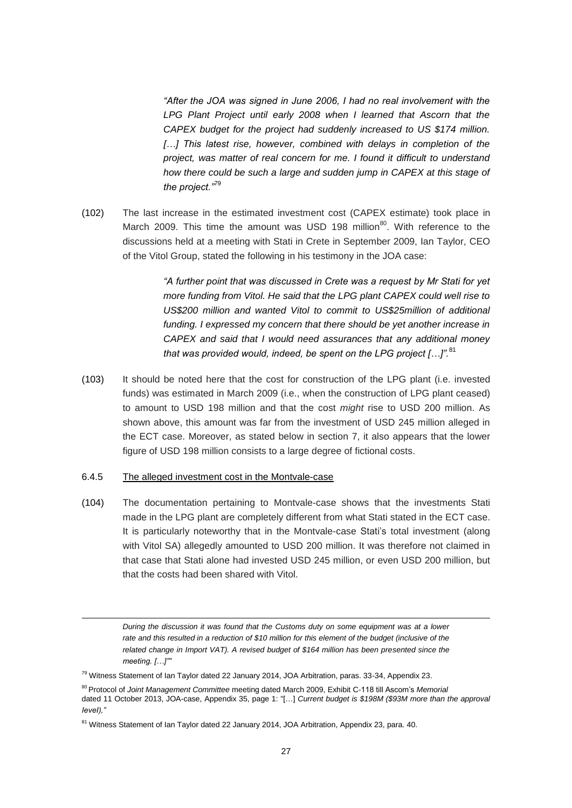*"After the JOA was signed in June 2006, I had no real involvement with the LPG Plant Project until early 2008 when I learned that Ascorn that the CAPEX budget for the project had suddenly increased to US \$174 million. […] This latest rise, however, combined with delays in completion of the project, was matter of real concern for me. I found it difficult to understand how there could be such a large and sudden jump in CAPEX at this stage of the project."*<sup>79</sup>

(102) The last increase in the estimated investment cost (CAPEX estimate) took place in March 2009. This time the amount was USD 198 million<sup>80</sup>. With reference to the discussions held at a meeting with Stati in Crete in September 2009, Ian Taylor, CEO of the Vitol Group, stated the following in his testimony in the JOA case:

> *"A further point that was discussed in Crete was a request by Mr Stati for yet more funding from Vitol. He said that the LPG plant CAPEX could well rise to US\$200 million and wanted Vitol to commit to US\$25million of additional funding. I expressed my concern that there should be yet another increase in CAPEX and said that I would need assurances that any additional money that was provided would, indeed, be spent on the LPG project […]".*<sup>81</sup>

(103) It should be noted here that the cost for construction of the LPG plant (i.e. invested funds) was estimated in March 2009 (i.e., when the construction of LPG plant ceased) to amount to USD 198 million and that the cost *might* rise to USD 200 million. As shown above, this amount was far from the investment of USD 245 million alleged in the ECT case. Moreover, as stated below in section 7, it also appears that the lower figure of USD 198 million consists to a large degree of fictional costs.

#### 6.4.5 The alleged investment cost in the Montvale-case

-

(104) The documentation pertaining to Montvale-case shows that the investments Stati made in the LPG plant are completely different from what Stati stated in the ECT case. It is particularly noteworthy that in the Montvale-case Stati's total investment (along with Vitol SA) allegedly amounted to USD 200 million. It was therefore not claimed in that case that Stati alone had invested USD 245 million, or even USD 200 million, but that the costs had been shared with Vitol.

*During the discussion it was found that the Customs duty on some equipment was at a lower rate and this resulted in a reduction of \$10 million for this element of the budget (inclusive of the related change in Import VAT). A revised budget of \$164 million has been presented since the meeting. […]""*

<sup>&</sup>lt;sup>79</sup> Witness Statement of Ian Taylor dated 22 January 2014, JOA Arbitration, paras. 33-34, Appendix 23.

<sup>80</sup> Protocol of *Joint Management Committee* meeting dated March 2009, Exhibit C-118 till Ascom's *Memorial* dated 11 October 2013, JOA-case, Appendix 35, page 1: "[…] *Current budget is \$198M (\$93M more than the approval IeveI),"*

<sup>&</sup>lt;sup>81</sup> Witness Statement of Ian Taylor dated 22 January 2014, JOA Arbitration, Appendix 23, para. 40.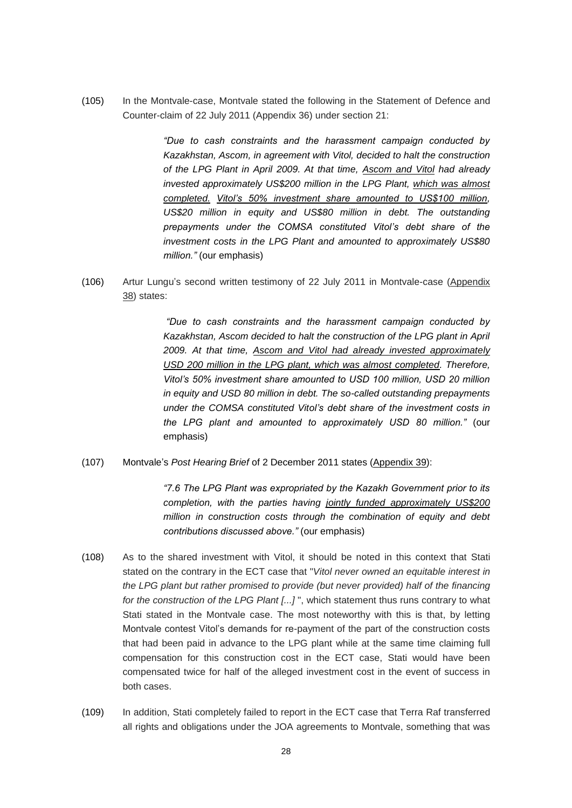(105) In the Montvale-case, Montvale stated the following in the Statement of Defence and Counter-claim of 22 July 2011 (Appendix 36) under section 21:

> *"Due to cash constraints and the harassment campaign conducted by Kazakhstan, Ascom, in agreement with Vitol, decided to halt the construction of the LPG Plant in April 2009. At that time, Ascom and Vitol had already invested approximately US\$200 million in the LPG Plant, which was almost completed. Vitol's 50% investment share amounted to US\$100 million, US\$20 million in equity and US\$80 million in debt. The outstanding prepayments under the COMSA constituted Vitol's debt share of the investment costs in the LPG Plant and amounted to approximately US\$80 million."* (our emphasis)

(106) Artur Lungu's second written testimony of 22 July 2011 in Montvale-case (Appendix 38) states:

> *"Due to cash constraints and the harassment campaign conducted by Kazakhstan, Ascom decided to halt the construction of the LPG plant in April 2009. At that time, Ascom and Vitol had already invested approximately USD 200 million in the LPG plant, which was almost completed. Therefore, Vitol's 50% investment share amounted to USD 100 million, USD 20 million in equity and USD 80 million in debt. The so-called outstanding prepayments under the COMSA constituted Vitol's debt share of the investment costs in the LPG plant and amounted to approximately USD 80 million."* (our emphasis)

(107) Montvale's *Post Hearing Brief* of 2 December 2011 states (Appendix 39):

*"7.6 The LPG Plant was expropriated by the Kazakh Government prior to its completion, with the parties having jointly funded approximately US\$200 million in construction costs through the combination of equity and debt contributions discussed above."* (our emphasis)

- (108) As to the shared investment with Vitol, it should be noted in this context that Stati stated on the contrary in the ECT case that "*Vitol never owned an equitable interest in the LPG plant but rather promised to provide (but never provided) half of the financing for the construction of the LPG Plant [...]* ", which statement thus runs contrary to what Stati stated in the Montvale case. The most noteworthy with this is that, by letting Montvale contest Vitol's demands for re-payment of the part of the construction costs that had been paid in advance to the LPG plant while at the same time claiming full compensation for this construction cost in the ECT case, Stati would have been compensated twice for half of the alleged investment cost in the event of success in both cases.
- (109) In addition, Stati completely failed to report in the ECT case that Terra Raf transferred all rights and obligations under the JOA agreements to Montvale, something that was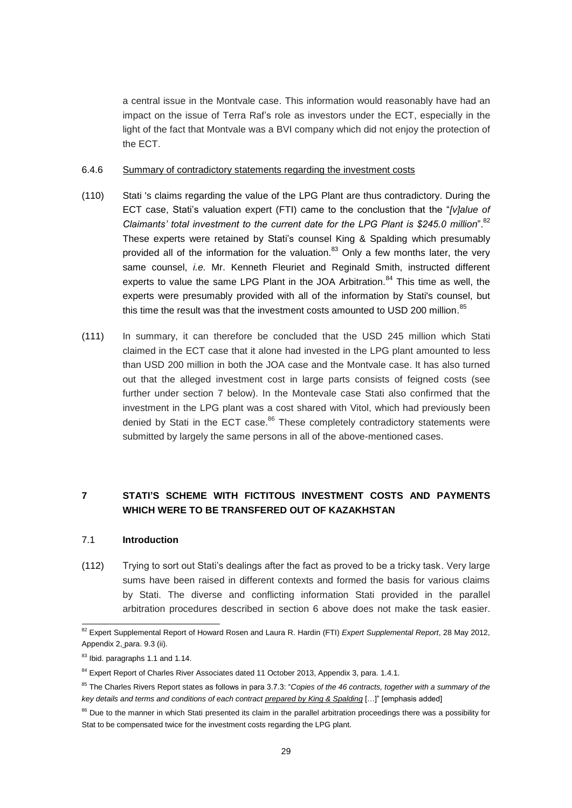a central issue in the Montvale case. This information would reasonably have had an impact on the issue of Terra Raf's role as investors under the ECT, especially in the light of the fact that Montvale was a BVI company which did not enjoy the protection of the ECT.

#### 6.4.6 Summary of contradictory statements regarding the investment costs

- (110) Stati 's claims regarding the value of the LPG Plant are thus contradictory. During the ECT case, Stati's valuation expert (FTI) came to the conclustion that the "*[v]alue of Claimants' total investment to the current date for the LPG Plant is \$245.0 million*".<sup>82</sup> These experts were retained by Stati's counsel King & Spalding which presumably provided all of the information for the valuation.<sup>83</sup> Only a few months later, the very same counsel, *i.e.* Mr. Kenneth Fleuriet and Reginald Smith, instructed different experts to value the same LPG Plant in the JOA Arbitration. $84$  This time as well, the experts were presumably provided with all of the information by Stati's counsel, but this time the result was that the investment costs amounted to USD 200 million.<sup>85</sup>
- (111) In summary, it can therefore be concluded that the USD 245 million which Stati claimed in the ECT case that it alone had invested in the LPG plant amounted to less than USD 200 million in both the JOA case and the Montvale case. It has also turned out that the alleged investment cost in large parts consists of feigned costs (see further under section 7 below). In the Montevale case Stati also confirmed that the investment in the LPG plant was a cost shared with Vitol, which had previously been denied by Stati in the ECT case.<sup>86</sup> These completely contradictory statements were submitted by largely the same persons in all of the above-mentioned cases.

# <span id="page-28-0"></span>**7 STATI'S SCHEME WITH FICTITOUS INVESTMENT COSTS AND PAYMENTS WHICH WERE TO BE TRANSFERED OUT OF KAZAKHSTAN**

### <span id="page-28-1"></span>7.1 **Introduction**

(112) Trying to sort out Stati's dealings after the fact as proved to be a tricky task. Very large sums have been raised in different contexts and formed the basis for various claims by Stati. The diverse and conflicting information Stati provided in the parallel arbitration procedures described in section 6 above does not make the task easier.

-

<sup>82</sup> Expert Supplemental Report of Howard Rosen and Laura R. Hardin (FTI) *Expert Supplemental Report*, 28 May 2012, Appendix 2, para. 9.3 (ii).

<sup>83</sup> Ibid. paragraphs 1.1 and 1.14.

<sup>84</sup> Expert Report of Charles River Associates dated 11 October 2013, Appendix 3, para. 1.4.1.

<sup>85</sup> The Charles Rivers Report states as follows in para 3.7.3: "*Copies of the 46 contracts, together with a summary of the key details and terms and conditions of each contract prepared by King & Spalding* […]" [emphasis added]

<sup>&</sup>lt;sup>86</sup> Due to the manner in which Stati presented its claim in the parallel arbitration proceedings there was a possibility for Stat to be compensated twice for the investment costs regarding the LPG plant.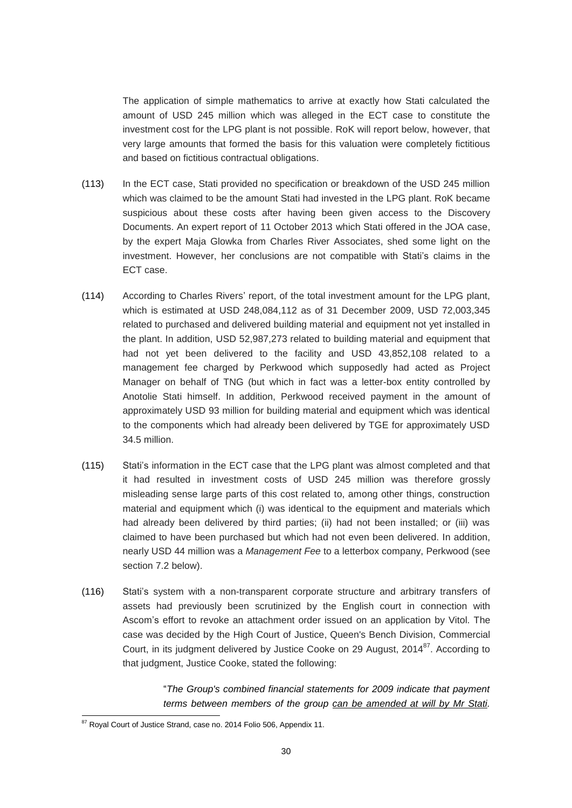The application of simple mathematics to arrive at exactly how Stati calculated the amount of USD 245 million which was alleged in the ECT case to constitute the investment cost for the LPG plant is not possible. RoK will report below, however, that very large amounts that formed the basis for this valuation were completely fictitious and based on fictitious contractual obligations.

- (113) In the ECT case, Stati provided no specification or breakdown of the USD 245 million which was claimed to be the amount Stati had invested in the LPG plant. RoK became suspicious about these costs after having been given access to the Discovery Documents. An expert report of 11 October 2013 which Stati offered in the JOA case, by the expert Maja Glowka from Charles River Associates, shed some light on the investment. However, her conclusions are not compatible with Stati's claims in the ECT case.
- (114) According to Charles Rivers' report, of the total investment amount for the LPG plant, which is estimated at USD 248,084,112 as of 31 December 2009, USD 72,003,345 related to purchased and delivered building material and equipment not yet installed in the plant. In addition, USD 52,987,273 related to building material and equipment that had not yet been delivered to the facility and USD 43,852,108 related to a management fee charged by Perkwood which supposedly had acted as Project Manager on behalf of TNG (but which in fact was a letter-box entity controlled by Anotolie Stati himself. In addition, Perkwood received payment in the amount of approximately USD 93 million for building material and equipment which was identical to the components which had already been delivered by TGE for approximately USD 34.5 million.
- (115) Stati's information in the ECT case that the LPG plant was almost completed and that it had resulted in investment costs of USD 245 million was therefore grossly misleading sense large parts of this cost related to, among other things, construction material and equipment which (i) was identical to the equipment and materials which had already been delivered by third parties; (ii) had not been installed; or (iii) was claimed to have been purchased but which had not even been delivered. In addition, nearly USD 44 million was a *Management Fee* to a letterbox company, Perkwood (see section 7.2 below).
- (116) Stati's system with a non-transparent corporate structure and arbitrary transfers of assets had previously been scrutinized by the English court in connection with Ascom's effort to revoke an attachment order issued on an application by Vitol. The case was decided by the High Court of Justice, Queen's Bench Division, Commercial Court, in its judgment delivered by Justice Cooke on 29 August, 2014<sup>87</sup>. According to that judgment, Justice Cooke, stated the following:

"*The Group's combined financial statements for 2009 indicate that payment terms between members of the group can be amended at will by Mr Stati.* 

<sup>-</sup><sup>87</sup> Royal Court of Justice Strand, case no. 2014 Folio 506, Appendix 11.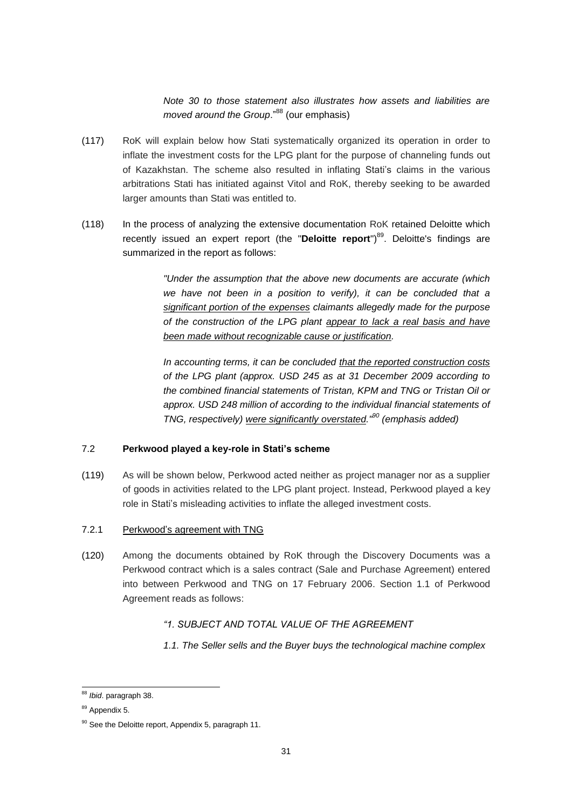*Note 30 to those statement also illustrates how assets and liabilities are moved around the Group.*"<sup>88</sup> (our emphasis)

- (117) RoK will explain below how Stati systematically organized its operation in order to inflate the investment costs for the LPG plant for the purpose of channeling funds out of Kazakhstan. The scheme also resulted in inflating Stati's claims in the various arbitrations Stati has initiated against Vitol and RoK, thereby seeking to be awarded larger amounts than Stati was entitled to.
- (118) In the process of analyzing the extensive documentation RoK retained Deloitte which recently issued an expert report (the "Deloitte report")<sup>89</sup>. Deloitte's findings are summarized in the report as follows:

*"Under the assumption that the above new documents are accurate (which we have not been in a position to verify), it can be concluded that a significant portion of the expenses claimants allegedly made for the purpose of the construction of the LPG plant appear to lack a real basis and have been made without recognizable cause or justification.*

*In accounting terms, it can be concluded that the reported construction costs of the LPG plant (approx. USD 245 as at 31 December 2009 according to the combined financial statements of Tristan, KPM and TNG or Tristan Oil or approx. USD 248 million of according to the individual financial statements of TNG, respectively) were significantly overstated."<sup>90</sup> (emphasis added)*

### <span id="page-30-0"></span>7.2 **Perkwood played a key-role in Stati's scheme**

(119) As will be shown below, Perkwood acted neither as project manager nor as a supplier of goods in activities related to the LPG plant project. Instead, Perkwood played a key role in Stati's misleading activities to inflate the alleged investment costs.

# 7.2.1 Perkwood's agreement with TNG

(120) Among the documents obtained by RoK through the Discovery Documents was a Perkwood contract which is a sales contract (Sale and Purchase Agreement) entered into between Perkwood and TNG on 17 February 2006. Section 1.1 of Perkwood Agreement reads as follows:

# *"1. SUBJECT AND TOTAL VALUE OF THE AGREEMENT*

*1.1. The Seller sells and the Buyer buys the technological machine complex*

<sup>-</sup><sup>88</sup> *Ibid*. paragraph 38.

<sup>89</sup> Appendix 5.

 $90$  See the Deloitte report, Appendix 5, paragraph 11.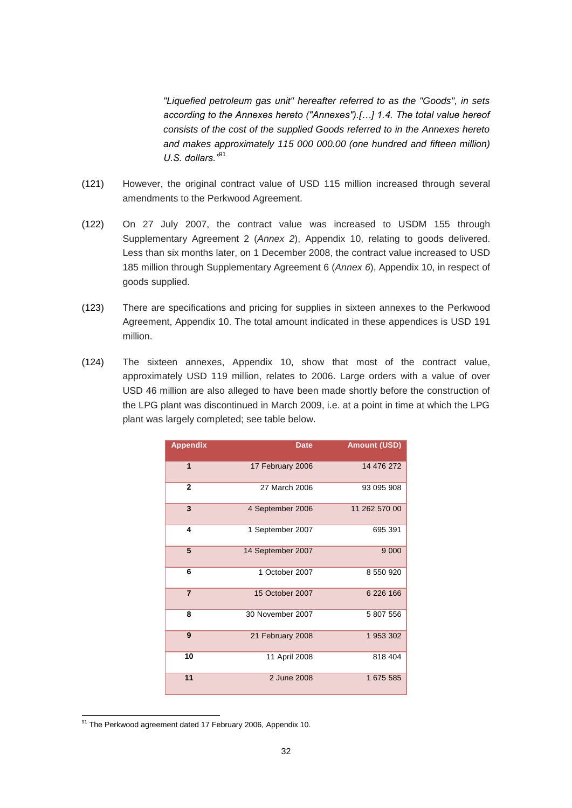*"Liquefied petroleum gas unit" hereafter referred to as the "Goods", in sets according to the Annexes hereto ("Annexes").[…] 1.4. The total value hereof consists of the cost of the supplied Goods referred to in the Annexes hereto and makes approximately 115 000 000.00 (one hundred and fifteen million) U.S. dollars."*<sup>91</sup>

- (121) However, the original contract value of USD 115 million increased through several amendments to the Perkwood Agreement.
- (122) On 27 July 2007, the contract value was increased to USDM 155 through Supplementary Agreement 2 (*Annex 2*), Appendix 10, relating to goods delivered. Less than six months later, on 1 December 2008, the contract value increased to USD 185 million through Supplementary Agreement 6 (*Annex 6*), Appendix 10, in respect of goods supplied.
- (123) There are specifications and pricing for supplies in sixteen annexes to the Perkwood Agreement, Appendix 10. The total amount indicated in these appendices is USD 191 million.
- (124) The sixteen annexes, Appendix 10, show that most of the contract value, approximately USD 119 million, relates to 2006. Large orders with a value of over USD 46 million are also alleged to have been made shortly before the construction of the LPG plant was discontinued in March 2009, i.e. at a point in time at which the LPG plant was largely completed; see table below.

| <b>Appendix</b> | <b>Date</b>       | <b>Amount (USD)</b> |
|-----------------|-------------------|---------------------|
| 1               | 17 February 2006  | 14 476 272          |
| $\mathbf{2}$    | 27 March 2006     | 93 095 908          |
| 3               | 4 September 2006  | 11 262 570 00       |
| 4               | 1 September 2007  | 695 391             |
| 5               | 14 September 2007 | 9 0 0 0             |
| 6               | 1 October 2007    | 8 550 920           |
| $\overline{7}$  | 15 October 2007   | 6 226 166           |
| 8               | 30 November 2007  | 5 807 556           |
| 9               | 21 February 2008  | 1 953 302           |
| 10              | 11 April 2008     | 818 404             |
| 11              | 2 June 2008       | 1 675 585           |

<sup>-</sup><sup>91</sup> The Perkwood agreement dated 17 February 2006, Appendix 10.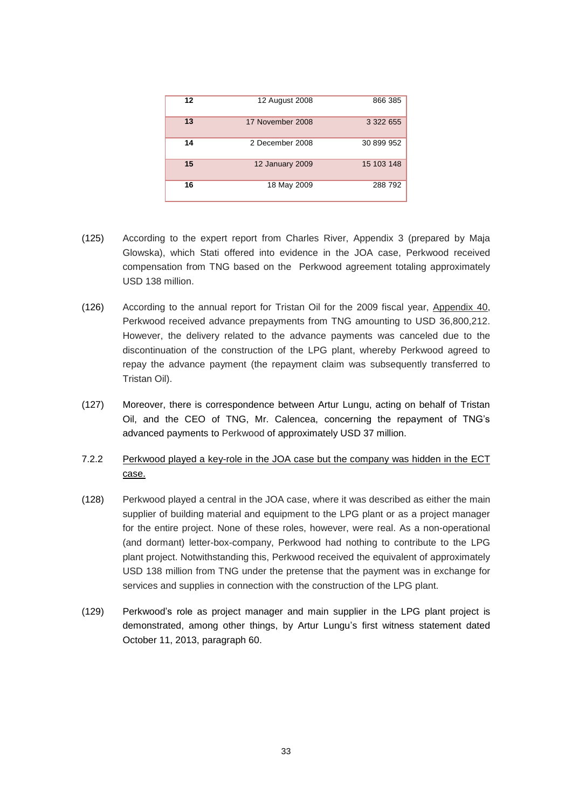| 12 | 12 August 2008         | 866 385    |
|----|------------------------|------------|
| 13 | 17 November 2008       | 3 322 655  |
| 14 | 2 December 2008        | 30 899 952 |
| 15 | <b>12 January 2009</b> | 15 103 148 |
| 16 | 18 May 2009            | 288 792    |

- (125) According to the expert report from Charles River, Appendix 3 (prepared by Maja Glowska), which Stati offered into evidence in the JOA case, Perkwood received compensation from TNG based on the Perkwood agreement totaling approximately USD 138 million.
- (126) According to the annual report for Tristan Oil for the 2009 fiscal year, Appendix 40, Perkwood received advance prepayments from TNG amounting to USD 36,800,212. However, the delivery related to the advance payments was canceled due to the discontinuation of the construction of the LPG plant, whereby Perkwood agreed to repay the advance payment (the repayment claim was subsequently transferred to Tristan Oil).
- (127) Moreover, there is correspondence between Artur Lungu, acting on behalf of Tristan Oil, and the CEO of TNG, Mr. Calencea, concerning the repayment of TNG's advanced payments to Perkwood of approximately USD 37 million.
- 7.2.2 Perkwood played a key-role in the JOA case but the company was hidden in the ECT case.
- (128) Perkwood played a central in the JOA case, where it was described as either the main supplier of building material and equipment to the LPG plant or as a project manager for the entire project. None of these roles, however, were real. As a non-operational (and dormant) letter-box-company, Perkwood had nothing to contribute to the LPG plant project. Notwithstanding this, Perkwood received the equivalent of approximately USD 138 million from TNG under the pretense that the payment was in exchange for services and supplies in connection with the construction of the LPG plant.
- (129) Perkwood's role as project manager and main supplier in the LPG plant project is demonstrated, among other things, by Artur Lungu's first witness statement dated October 11, 2013, paragraph 60.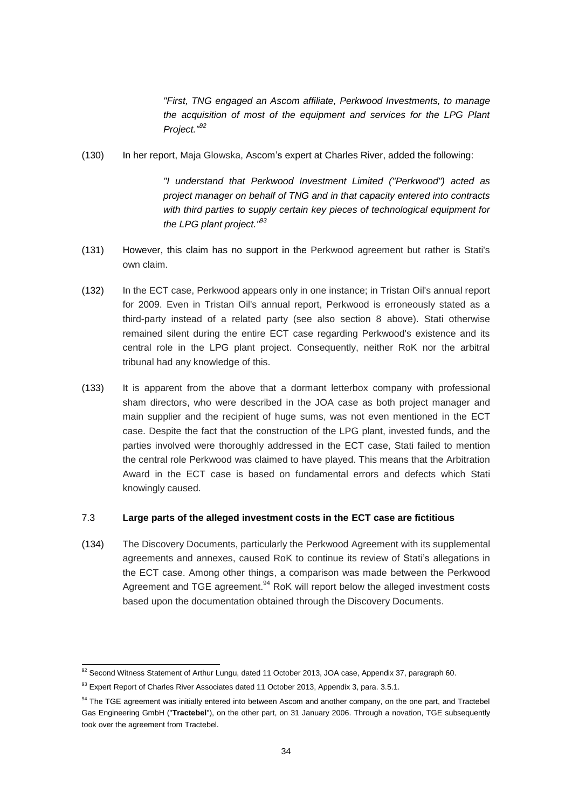*"First, TNG engaged an Ascom affiliate, Perkwood Investments, to manage the acquisition of most of the equipment and services for the LPG Plant Project."<sup>92</sup>*

(130) In her report, Maja Glowska, Ascom's expert at Charles River, added the following:

*"I understand that Perkwood Investment Limited ("Perkwood") acted as project manager on behalf of TNG and in that capacity entered into contracts with third parties to supply certain key pieces of technological equipment for the LPG plant project."<sup>93</sup>*

- (131) However, this claim has no support in the Perkwood agreement but rather is Stati's own claim.
- (132) In the ECT case, Perkwood appears only in one instance; in Tristan Oil's annual report for 2009. Even in Tristan Oil's annual report, Perkwood is erroneously stated as a third-party instead of a related party (see also section 8 above). Stati otherwise remained silent during the entire ECT case regarding Perkwood's existence and its central role in the LPG plant project. Consequently, neither RoK nor the arbitral tribunal had any knowledge of this.
- (133) It is apparent from the above that a dormant letterbox company with professional sham directors, who were described in the JOA case as both project manager and main supplier and the recipient of huge sums, was not even mentioned in the ECT case. Despite the fact that the construction of the LPG plant, invested funds, and the parties involved were thoroughly addressed in the ECT case, Stati failed to mention the central role Perkwood was claimed to have played. This means that the Arbitration Award in the ECT case is based on fundamental errors and defects which Stati knowingly caused.

### <span id="page-33-0"></span>7.3 **Large parts of the alleged investment costs in the ECT case are fictitious**

(134) The Discovery Documents, particularly the Perkwood Agreement with its supplemental agreements and annexes, caused RoK to continue its review of Stati's allegations in the ECT case. Among other things, a comparison was made between the Perkwood Agreement and TGE agreement.<sup>94</sup> RoK will report below the alleged investment costs based upon the documentation obtained through the Discovery Documents.

1

 $92$  Second Witness Statement of Arthur Lungu, dated 11 October 2013, JOA case, Appendix 37, paragraph 60.

<sup>93</sup> Expert Report of Charles River Associates dated 11 October 2013, Appendix 3, para. 3.5.1.

<sup>&</sup>lt;sup>94</sup> The TGE agreement was initially entered into between Ascom and another company, on the one part, and Tractebel Gas Engineering GmbH ("**Tractebel**"), on the other part, on 31 January 2006. Through a novation, TGE subsequently took over the agreement from Tractebel.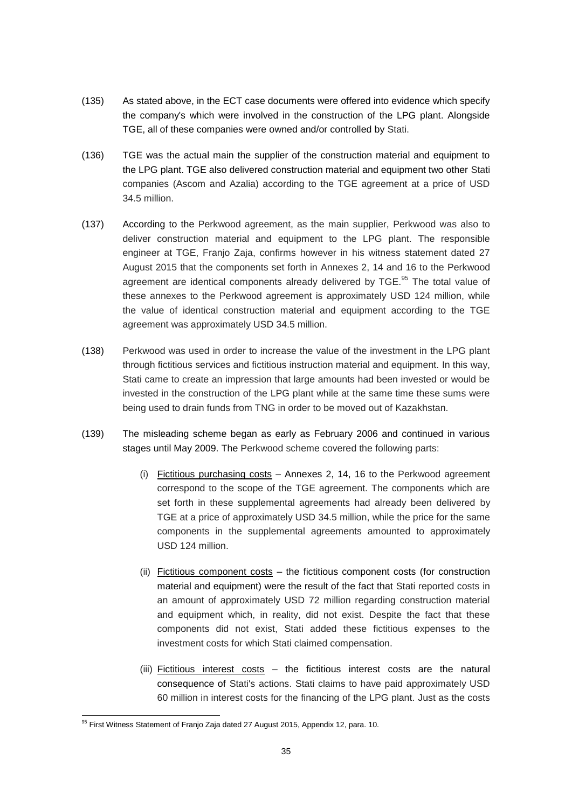- (135) As stated above, in the ECT case documents were offered into evidence which specify the company's which were involved in the construction of the LPG plant. Alongside TGE, all of these companies were owned and/or controlled by Stati.
- (136) TGE was the actual main the supplier of the construction material and equipment to the LPG plant. TGE also delivered construction material and equipment two other Stati companies (Ascom and Azalia) according to the TGE agreement at a price of USD 34.5 million.
- (137) According to the Perkwood agreement, as the main supplier, Perkwood was also to deliver construction material and equipment to the LPG plant. The responsible engineer at TGE, Franjo Zaja, confirms however in his witness statement dated 27 August 2015 that the components set forth in Annexes 2, 14 and 16 to the Perkwood agreement are identical components already delivered by TGE.<sup>95</sup> The total value of these annexes to the Perkwood agreement is approximately USD 124 million, while the value of identical construction material and equipment according to the TGE agreement was approximately USD 34.5 million.
- (138) Perkwood was used in order to increase the value of the investment in the LPG plant through fictitious services and fictitious instruction material and equipment. In this way, Stati came to create an impression that large amounts had been invested or would be invested in the construction of the LPG plant while at the same time these sums were being used to drain funds from TNG in order to be moved out of Kazakhstan.
- (139) The misleading scheme began as early as February 2006 and continued in various stages until May 2009. The Perkwood scheme covered the following parts:
	- (i) Fictitious purchasing costs Annexes 2, 14, 16 to the Perkwood agreement correspond to the scope of the TGE agreement. The components which are set forth in these supplemental agreements had already been delivered by TGE at a price of approximately USD 34.5 million, while the price for the same components in the supplemental agreements amounted to approximately USD 124 million.
	- (ii) Fictitious component costs the fictitious component costs (for construction material and equipment) were the result of the fact that Stati reported costs in an amount of approximately USD 72 million regarding construction material and equipment which, in reality, did not exist. Despite the fact that these components did not exist, Stati added these fictitious expenses to the investment costs for which Stati claimed compensation.
	- (iii) Fictitious interest costs the fictitious interest costs are the natural consequence of Stati's actions. Stati claims to have paid approximately USD 60 million in interest costs for the financing of the LPG plant. Just as the costs

<sup>-</sup> $95$  First Witness Statement of Franjo Zaja dated 27 August 2015, Appendix 12, para. 10.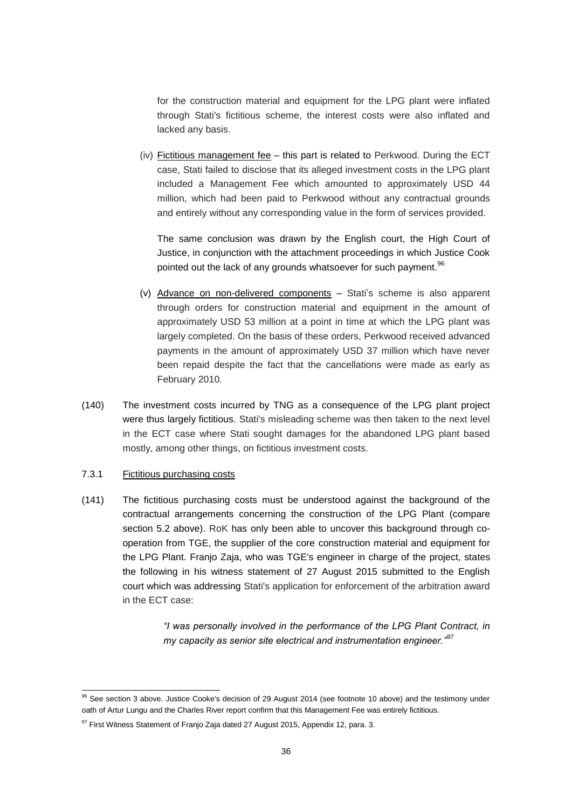for the construction material and equipment for the LPG plant were inflated through Stati's fictitious scheme, the interest costs were also inflated and lacked any basis.

(iv) Fictitious management fee – this part is related to Perkwood. During the ECT case, Stati failed to disclose that its alleged investment costs in the LPG plant included a Management Fee which amounted to approximately USD 44 million, which had been paid to Perkwood without any contractual grounds and entirely without any corresponding value in the form of services provided.

The same conclusion was drawn by the English court, the High Court of Justice, in conjunction with the attachment proceedings in which Justice Cook pointed out the lack of any grounds whatsoever for such payment.<sup>96</sup>

- (v) Advance on non-delivered components Stati's scheme is also apparent through orders for construction material and equipment in the amount of approximately USD 53 million at a point in time at which the LPG plant was largely completed. On the basis of these orders, Perkwood received advanced payments in the amount of approximately USD 37 million which have never been repaid despite the fact that the cancellations were made as early as February 2010.
- (140) The investment costs incurred by TNG as a consequence of the LPG plant project were thus largely fictitious. Stati's misleading scheme was then taken to the next level in the ECT case where Stati sought damages for the abandoned LPG plant based mostly, among other things, on fictitious investment costs.

#### 7.3.1 Fictitious purchasing costs

1

(141) The fictitious purchasing costs must be understood against the background of the contractual arrangements concerning the construction of the LPG Plant (compare section 5.2 above). RoK has only been able to uncover this background through cooperation from TGE, the supplier of the core construction material and equipment for the LPG Plant. Franjo Zaja, who was TGE's engineer in charge of the project, states the following in his witness statement of 27 August 2015 submitted to the English court which was addressing Stati's application for enforcement of the arbitration award in the ECT case:

> *"I was personally involved in the performance of the LPG Plant Contract, in my capacity as senior site electrical and instrumentation engineer."*<sup>97</sup>

 $96$  See section 3 above. Justice Cooke's decision of 29 August 2014 (see footnote 10 above) and the testimony under oath of Artur Lungu and the Charles River report confirm that this Management Fee was entirely fictitious.

<sup>&</sup>lt;sup>97</sup> First Witness Statement of Franjo Zaja dated 27 August 2015, Appendix 12, para. 3.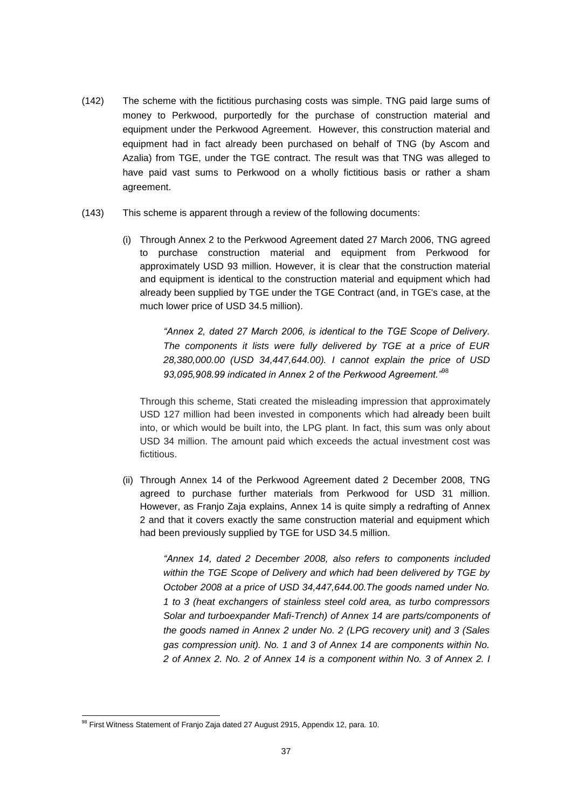- (142) The scheme with the fictitious purchasing costs was simple. TNG paid large sums of money to Perkwood, purportedly for the purchase of construction material and equipment under the Perkwood Agreement. However, this construction material and equipment had in fact already been purchased on behalf of TNG (by Ascom and Azalia) from TGE, under the TGE contract. The result was that TNG was alleged to have paid vast sums to Perkwood on a wholly fictitious basis or rather a sham agreement.
- (143) This scheme is apparent through a review of the following documents:
	- (i) Through Annex 2 to the Perkwood Agreement dated 27 March 2006, TNG agreed to purchase construction material and equipment from Perkwood for approximately USD 93 million. However, it is clear that the construction material and equipment is identical to the construction material and equipment which had already been supplied by TGE under the TGE Contract (and, in TGE's case, at the much lower price of USD 34.5 million).

*"Annex 2, dated 27 March 2006, is identical to the TGE Scope of Delivery. The components it lists were fully delivered by TGE at a price of EUR 28,380,000.00 (USD 34,447,644.00). I cannot explain the price of USD 93,095,908.99 indicated in Annex 2 of the Perkwood Agreement."*<sup>98</sup>

Through this scheme, Stati created the misleading impression that approximately USD 127 million had been invested in components which had already been built into, or which would be built into, the LPG plant. In fact, this sum was only about USD 34 million. The amount paid which exceeds the actual investment cost was fictitious.

(ii) Through Annex 14 of the Perkwood Agreement dated 2 December 2008, TNG agreed to purchase further materials from Perkwood for USD 31 million. However, as Franjo Zaja explains, Annex 14 is quite simply a redrafting of Annex 2 and that it covers exactly the same construction material and equipment which had been previously supplied by TGE for USD 34.5 million.

> *"Annex 14, dated 2 December 2008, also refers to components included within the TGE Scope of Delivery and which had been delivered by TGE by October 2008 at a price of USD 34,447,644.00.The goods named under No. 1 to 3 (heat exchangers of stainless steel cold area, as turbo compressors Solar and turboexpander Mafi-Trench) of Annex 14 are parts/components of the goods named in Annex 2 under No. 2 (LPG recovery unit) and 3 (Sales gas compression unit). No. 1 and 3 of Annex 14 are components within No. 2 of Annex 2. No. 2 of Annex 14 is a component within No. 3 of Annex 2. I*

<sup>-</sup> $98$  First Witness Statement of Franjo Zaja dated 27 August 2915, Appendix 12, para. 10.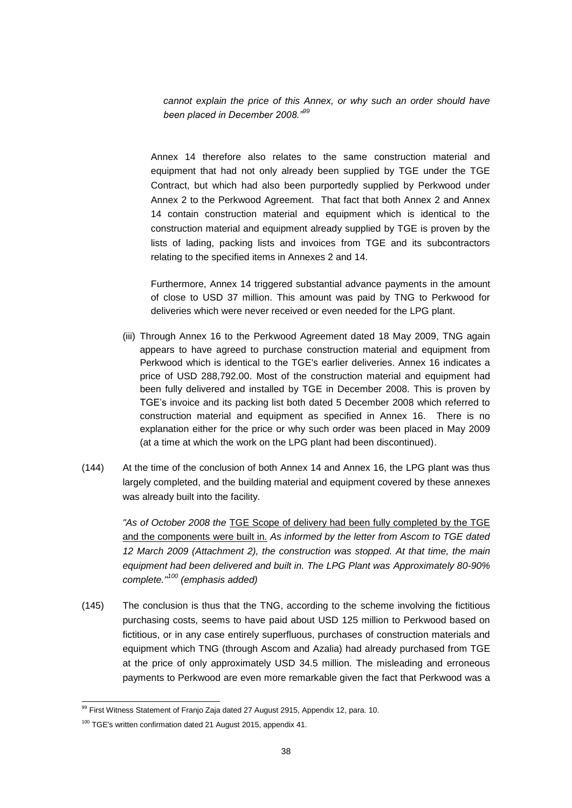*cannot explain the price of this Annex, or why such an order should have been placed in December 2008."<sup>99</sup>*

Annex 14 therefore also relates to the same construction material and equipment that had not only already been supplied by TGE under the TGE Contract, but which had also been purportedly supplied by Perkwood under Annex 2 to the Perkwood Agreement. That fact that both Annex 2 and Annex 14 contain construction material and equipment which is identical to the construction material and equipment already supplied by TGE is proven by the lists of lading, packing lists and invoices from TGE and its subcontractors relating to the specified items in Annexes 2 and 14.

Furthermore, Annex 14 triggered substantial advance payments in the amount of close to USD 37 million. This amount was paid by TNG to Perkwood for deliveries which were never received or even needed for the LPG plant.

- (iii) Through Annex 16 to the Perkwood Agreement dated 18 May 2009, TNG again appears to have agreed to purchase construction material and equipment from Perkwood which is identical to the TGE's earlier deliveries. Annex 16 indicates a price of USD 288,792.00. Most of the construction material and equipment had been fully delivered and installed by TGE in December 2008. This is proven by TGE's invoice and its packing list both dated 5 December 2008 which referred to construction material and equipment as specified in Annex 16. There is no explanation either for the price or why such order was been placed in May 2009 (at a time at which the work on the LPG plant had been discontinued).
- (144) At the time of the conclusion of both Annex 14 and Annex 16, the LPG plant was thus largely completed, and the building material and equipment covered by these annexes was already built into the facility.

*"As of October 2008 the* TGE Scope of delivery had been fully completed by the TGE and the components were built in. *As informed by the letter from Ascom to TGE dated 12 March 2009 (Attachment 2), the construction was stopped. At that time, the main equipment had been delivered and built in. The LPG Plant was Approximately 80-90% complete." <sup>100</sup> (emphasis added)*

(145) The conclusion is thus that the TNG, according to the scheme involving the fictitious purchasing costs, seems to have paid about USD 125 million to Perkwood based on fictitious, or in any case entirely superfluous, purchases of construction materials and equipment which TNG (through Ascom and Azalia) had already purchased from TGE at the price of only approximately USD 34.5 million. The misleading and erroneous payments to Perkwood are even more remarkable given the fact that Perkwood was a

<sup>1</sup> <sup>99</sup> First Witness Statement of Franjo Zaja dated 27 August 2915, Appendix 12, para. 10.

<sup>&</sup>lt;sup>100</sup> TGE's written confirmation dated 21 August 2015, appendix 41.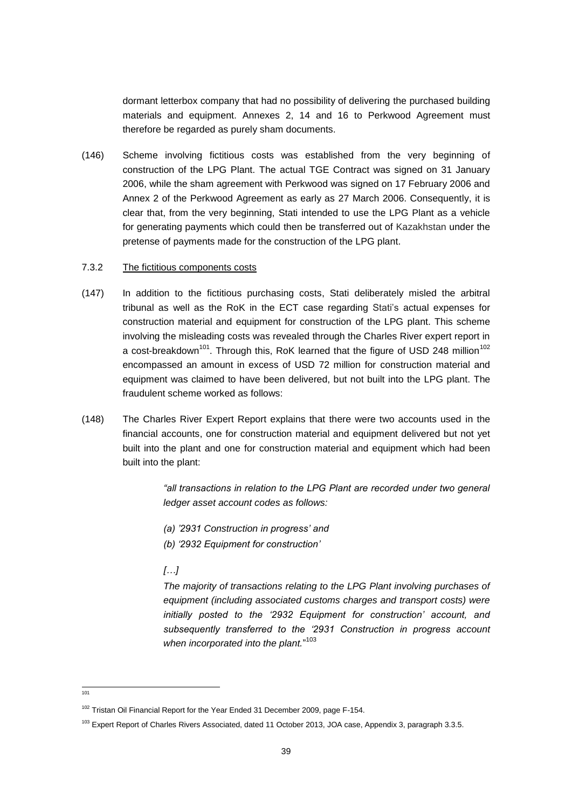dormant letterbox company that had no possibility of delivering the purchased building materials and equipment. Annexes 2, 14 and 16 to Perkwood Agreement must therefore be regarded as purely sham documents.

(146) Scheme involving fictitious costs was established from the very beginning of construction of the LPG Plant. The actual TGE Contract was signed on 31 January 2006, while the sham agreement with Perkwood was signed on 17 February 2006 and Annex 2 of the Perkwood Agreement as early as 27 March 2006. Consequently, it is clear that, from the very beginning, Stati intended to use the LPG Plant as a vehicle for generating payments which could then be transferred out of Kazakhstan under the pretense of payments made for the construction of the LPG plant.

#### 7.3.2 The fictitious components costs

- (147) In addition to the fictitious purchasing costs, Stati deliberately misled the arbitral tribunal as well as the RoK in the ECT case regarding Stati's actual expenses for construction material and equipment for construction of the LPG plant. This scheme involving the misleading costs was revealed through the Charles River expert report in a cost-breakdown<sup>101</sup>. Through this, RoK learned that the figure of USD 248 million<sup>102</sup> encompassed an amount in excess of USD 72 million for construction material and equipment was claimed to have been delivered, but not built into the LPG plant. The fraudulent scheme worked as follows:
- (148) The Charles River Expert Report explains that there were two accounts used in the financial accounts, one for construction material and equipment delivered but not yet built into the plant and one for construction material and equipment which had been built into the plant:

"all transactions in relation to the LPG Plant are recorded under two general *ledger asset account codes as follows:*

- *(a) '2931 Construction in progress' and*
- *(b) '2932 Equipment for construction'*

# *[…]*

*The majority of transactions relating to the LPG Plant involving purchases of equipment (including associated customs charges and transport costs) were initially posted to the '2932 Equipment for construction' account, and subsequently transferred to the '2931 Construction in progress account when incorporated into the plant.*" 103

 $\frac{1}{101}$ 

<sup>&</sup>lt;sup>102</sup> Tristan Oil Financial Report for the Year Ended 31 December 2009, page F-154.

<sup>&</sup>lt;sup>103</sup> Expert Report of Charles Rivers Associated, dated 11 October 2013, JOA case, Appendix 3, paragraph 3.3.5.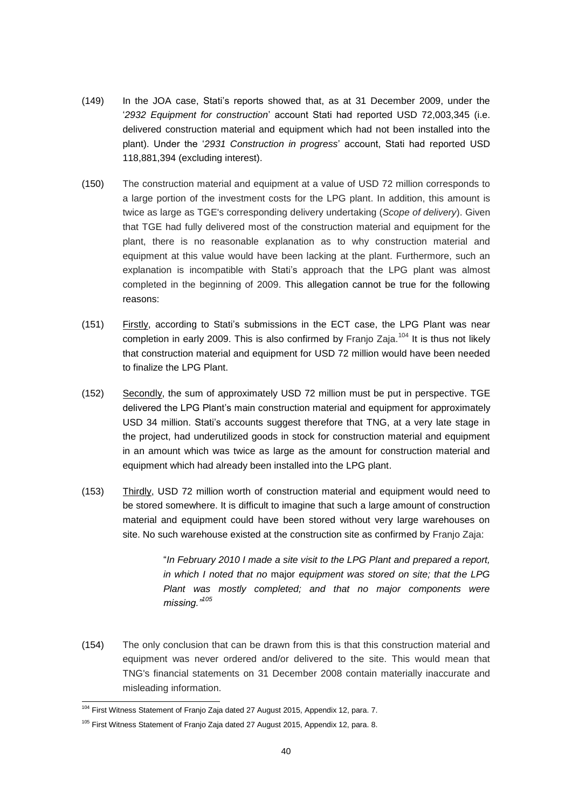- (149) In the JOA case, Stati's reports showed that, as at 31 December 2009, under the '*2932 Equipment for construction*' account Stati had reported USD 72,003,345 (i.e. delivered construction material and equipment which had not been installed into the plant). Under the '*2931 Construction in progress*' account, Stati had reported USD 118,881,394 (excluding interest).
- (150) The construction material and equipment at a value of USD 72 million corresponds to a large portion of the investment costs for the LPG plant. In addition, this amount is twice as large as TGE's corresponding delivery undertaking (*Scope of delivery*). Given that TGE had fully delivered most of the construction material and equipment for the plant, there is no reasonable explanation as to why construction material and equipment at this value would have been lacking at the plant. Furthermore, such an explanation is incompatible with Stati's approach that the LPG plant was almost completed in the beginning of 2009. This allegation cannot be true for the following reasons:
- (151) Firstly, according to Stati's submissions in the ECT case, the LPG Plant was near completion in early 2009. This is also confirmed by Franjo Zaja.<sup>104</sup> It is thus not likely that construction material and equipment for USD 72 million would have been needed to finalize the LPG Plant.
- (152) Secondly, the sum of approximately USD 72 million must be put in perspective. TGE delivered the LPG Plant's main construction material and equipment for approximately USD 34 million. Stati's accounts suggest therefore that TNG, at a very late stage in the project, had underutilized goods in stock for construction material and equipment in an amount which was twice as large as the amount for construction material and equipment which had already been installed into the LPG plant.
- (153) Thirdly, USD 72 million worth of construction material and equipment would need to be stored somewhere. It is difficult to imagine that such a large amount of construction material and equipment could have been stored without very large warehouses on site. No such warehouse existed at the construction site as confirmed by Franjo Zaja:

"*In February 2010 I made a site visit to the LPG Plant and prepared a report, in which I noted that no* major *equipment was stored on site; that the LPG Plant was mostly completed; and that no major components were missing."<sup>105</sup>*

(154) The only conclusion that can be drawn from this is that this construction material and equipment was never ordered and/or delivered to the site. This would mean that TNG's financial statements on 31 December 2008 contain materially inaccurate and misleading information.

<sup>1</sup> <sup>104</sup> First Witness Statement of Franjo Zaja dated 27 August 2015, Appendix 12, para. 7.

<sup>&</sup>lt;sup>105</sup> First Witness Statement of Franjo Zaja dated 27 August 2015, Appendix 12, para. 8.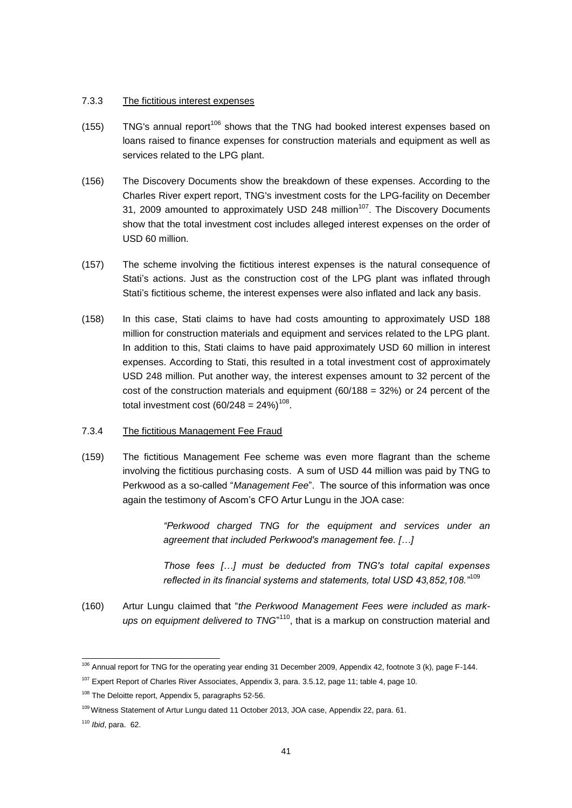#### 7.3.3 The fictitious interest expenses

- $(155)$  TNG's annual report<sup>106</sup> shows that the TNG had booked interest expenses based on loans raised to finance expenses for construction materials and equipment as well as services related to the LPG plant.
- (156) The Discovery Documents show the breakdown of these expenses. According to the Charles River expert report, TNG's investment costs for the LPG-facility on December 31, 2009 amounted to approximately USD 248 million<sup>107</sup>. The Discovery Documents show that the total investment cost includes alleged interest expenses on the order of USD 60 million.
- (157) The scheme involving the fictitious interest expenses is the natural consequence of Stati's actions. Just as the construction cost of the LPG plant was inflated through Stati's fictitious scheme, the interest expenses were also inflated and lack any basis.
- (158) In this case, Stati claims to have had costs amounting to approximately USD 188 million for construction materials and equipment and services related to the LPG plant. In addition to this, Stati claims to have paid approximately USD 60 million in interest expenses. According to Stati, this resulted in a total investment cost of approximately USD 248 million. Put another way, the interest expenses amount to 32 percent of the cost of the construction materials and equipment  $(60/188 = 32%)$  or 24 percent of the total investment cost (60/248 = 24%) $^{108}$ .
- 7.3.4 The fictitious Management Fee Fraud
- (159) The fictitious Management Fee scheme was even more flagrant than the scheme involving the fictitious purchasing costs. A sum of USD 44 million was paid by TNG to Perkwood as a so-called "*Management Fee*". The source of this information was once again the testimony of Ascom's CFO Artur Lungu in the JOA case:

*"Perkwood charged TNG for the equipment and services under an agreement that included Perkwood's management fee. […]*

*Those fees […] must be deducted from TNG's total capital expenses reflected in its financial systems and statements, total USD 43,852,108."*<sup>109</sup>

(160) Artur Lungu claimed that "*the Perkwood Management Fees were included as mark*ups on equipment delivered to TNG<sup>"110</sup>, that is a markup on construction material and

1

<sup>&</sup>lt;sup>106</sup> Annual report for TNG for the operating year ending 31 December 2009, Appendix 42, footnote 3 (k), page F-144.

<sup>&</sup>lt;sup>107</sup> Expert Report of Charles River Associates, Appendix 3, para. 3.5.12, page 11; table 4, page 10.

<sup>&</sup>lt;sup>108</sup> The Deloitte report, Appendix 5, paragraphs 52-56.

<sup>109</sup> Witness Statement of Artur Lungu dated 11 October 2013, JOA case, Appendix 22, para. 61.

<sup>110</sup> *Ibid*, para. 62.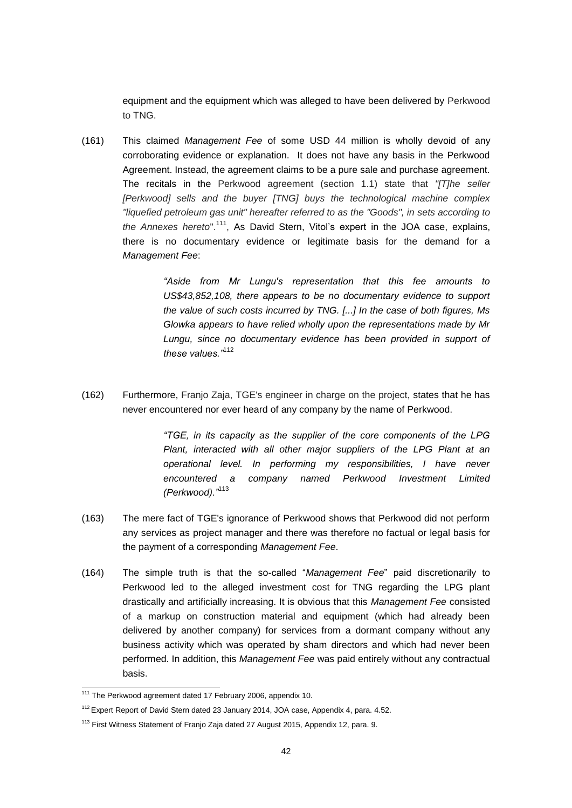equipment and the equipment which was alleged to have been delivered by Perkwood to TNG.

(161) This claimed *Management Fee* of some USD 44 million is wholly devoid of any corroborating evidence or explanation. It does not have any basis in the Perkwood Agreement. Instead, the agreement claims to be a pure sale and purchase agreement. The recitals in the Perkwood agreement (section 1.1) state that *"[T]he seller [Perkwood] sells and the buyer [TNG] buys the technological machine complex "liquefied petroleum gas unit" hereafter referred to as the "Goods", in sets according to the Annexes hereto*".<sup>111</sup> , As David Stern, Vitol's expert in the JOA case, explains, there is no documentary evidence or legitimate basis for the demand for a *Management Fee*:

> *"Aside from Mr Lungu's representation that this fee amounts to US\$43,852,108, there appears to be no documentary evidence to support the value of such costs incurred by TNG. [...] In the case of both figures, Ms Glowka appears to have relied wholly upon the representations made by Mr Lungu, since no documentary evidence has been provided in support of these values."*<sup>112</sup>

(162) Furthermore, Franjo Zaja, TGE's engineer in charge on the project, states that he has never encountered nor ever heard of any company by the name of Perkwood.

> *"TGE, in its capacity as the supplier of the core components of the LPG Plant, interacted with all other major suppliers of the LPG Plant at an operational level. In performing my responsibilities, I have never encountered a company named Perkwood Investment Limited (Perkwood)."*<sup>113</sup>

- (163) The mere fact of TGE's ignorance of Perkwood shows that Perkwood did not perform any services as project manager and there was therefore no factual or legal basis for the payment of a corresponding *Management Fee*.
- (164) The simple truth is that the so-called "*Management Fee*" paid discretionarily to Perkwood led to the alleged investment cost for TNG regarding the LPG plant drastically and artificially increasing. It is obvious that this *Management Fee* consisted of a markup on construction material and equipment (which had already been delivered by another company) for services from a dormant company without any business activity which was operated by sham directors and which had never been performed. In addition, this *Management Fee* was paid entirely without any contractual basis.

1

<sup>&</sup>lt;sup>111</sup> The Perkwood agreement dated 17 February 2006, appendix 10.

<sup>&</sup>lt;sup>112</sup> Expert Report of David Stern dated 23 January 2014, JOA case, Appendix 4, para. 4.52.

<sup>&</sup>lt;sup>113</sup> First Witness Statement of Franjo Zaja dated 27 August 2015, Appendix 12, para. 9.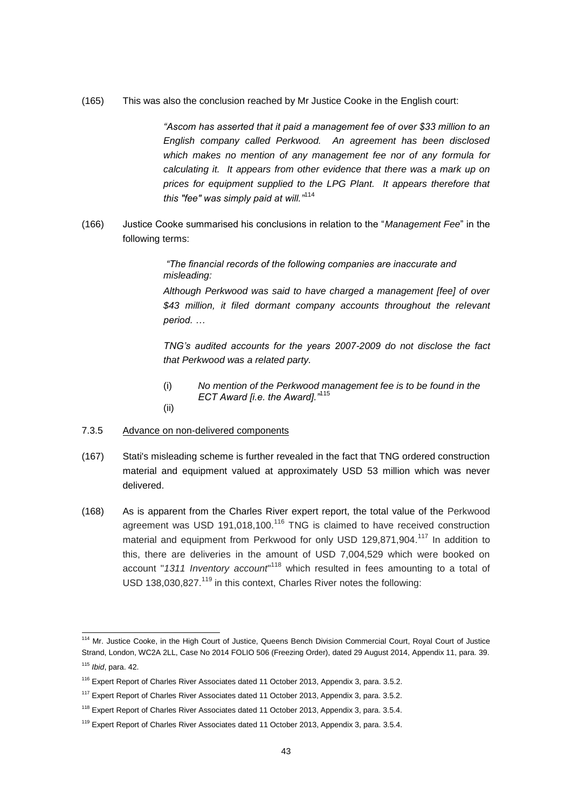(165) This was also the conclusion reached by Mr Justice Cooke in the English court:

*"Ascom has asserted that it paid a management fee of over \$33 million to an English company called Perkwood. An agreement has been disclosed which makes no mention of any management fee nor of any formula for calculating it. It appears from other evidence that there was a mark up on prices for equipment supplied to the LPG Plant. It appears therefore that this "fee" was simply paid at will."*<sup>114</sup>

(166) Justice Cooke summarised his conclusions in relation to the "*Management Fee*" in the following terms:

> *"The financial records of the following companies are inaccurate and misleading:*

*Although Perkwood was said to have charged a management [fee] of over \$43 million, it filed dormant company accounts throughout the relevant period. …*

*TNG's audited accounts for the years 2007-2009 do not disclose the fact that Perkwood was a related party.*

(i) *No mention of the Perkwood management fee is to be found in the ECT Award [i.e. the Award]."*<sup>115</sup>

(ii)

1

#### 7.3.5 Advance on non-delivered components

- (167) Stati's misleading scheme is further revealed in the fact that TNG ordered construction material and equipment valued at approximately USD 53 million which was never delivered.
- (168) As is apparent from the Charles River expert report, the total value of the Perkwood agreement was USD 191,018,100.<sup>116</sup> TNG is claimed to have received construction material and equipment from Perkwood for only USD 129,871,904.<sup>117</sup> In addition to this, there are deliveries in the amount of USD 7,004,529 which were booked on account "1311 Inventory account"<sup>118</sup> which resulted in fees amounting to a total of USD 138,030,827.<sup>119</sup> in this context, Charles River notes the following:

<sup>&</sup>lt;sup>114</sup> Mr. Justice Cooke, in the High Court of Justice, Queens Bench Division Commercial Court, Royal Court of Justice Strand, London, WC2A 2LL, Case No 2014 FOLIO 506 (Freezing Order), dated 29 August 2014, Appendix 11, para. 39. <sup>115</sup> *Ibid*, para. 42.

<sup>&</sup>lt;sup>116</sup> Expert Report of Charles River Associates dated 11 October 2013, Appendix 3, para. 3.5.2.

<sup>&</sup>lt;sup>117</sup> Expert Report of Charles River Associates dated 11 October 2013, Appendix 3, para. 3.5.2.

<sup>&</sup>lt;sup>118</sup> Expert Report of Charles River Associates dated 11 October 2013, Appendix 3, para. 3.5.4.

<sup>&</sup>lt;sup>119</sup> Expert Report of Charles River Associates dated 11 October 2013, Appendix 3, para. 3.5.4.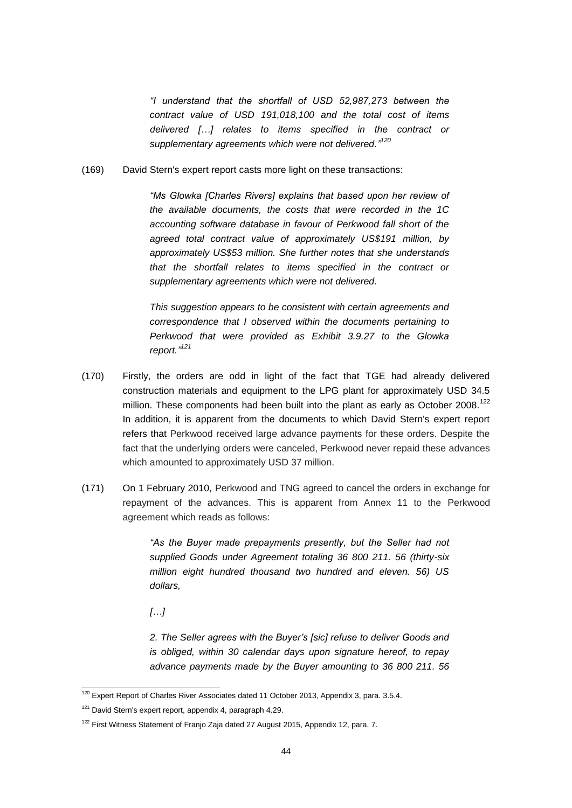*"I understand that the shortfall of USD 52,987,273 between the contract value of USD 191,018,100 and the total cost of items delivered […] relates to items specified in the contract or supplementary agreements which were not delivered." 120*

(169) David Stern's expert report casts more light on these transactions:

*"Ms Glowka [Charles Rivers] explains that based upon her review of the available documents, the costs that were recorded in the 1C accounting software database in favour of Perkwood fall short of the agreed total contract value of approximately US\$191 million, by approximately US\$53 million. She further notes that she understands that the shortfall relates to items specified in the contract or supplementary agreements which were not delivered.*

*This suggestion appears to be consistent with certain agreements and correspondence that I observed within the documents pertaining to Perkwood that were provided as Exhibit 3.9.27 to the Glowka report." 121*

- (170) Firstly, the orders are odd in light of the fact that TGE had already delivered construction materials and equipment to the LPG plant for approximately USD 34.5 million. These components had been built into the plant as early as October 2008.<sup>122</sup> In addition, it is apparent from the documents to which David Stern's expert report refers that Perkwood received large advance payments for these orders. Despite the fact that the underlying orders were canceled, Perkwood never repaid these advances which amounted to approximately USD 37 million.
- (171) On 1 February 2010, Perkwood and TNG agreed to cancel the orders in exchange for repayment of the advances. This is apparent from Annex 11 to the Perkwood agreement which reads as follows:

*"As the Buyer made prepayments presently, but the Seller had not supplied Goods under Agreement totaling 36 800 211. 56 (thirty-six million eight hundred thousand two hundred and eleven. 56) US dollars,* 

*[…]*

1

*2. The Seller agrees with the Buyer's [sic] refuse to deliver Goods and is obliged, within 30 calendar days upon signature hereof, to repay advance payments made by the Buyer amounting to 36 800 211. 56* 

 $120$  Expert Report of Charles River Associates dated 11 October 2013, Appendix 3, para. 3.5.4.

<sup>&</sup>lt;sup>121</sup> David Stern's expert report, appendix 4, paragraph 4.29.

<sup>&</sup>lt;sup>122</sup> First Witness Statement of Franjo Zaja dated 27 August 2015, Appendix 12, para. 7.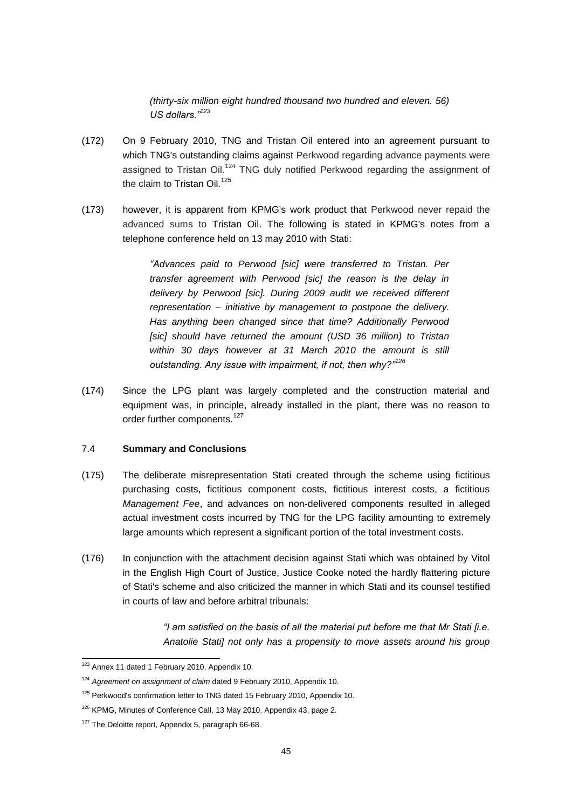*(thirty-six million eight hundred thousand two hundred and eleven. 56) US dollars."<sup>123</sup>*

- (172) On 9 February 2010, TNG and Tristan Oil entered into an agreement pursuant to which TNG's outstanding claims against Perkwood regarding advance payments were assigned to Tristan Oil.<sup>124</sup> TNG duly notified Perkwood regarding the assignment of the claim to Tristan Oil.<sup>125</sup>
- (173) however, it is apparent from KPMG's work product that Perkwood never repaid the advanced sums to Tristan Oil. The following is stated in KPMG's notes from a telephone conference held on 13 may 2010 with Stati:

*"Advances paid to Perwood [sic] were transferred to Tristan. Per transfer agreement with Perwood [sic] the reason is the delay in delivery by Perwood [sic]. During 2009 audit we received different representation – initiative by management to postpone the delivery. Has anything been changed since that time? Additionally Perwood [sic] should have returned the amount (USD 36 million) to Tristan within 30 days however at 31 March 2010 the amount is still outstanding. Any issue with impairment, if not, then why?"<sup>126</sup>*

(174) Since the LPG plant was largely completed and the construction material and equipment was, in principle, already installed in the plant, there was no reason to order further components.<sup>127</sup>

#### <span id="page-44-0"></span>7.4 **Summary and Conclusions**

- (175) The deliberate misrepresentation Stati created through the scheme using fictitious purchasing costs, fictitious component costs, fictitious interest costs, a fictitious *Management Fee*, and advances on non-delivered components resulted in alleged actual investment costs incurred by TNG for the LPG facility amounting to extremely large amounts which represent a significant portion of the total investment costs.
- (176) In conjunction with the attachment decision against Stati which was obtained by Vitol in the English High Court of Justice, Justice Cooke noted the hardly flattering picture of Stati's scheme and also criticized the manner in which Stati and its counsel testified in courts of law and before arbitral tribunals:

*"I am satisfied on the basis of all the material put before me that Mr Stati [i.e. Anatolie Stati] not only has a propensity to move assets around his group* 

<sup>1</sup> <sup>123</sup> Annex 11 dated 1 February 2010, Appendix 10.

<sup>124</sup> *Agreement on assignment of claim* dated 9 February 2010, Appendix 10.

<sup>&</sup>lt;sup>125</sup> Perkwood's confirmation letter to TNG dated 15 February 2010, Appendix 10.

<sup>&</sup>lt;sup>126</sup> KPMG, Minutes of Conference Call, 13 May 2010, Appendix 43, page 2.

<sup>&</sup>lt;sup>127</sup> The Deloitte report, Appendix 5, paragraph 66-68.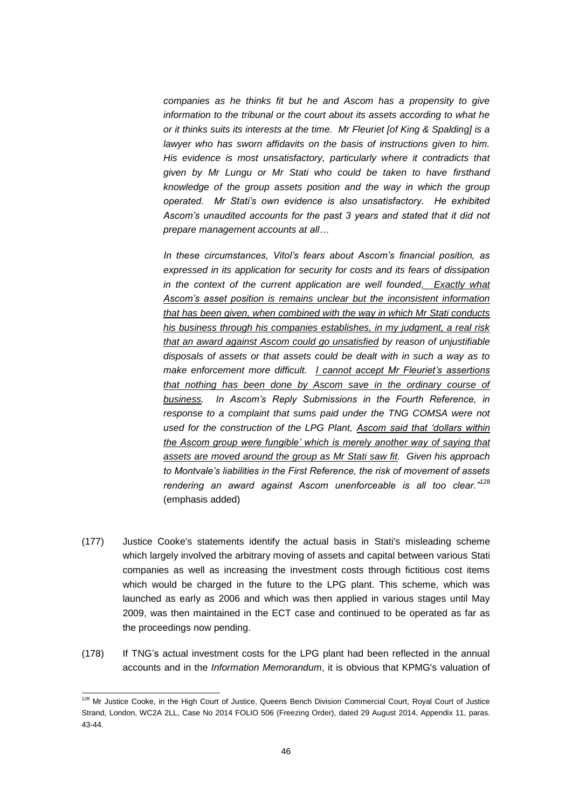*companies as he thinks fit but he and Ascom has a propensity to give*  information to the tribunal or the court about its assets according to what he *or it thinks suits its interests at the time. Mr Fleuriet [of King & Spalding] is a lawyer who has sworn affidavits on the basis of instructions given to him. His evidence is most unsatisfactory, particularly where it contradicts that given by Mr Lungu or Mr Stati who could be taken to have firsthand knowledge of the group assets position and the way in which the group operated. Mr Stati's own evidence is also unsatisfactory. He exhibited Ascom's unaudited accounts for the past 3 years and stated that it did not prepare management accounts at all…*

*In these circumstances, Vitol's fears about Ascom's financial position, as expressed in its application for security for costs and its fears of dissipation*  in the context of the current application are well founded. Exactly what *Ascom's asset position is remains unclear but the inconsistent information that has been given, when combined with the way in which Mr Stati conducts his business through his companies establishes, in my judgment, a real risk that an award against Ascom could go unsatisfied by reason of unjustifiable disposals of assets or that assets could be dealt with in such a way as to make enforcement more difficult. I cannot accept Mr Fleuriet's assertions that nothing has been done by Ascom save in the ordinary course of business. In Ascom's Reply Submissions in the Fourth Reference, in response to a complaint that sums paid under the TNG COMSA were not used for the construction of the LPG Plant, Ascom said that 'dollars within the Ascom group were fungible' which is merely another way of saying that assets are moved around the group as Mr Stati saw fit. Given his approach to Montvale's liabilities in the First Reference, the risk of movement of assets rendering an award against Ascom unenforceable is all too clear."*<sup>128</sup> (emphasis added)

- (177) Justice Cooke's statements identify the actual basis in Stati's misleading scheme which largely involved the arbitrary moving of assets and capital between various Stati companies as well as increasing the investment costs through fictitious cost items which would be charged in the future to the LPG plant. This scheme, which was launched as early as 2006 and which was then applied in various stages until May 2009, was then maintained in the ECT case and continued to be operated as far as the proceedings now pending.
- (178) If TNG's actual investment costs for the LPG plant had been reflected in the annual accounts and in the *Information Memorandum*, it is obvious that KPMG's valuation of

1

<sup>&</sup>lt;sup>128</sup> Mr Justice Cooke, in the High Court of Justice, Queens Bench Division Commercial Court, Royal Court of Justice Strand, London, WC2A 2LL, Case No 2014 FOLIO 506 (Freezing Order), dated 29 August 2014, Appendix 11, paras. 43-44.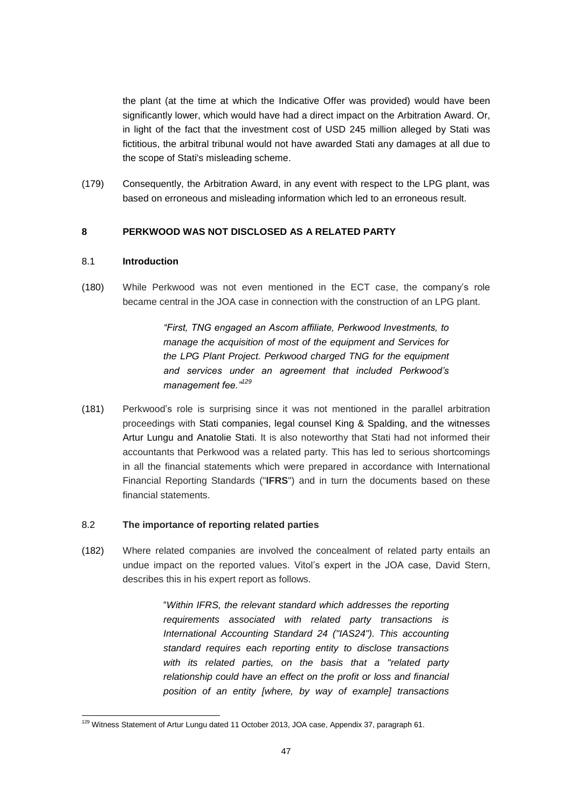the plant (at the time at which the Indicative Offer was provided) would have been significantly lower, which would have had a direct impact on the Arbitration Award. Or, in light of the fact that the investment cost of USD 245 million alleged by Stati was fictitious, the arbitral tribunal would not have awarded Stati any damages at all due to the scope of Stati's misleading scheme.

(179) Consequently, the Arbitration Award, in any event with respect to the LPG plant, was based on erroneous and misleading information which led to an erroneous result.

# <span id="page-46-0"></span>**8 PERKWOOD WAS NOT DISCLOSED AS A RELATED PARTY**

### <span id="page-46-1"></span>8.1 **Introduction**

(180) While Perkwood was not even mentioned in the ECT case, the company's role became central in the JOA case in connection with the construction of an LPG plant.

> *"First, TNG engaged an Ascom affiliate, Perkwood Investments, to manage the acquisition of most of the equipment and Services for the LPG Plant Project. Perkwood charged TNG for the equipment and services under an agreement that included Perkwood's management fee."<sup>129</sup>*

(181) Perkwood's role is surprising since it was not mentioned in the parallel arbitration proceedings with Stati companies, legal counsel King & Spalding, and the witnesses Artur Lungu and Anatolie Stati. It is also noteworthy that Stati had not informed their accountants that Perkwood was a related party. This has led to serious shortcomings in all the financial statements which were prepared in accordance with International Financial Reporting Standards ("**IFRS**") and in turn the documents based on these financial statements.

### <span id="page-46-2"></span>8.2 **The importance of reporting related parties**

(182) Where related companies are involved the concealment of related party entails an undue impact on the reported values. Vitol's expert in the JOA case, David Stern, describes this in his expert report as follows.

> "*Within IFRS, the relevant standard which addresses the reporting requirements associated with related party transactions is International Accounting Standard 24 ("IAS24"). This accounting standard requires each reporting entity to disclose transactions with its related parties, on the basis that a "related party relationship could have an effect on the profit or loss and financial position of an entity [where, by way of example] transactions*

<sup>-</sup><sup>129</sup> Witness Statement of Artur Lungu dated 11 October 2013, JOA case, Appendix 37, paragraph 61.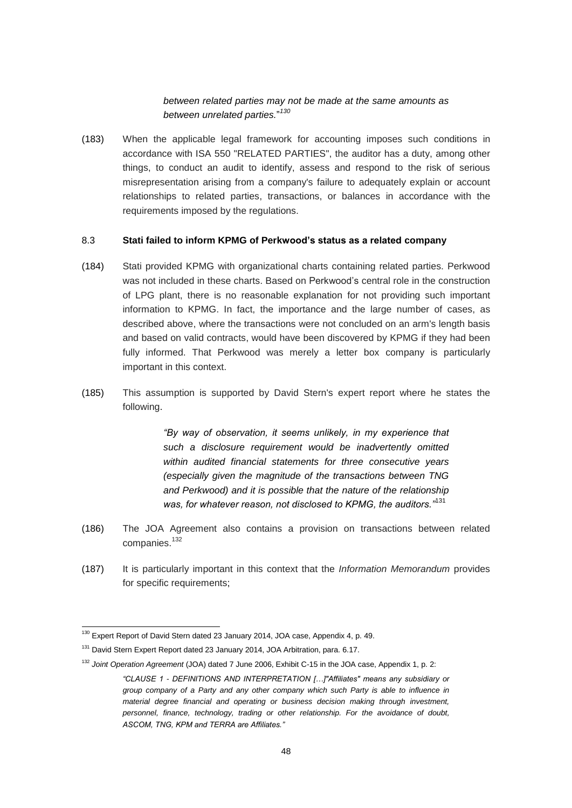# *between related parties may not be made at the same amounts as between unrelated parties.*" *130*

(183) When the applicable legal framework for accounting imposes such conditions in accordance with ISA 550 "RELATED PARTIES", the auditor has a duty, among other things, to conduct an audit to identify, assess and respond to the risk of serious misrepresentation arising from a company's failure to adequately explain or account relationships to related parties, transactions, or balances in accordance with the requirements imposed by the regulations.

#### <span id="page-47-0"></span>8.3 **Stati failed to inform KPMG of Perkwood's status as a related company**

- (184) Stati provided KPMG with organizational charts containing related parties. Perkwood was not included in these charts. Based on Perkwood's central role in the construction of LPG plant, there is no reasonable explanation for not providing such important information to KPMG. In fact, the importance and the large number of cases, as described above, where the transactions were not concluded on an arm's length basis and based on valid contracts, would have been discovered by KPMG if they had been fully informed. That Perkwood was merely a letter box company is particularly important in this context.
- (185) This assumption is supported by David Stern's expert report where he states the following.

*"By way of observation, it seems unlikely, in my experience that such a disclosure requirement would be inadvertently omitted within audited financial statements for three consecutive years (especially given the magnitude of the transactions between TNG and Perkwood) and it is possible that the nature of the relationship was, for whatever reason, not disclosed to KPMG, the auditors."*<sup>131</sup>

- (186) The JOA Agreement also contains a provision on transactions between related companies.<sup>132</sup>
- (187) It is particularly important in this context that the *Information Memorandum* provides for specific requirements;

<sup>-</sup><sup>130</sup> Expert Report of David Stern dated 23 January 2014, JOA case, Appendix 4, p. 49.

<sup>&</sup>lt;sup>131</sup> David Stern Expert Report dated 23 January 2014, JOA Arbitration, para. 6.17.

<sup>132</sup> *Joint Operation Agreement* (JOA) dated 7 June 2006, Exhibit C-15 in the JOA case, Appendix 1, p. 2:

*<sup>&</sup>quot;CLAUSE 1 - DEFINITIONS AND INTERPRETATION […]"Affiliates" means any subsidiary or group company of a Party and any other company which such Party is able to influence in material degree financial and operating or business decision making through investment, personnel, finance, technology, trading or other relationship. For the avoidance of doubt, ASCOM, TNG, KPM and TERRA are Affiliates."*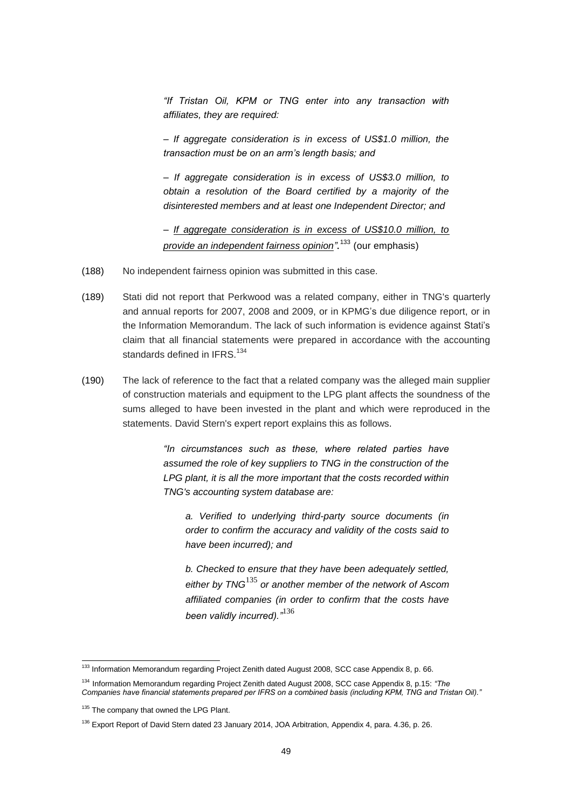*"If Tristan Oil, KPM or TNG enter into any transaction with affiliates, they are required:*

*– If aggregate consideration is in excess of US\$1.0 million, the transaction must be on an arm's length basis; and*

*– If aggregate consideration is in excess of US\$3.0 million, to obtain a resolution of the Board certified by a majority of the disinterested members and at least one Independent Director; and*

*– If aggregate consideration is in excess of US\$10.0 million, to provide an independent fairness opinion".* <sup>133</sup> (our emphasis)

- (188) No independent fairness opinion was submitted in this case.
- (189) Stati did not report that Perkwood was a related company, either in TNG's quarterly and annual reports for 2007, 2008 and 2009, or in KPMG's due diligence report, or in the Information Memorandum. The lack of such information is evidence against Stati's claim that all financial statements were prepared in accordance with the accounting standards defined in IFRS.<sup>134</sup>
- (190) The lack of reference to the fact that a related company was the alleged main supplier of construction materials and equipment to the LPG plant affects the soundness of the sums alleged to have been invested in the plant and which were reproduced in the statements. David Stern's expert report explains this as follows.

*"In circumstances such as these, where related parties have assumed the role of key suppliers to TNG in the construction of the LPG plant, it is all the more important that the costs recorded within TNG's accounting system database are:*

*a. Verified to underlying third-party source documents (in order to confirm the accuracy and validity of the costs said to have been incurred); and*

*b. Checked to ensure that they have been adequately settled, either by TNG*<sup>135</sup> *or another member of the network of Ascom affiliated companies (in order to confirm that the costs have been validly incurred)."*<sup>136</sup> 

-

<sup>&</sup>lt;sup>133</sup> Information Memorandum regarding Project Zenith dated August 2008, SCC case Appendix 8, p. 66.

<sup>134</sup> Information Memorandum regarding Project Zenith dated August 2008, SCC case Appendix 8, p.15: *"The Companies have financial statements prepared per IFRS on a combined basis (including KPM, TNG and Tristan Oil)."*

<sup>&</sup>lt;sup>135</sup> The company that owned the LPG Plant.

<sup>&</sup>lt;sup>136</sup> Export Report of David Stern dated 23 January 2014, JOA Arbitration, Appendix 4, para. 4.36, p. 26.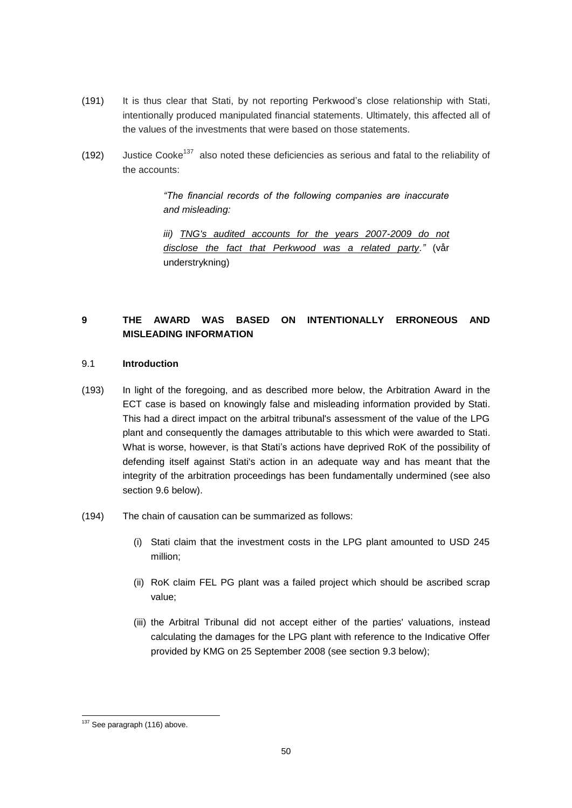- (191) It is thus clear that Stati, by not reporting Perkwood's close relationship with Stati, intentionally produced manipulated financial statements. Ultimately, this affected all of the values of the investments that were based on those statements.
- (192) Justice Cooke<sup>137</sup> also noted these deficiencies as serious and fatal to the reliability of the accounts:

# *"The financial records of the following companies are inaccurate and misleading:*

iii) TNG's audited accounts for the years 2007-2009 do not *disclose the fact that Perkwood was a related party."* (vår understrykning)

# <span id="page-49-0"></span>**9 THE AWARD WAS BASED ON INTENTIONALLY ERRONEOUS AND MISLEADING INFORMATION**

## <span id="page-49-1"></span>9.1 **Introduction**

- (193) In light of the foregoing, and as described more below, the Arbitration Award in the ECT case is based on knowingly false and misleading information provided by Stati. This had a direct impact on the arbitral tribunal's assessment of the value of the LPG plant and consequently the damages attributable to this which were awarded to Stati. What is worse, however, is that Stati's actions have deprived RoK of the possibility of defending itself against Stati's action in an adequate way and has meant that the integrity of the arbitration proceedings has been fundamentally undermined (see also section 9.6 below).
- (194) The chain of causation can be summarized as follows:
	- (i) Stati claim that the investment costs in the LPG plant amounted to USD 245 million;
	- (ii) RoK claim FEL PG plant was a failed project which should be ascribed scrap value;
	- (iii) the Arbitral Tribunal did not accept either of the parties' valuations, instead calculating the damages for the LPG plant with reference to the Indicative Offer provided by KMG on 25 September 2008 (see section 9.3 below);

<sup>-</sup> $137$  See paragraph (116) above.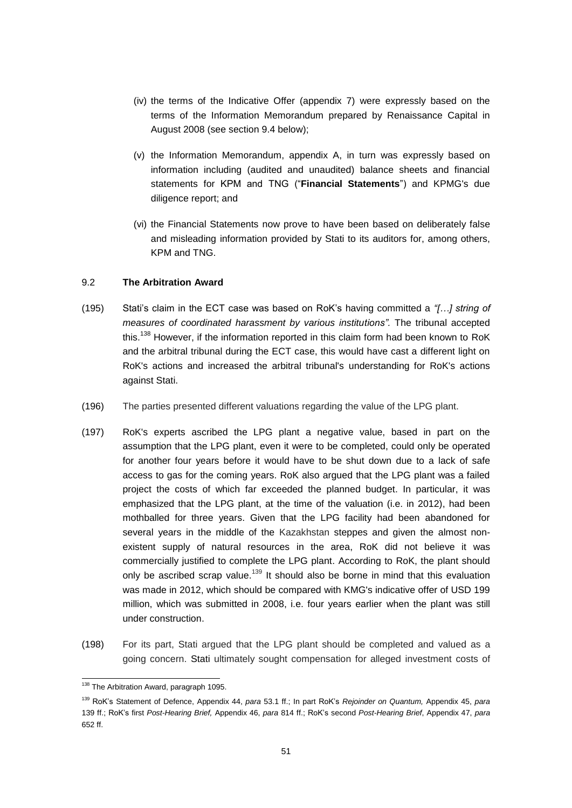- (iv) the terms of the Indicative Offer (appendix 7) were expressly based on the terms of the Information Memorandum prepared by Renaissance Capital in August 2008 (see section 9.4 below);
- (v) the Information Memorandum, appendix A, in turn was expressly based on information including (audited and unaudited) balance sheets and financial statements for KPM and TNG ("**Financial Statements**") and KPMG's due diligence report; and
- (vi) the Financial Statements now prove to have been based on deliberately false and misleading information provided by Stati to its auditors for, among others, KPM and TNG.

## <span id="page-50-0"></span>9.2 **The Arbitration Award**

- (195) Stati's claim in the ECT case was based on RoK's having committed a *"[…] string of measures of coordinated harassment by various institutions".* The tribunal accepted this.<sup>138</sup> However, if the information reported in this claim form had been known to RoK and the arbitral tribunal during the ECT case, this would have cast a different light on RoK's actions and increased the arbitral tribunal's understanding for RoK's actions against Stati.
- (196) The parties presented different valuations regarding the value of the LPG plant.
- (197) RoK's experts ascribed the LPG plant a negative value, based in part on the assumption that the LPG plant, even it were to be completed, could only be operated for another four years before it would have to be shut down due to a lack of safe access to gas for the coming years. RoK also argued that the LPG plant was a failed project the costs of which far exceeded the planned budget. In particular, it was emphasized that the LPG plant, at the time of the valuation (i.e. in 2012), had been mothballed for three years. Given that the LPG facility had been abandoned for several years in the middle of the Kazakhstan steppes and given the almost nonexistent supply of natural resources in the area, RoK did not believe it was commercially justified to complete the LPG plant. According to RoK, the plant should only be ascribed scrap value.<sup>139</sup> It should also be borne in mind that this evaluation was made in 2012, which should be compared with KMG's indicative offer of USD 199 million, which was submitted in 2008, i.e. four years earlier when the plant was still under construction.
- (198) For its part, Stati argued that the LPG plant should be completed and valued as a going concern. Stati ultimately sought compensation for alleged investment costs of

1

<sup>&</sup>lt;sup>138</sup> The Arbitration Award, paragraph 1095.

<sup>139</sup> RoK's Statement of Defence, Appendix 44, *para* 53.1 ff.; In part RoK's *Rejoinder on Quantum,* Appendix 45, *para* 139 ff.; RoK's first *Post-Hearing Brief,* Appendix 46, *para* 814 ff.; RoK's second *Post-Hearing Brief*, Appendix 47, *para*  652 ff.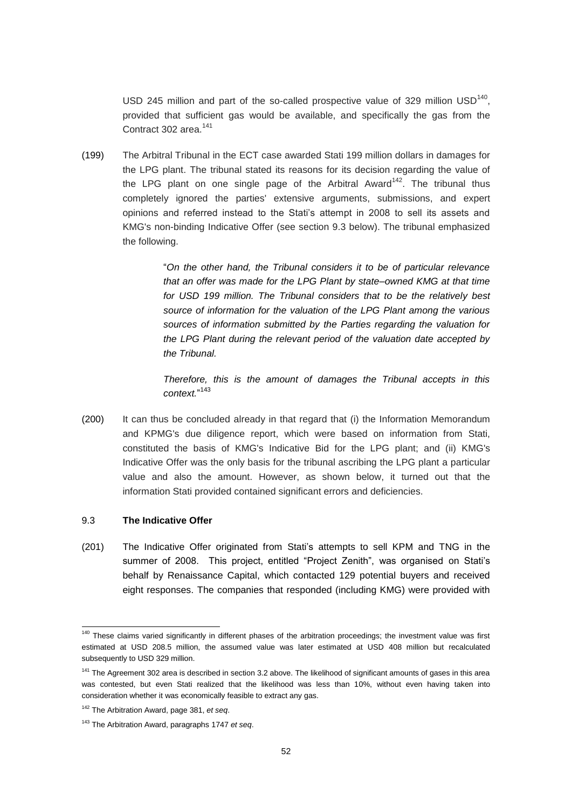USD 245 million and part of the so-called prospective value of 329 million  $\text{USD}^{140}$ , provided that sufficient gas would be available, and specifically the gas from the Contract 302 area.<sup>141</sup>

(199) The Arbitral Tribunal in the ECT case awarded Stati 199 million dollars in damages for the LPG plant. The tribunal stated its reasons for its decision regarding the value of the LPG plant on one single page of the Arbitral Award<sup>142</sup>. The tribunal thus completely ignored the parties' extensive arguments, submissions, and expert opinions and referred instead to the Stati's attempt in 2008 to sell its assets and KMG's non-binding Indicative Offer (see section 9.3 below). The tribunal emphasized the following.

> "*On the other hand, the Tribunal considers it to be of particular relevance that an offer was made for the LPG Plant by state–owned KMG at that time for USD 199 million. The Tribunal considers that to be the relatively best source of information for the valuation of the LPG Plant among the various sources of information submitted by the Parties regarding the valuation for the LPG Plant during the relevant period of the valuation date accepted by the Tribunal.*

> *Therefore, this is the amount of damages the Tribunal accepts in this context.*" 143

(200) It can thus be concluded already in that regard that (i) the Information Memorandum and KPMG's due diligence report, which were based on information from Stati, constituted the basis of KMG's Indicative Bid for the LPG plant; and (ii) KMG's Indicative Offer was the only basis for the tribunal ascribing the LPG plant a particular value and also the amount. However, as shown below, it turned out that the information Stati provided contained significant errors and deficiencies.

### <span id="page-51-0"></span>9.3 **The Indicative Offer**

-

(201) The Indicative Offer originated from Stati's attempts to sell KPM and TNG in the summer of 2008. This project, entitled "Project Zenith", was organised on Stati's behalf by Renaissance Capital, which contacted 129 potential buyers and received eight responses. The companies that responded (including KMG) were provided with

<sup>&</sup>lt;sup>140</sup> These claims varied significantly in different phases of the arbitration proceedings; the investment value was first estimated at USD 208.5 million, the assumed value was later estimated at USD 408 million but recalculated subsequently to USD 329 million.

<sup>&</sup>lt;sup>141</sup> The Agreement 302 area is described in section 3.2 above. The likelihood of significant amounts of gases in this area was contested, but even Stati realized that the likelihood was less than 10%, without even having taken into consideration whether it was economically feasible to extract any gas.

<sup>142</sup> The Arbitration Award, page 381, *et seq*.

<sup>143</sup> The Arbitration Award, paragraphs 1747 *et seq*.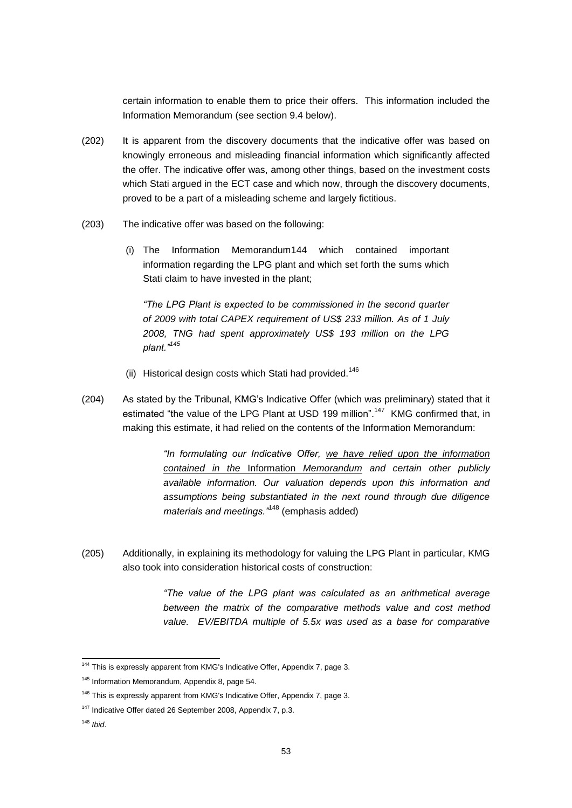certain information to enable them to price their offers. This information included the Information Memorandum (see section 9.4 below).

- (202) It is apparent from the discovery documents that the indicative offer was based on knowingly erroneous and misleading financial information which significantly affected the offer. The indicative offer was, among other things, based on the investment costs which Stati argued in the ECT case and which now, through the discovery documents, proved to be a part of a misleading scheme and largely fictitious.
- (203) The indicative offer was based on the following:
	- (i) The Information Memorandum144 which contained important information regarding the LPG plant and which set forth the sums which Stati claim to have invested in the plant;

*"The LPG Plant is expected to be commissioned in the second quarter of 2009 with total CAPEX requirement of US\$ 233 million. As of 1 July 2008, TNG had spent approximately US\$ 193 million on the LPG plant."<sup>145</sup>*

- (ii) Historical design costs which Stati had provided.<sup>146</sup>
- (204) As stated by the Tribunal, KMG's Indicative Offer (which was preliminary) stated that it estimated "the value of the LPG Plant at USD 199 million".<sup>147</sup> KMG confirmed that, in making this estimate, it had relied on the contents of the Information Memorandum:

*"In formulating our Indicative Offer, we have relied upon the information contained in the* Information *Memorandum and certain other publicly available information. Our valuation depends upon this information and assumptions being substantiated in the next round through due diligence materials and meetings."*<sup>148</sup> (emphasis added)

(205) Additionally, in explaining its methodology for valuing the LPG Plant in particular, KMG also took into consideration historical costs of construction:

> *"The value of the LPG plant was calculated as an arithmetical average between the matrix of the comparative methods value and cost method value. EV/EBITDA multiple of 5.5x was used as a base for comparative*

<sup>1</sup> <sup>144</sup> This is expressly apparent from KMG's Indicative Offer, Appendix 7, page 3.

<sup>&</sup>lt;sup>145</sup> Information Memorandum, Appendix 8, page 54.

<sup>&</sup>lt;sup>146</sup> This is expressly apparent from KMG's Indicative Offer, Appendix 7, page 3.

<sup>147</sup> Indicative Offer dated 26 September 2008, Appendix 7, p.3.

<sup>148</sup> *Ibid*.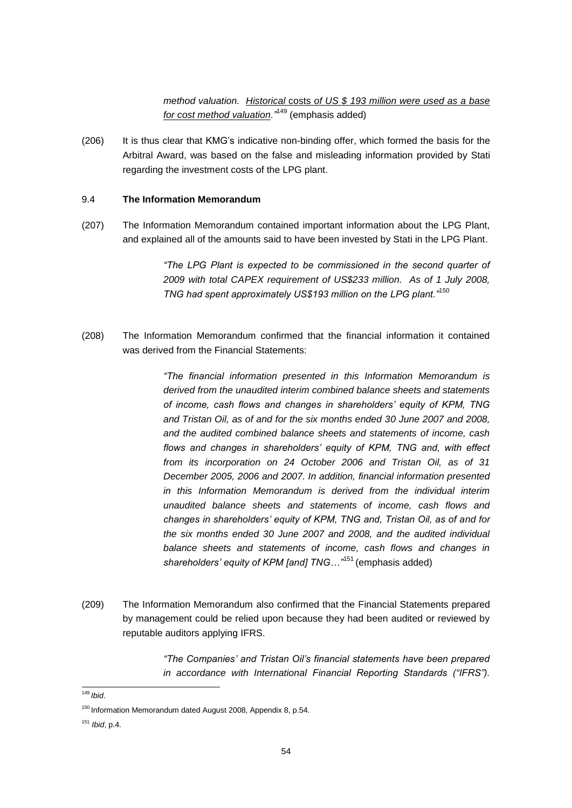*method valuation. Historical* costs *of US \$ 193 million were used as a base for cost method valuation."*<sup>149</sup> (emphasis added)

(206) It is thus clear that KMG's indicative non-binding offer, which formed the basis for the Arbitral Award, was based on the false and misleading information provided by Stati regarding the investment costs of the LPG plant.

### <span id="page-53-0"></span>9.4 **The Information Memorandum**

(207) The Information Memorandum contained important information about the LPG Plant, and explained all of the amounts said to have been invested by Stati in the LPG Plant.

> *"The LPG Plant is expected to be commissioned in the second quarter of 2009 with total CAPEX requirement of US\$233 million. As of 1 July 2008, TNG had spent approximately US\$193 million on the LPG plant."*<sup>150</sup>

(208) The Information Memorandum confirmed that the financial information it contained was derived from the Financial Statements:

> *"The financial information presented in this Information Memorandum is derived from the unaudited interim combined balance sheets and statements of income, cash flows and changes in shareholders' equity of KPM, TNG and Tristan Oil, as of and for the six months ended 30 June 2007 and 2008, and the audited combined balance sheets and statements of income, cash flows and changes in shareholders' equity of KPM, TNG and, with effect from its incorporation on 24 October 2006 and Tristan Oil, as of 31 December 2005, 2006 and 2007. In addition, financial information presented in this Information Memorandum is derived from the individual interim unaudited balance sheets and statements of income, cash flows and changes in shareholders' equity of KPM, TNG and, Tristan Oil, as of and for the six months ended 30 June 2007 and 2008, and the audited individual balance sheets and statements of income, cash flows and changes in shareholders' equity of KPM [and] TNG…"*<sup>151</sup> (emphasis added)

(209) The Information Memorandum also confirmed that the Financial Statements prepared by management could be relied upon because they had been audited or reviewed by reputable auditors applying IFRS.

> *"The Companies' and Tristan Oil's financial statements have been prepared in accordance with International Financial Reporting Standards ("IFRS").*

<sup>1</sup> <sup>149</sup> *Ibid*.

<sup>150</sup> Information Memorandum dated August 2008, Appendix 8, p.54.

<sup>151</sup> *Ibid*, p.4.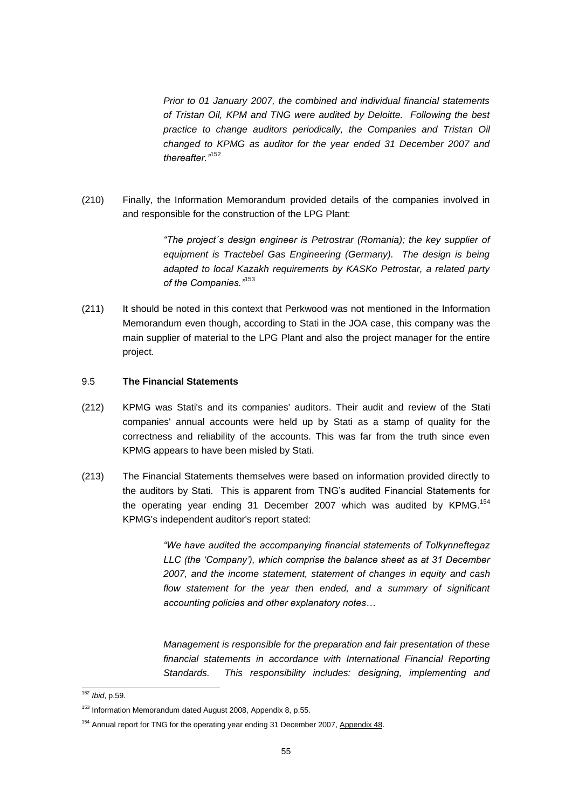*Prior to 01 January 2007, the combined and individual financial statements of Tristan Oil, KPM and TNG were audited by Deloitte. Following the best practice to change auditors periodically, the Companies and Tristan Oil changed to KPMG as auditor for the year ended 31 December 2007 and thereafter."*<sup>152</sup>

(210) Finally, the Information Memorandum provided details of the companies involved in and responsible for the construction of the LPG Plant:

> *"The project´s design engineer is Petrostrar (Romania); the key supplier of equipment is Tractebel Gas Engineering (Germany). The design is being adapted to local Kazakh requirements by KASKo Petrostar, a related party of the Companies."*<sup>153</sup>

(211) It should be noted in this context that Perkwood was not mentioned in the Information Memorandum even though, according to Stati in the JOA case, this company was the main supplier of material to the LPG Plant and also the project manager for the entire project.

### <span id="page-54-0"></span>9.5 **The Financial Statements**

- (212) KPMG was Stati's and its companies' auditors. Their audit and review of the Stati companies' annual accounts were held up by Stati as a stamp of quality for the correctness and reliability of the accounts. This was far from the truth since even KPMG appears to have been misled by Stati.
- (213) The Financial Statements themselves were based on information provided directly to the auditors by Stati. This is apparent from TNG's audited Financial Statements for the operating year ending 31 December 2007 which was audited by KPMG.<sup>154</sup> KPMG's independent auditor's report stated:

*"We have audited the accompanying financial statements of Tolkynneftegaz LLC (the 'Company'), which comprise the balance sheet as at 31 December 2007, and the income statement, statement of changes in equity and cash flow statement for the year then ended, and a summary of significant accounting policies and other explanatory notes…*

*Management is responsible for the preparation and fair presentation of these financial statements in accordance with International Financial Reporting Standards. This responsibility includes: designing, implementing and* 

<sup>1</sup> <sup>152</sup> *Ibid*, p.59.

<sup>&</sup>lt;sup>153</sup> Information Memorandum dated August 2008, Appendix 8, p.55.

<sup>&</sup>lt;sup>154</sup> Annual report for TNG for the operating year ending 31 December 2007, Appendix 48.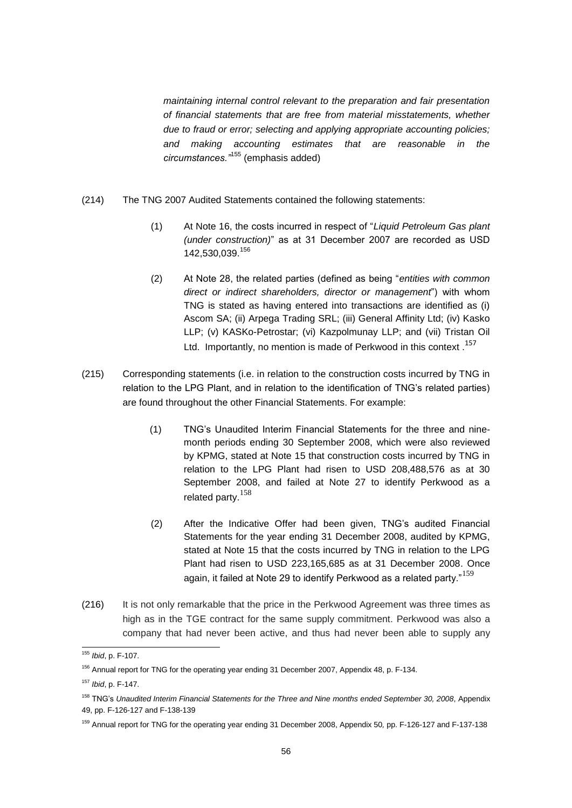*maintaining internal control relevant to the preparation and fair presentation of financial statements that are free from material misstatements, whether due to fraud or error; selecting and applying appropriate accounting policies; and making accounting estimates that are reasonable in the circumstances."*<sup>155</sup> (emphasis added)

- (214) The TNG 2007 Audited Statements contained the following statements:
	- (1) At Note 16, the costs incurred in respect of "*Liquid Petroleum Gas plant (under construction)*" as at 31 December 2007 are recorded as USD 142,530,039.<sup>156</sup>
	- (2) At Note 28, the related parties (defined as being "*entities with common direct or indirect shareholders, director or management*") with whom TNG is stated as having entered into transactions are identified as (i) Ascom SA; (ii) Arpega Trading SRL; (iii) General Affinity Ltd; (iv) Kasko LLP; (v) KASKo-Petrostar; (vi) Kazpolmunay LLP; and (vii) Tristan Oil Ltd. Importantly, no mention is made of Perkwood in this context.<sup>157</sup>
- (215) Corresponding statements (i.e. in relation to the construction costs incurred by TNG in relation to the LPG Plant, and in relation to the identification of TNG's related parties) are found throughout the other Financial Statements. For example:
	- (1) TNG's Unaudited Interim Financial Statements for the three and ninemonth periods ending 30 September 2008, which were also reviewed by KPMG, stated at Note 15 that construction costs incurred by TNG in relation to the LPG Plant had risen to USD 208,488,576 as at 30 September 2008, and failed at Note 27 to identify Perkwood as a related party.<sup>158</sup>
	- (2) After the Indicative Offer had been given, TNG's audited Financial Statements for the year ending 31 December 2008, audited by KPMG, stated at Note 15 that the costs incurred by TNG in relation to the LPG Plant had risen to USD 223,165,685 as at 31 December 2008. Once again, it failed at Note 29 to identify Perkwood as a related party." $^{159}$
- (216) It is not only remarkable that the price in the Perkwood Agreement was three times as high as in the TGE contract for the same supply commitment. Perkwood was also a company that had never been active, and thus had never been able to supply any

1

<sup>155</sup> *Ibid*, p. F-107.

<sup>&</sup>lt;sup>156</sup> Annual report for TNG for the operating year ending 31 December 2007, Appendix 48, p. F-134.

<sup>157</sup> *Ibid*, p. F-147.

<sup>158</sup> TNG's *Unaudited Interim Financial Statements for the Three and Nine months ended September 30, 2008*, Appendix 49, pp. F-126-127 and F-138-139

<sup>159</sup> Annual report for TNG for the operating year ending 31 December 2008, Appendix 50*,* pp. F-126-127 and F-137-138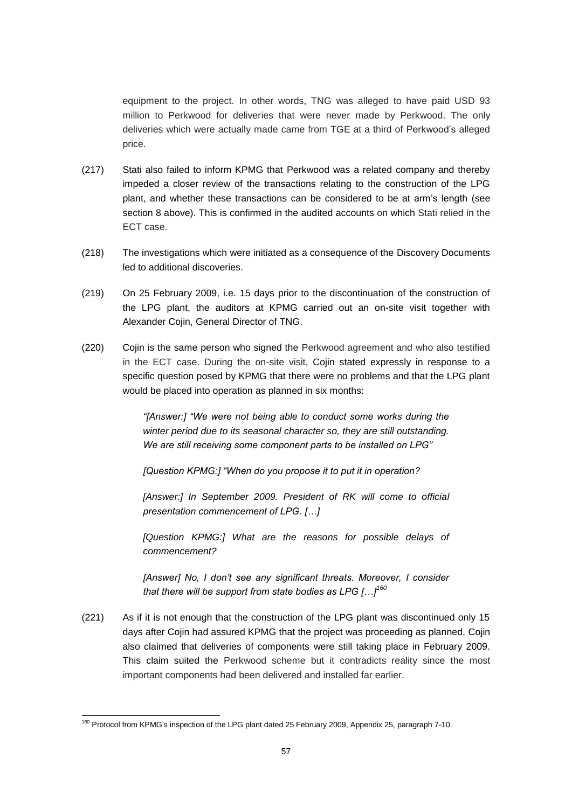equipment to the project. In other words, TNG was alleged to have paid USD 93 million to Perkwood for deliveries that were never made by Perkwood. The only deliveries which were actually made came from TGE at a third of Perkwood's alleged price.

- (217) Stati also failed to inform KPMG that Perkwood was a related company and thereby impeded a closer review of the transactions relating to the construction of the LPG plant, and whether these transactions can be considered to be at arm's length (see section 8 above). This is confirmed in the audited accounts on which Stati relied in the ECT case.
- (218) The investigations which were initiated as a consequence of the Discovery Documents led to additional discoveries.
- (219) On 25 February 2009, i.e. 15 days prior to the discontinuation of the construction of the LPG plant, the auditors at KPMG carried out an on-site visit together with Alexander Cojin, General Director of TNG.
- (220) Cojin is the same person who signed the Perkwood agreement and who also testified in the ECT case. During the on-site visit, Cojin stated expressly in response to a specific question posed by KPMG that there were no problems and that the LPG plant would be placed into operation as planned in six months:

*"[Answer:] "We were not being able to conduct some works during the winter period due to its seasonal character so, they are still outstanding. We are still receiving some component parts to be installed on LPG"*

*[Question KPMG:] "When do you propose it to put it in operation?*

[Answer:] In September 2009. President of RK will come to official *presentation commencement of LPG. […]*

*[Question KPMG:] What are the reasons for possible delays of commencement?*

*[Answer] No, I don't see any significant threats. Moreover, I consider that there will be support from state bodies as LPG […]<sup>160</sup>*

(221) As if it is not enough that the construction of the LPG plant was discontinued only 15 days after Cojin had assured KPMG that the project was proceeding as planned, Cojin also claimed that deliveries of components were still taking place in February 2009. This claim suited the Perkwood scheme but it contradicts reality since the most important components had been delivered and installed far earlier.

<sup>-</sup><sup>160</sup> Protocol from KPMG's inspection of the LPG plant dated 25 February 2009, Appendix 25, paragraph 7-10.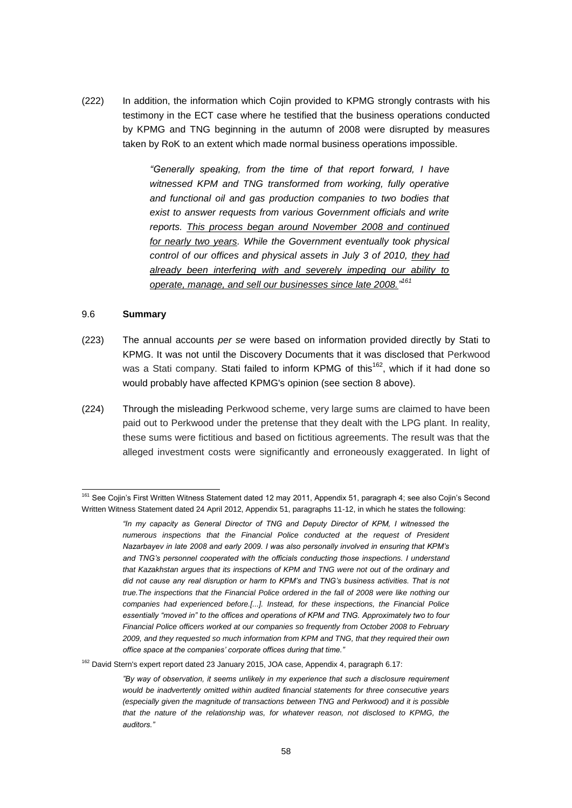(222) In addition, the information which Cojin provided to KPMG strongly contrasts with his testimony in the ECT case where he testified that the business operations conducted by KPMG and TNG beginning in the autumn of 2008 were disrupted by measures taken by RoK to an extent which made normal business operations impossible.

> *"Generally speaking, from the time of that report forward, I have witnessed KPM and TNG transformed from working, fully operative and functional oil and gas production companies to two bodies that exist to answer requests from various Government officials and write reports. This process began around November 2008 and continued for nearly two years. While the Government eventually took physical control of our offices and physical assets in July 3 of 2010, they had already been interfering with and severely impeding our ability to operate, manage, and sell our businesses since late 2008." 161*

#### 9.6 **Summary**

-

- (223) The annual accounts *per se* were based on information provided directly by Stati to KPMG. It was not until the Discovery Documents that it was disclosed that Perkwood was a Stati company. Stati failed to inform KPMG of this<sup>162</sup>, which if it had done so would probably have affected KPMG's opinion (see section 8 above).
- (224) Through the misleading Perkwood scheme, very large sums are claimed to have been paid out to Perkwood under the pretense that they dealt with the LPG plant. In reality, these sums were fictitious and based on fictitious agreements. The result was that the alleged investment costs were significantly and erroneously exaggerated. In light of

<sup>&</sup>lt;sup>161</sup> See Cojin's First Written Witness Statement dated 12 may 2011, Appendix 51, paragraph 4; see also Cojin's Second Written Witness Statement dated 24 April 2012, Appendix 51, paragraphs 11-12, in which he states the following:

*<sup>&</sup>quot;In my capacity as General Director of TNG and Deputy Director of KPM, I witnessed the numerous inspections that the Financial Police conducted at the request of President Nazarbayev in late 2008 and early 2009. I was also personally involved in ensuring that KPM's and TNG's personnel cooperated with the officials conducting those inspections. I understand that Kazakhstan argues that its inspections of KPM and TNG were not out of the ordinary and did not cause any real disruption or harm to KPM's and TNG's business activities. That is not true.The inspections that the Financial Police ordered in the fall of 2008 were like nothing our companies had experienced before.[...]. Instead, for these inspections, the Financial Police essentially "moved in" to the offices and operations of KPM and TNG. Approximately two to four Financial Police officers worked at our companies so frequently from October 2008 to February 2009, and they requested so much information from KPM and TNG, that they required their own office space at the companies' corporate offices during that time."*

<sup>&</sup>lt;sup>162</sup> David Stern's expert report dated 23 January 2015, JOA case, Appendix 4, paragraph 6.17:

*<sup>&</sup>quot;By way of observation, it seems unlikely in my experience that such a disclosure requirement would be inadvertently omitted within audited financial statements for three consecutive years (especially given the magnitude of transactions between TNG and Perkwood) and it is possible that the nature of the relationship was, for whatever reason, not disclosed to KPMG, the auditors."*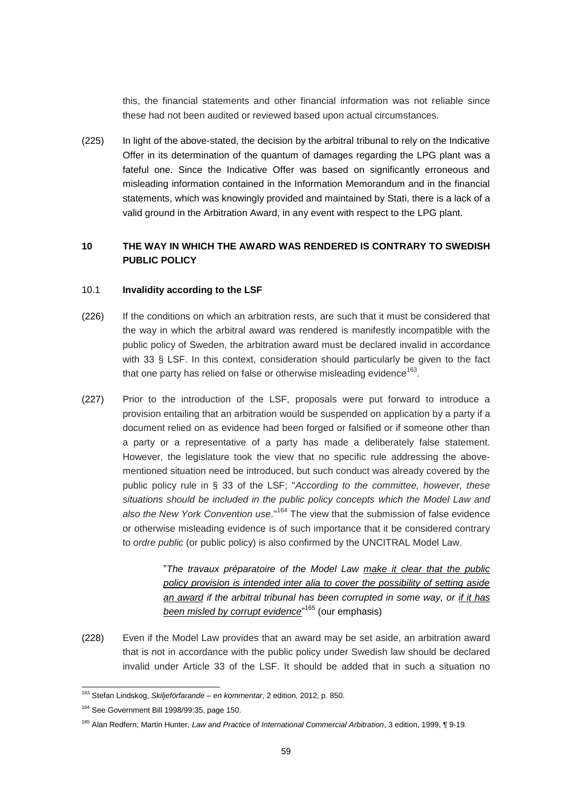this, the financial statements and other financial information was not reliable since these had not been audited or reviewed based upon actual circumstances.

(225) In light of the above-stated, the decision by the arbitral tribunal to rely on the Indicative Offer in its determination of the quantum of damages regarding the LPG plant was a fateful one. Since the Indicative Offer was based on significantly erroneous and misleading information contained in the Information Memorandum and in the financial statements, which was knowingly provided and maintained by Stati, there is a lack of a valid ground in the Arbitration Award, in any event with respect to the LPG plant.

# <span id="page-58-0"></span>**10 THE WAY IN WHICH THE AWARD WAS RENDERED IS CONTRARY TO SWEDISH PUBLIC POLICY**

#### 10.1 **Invalidity according to the LSF**

- (226) If the conditions on which an arbitration rests, are such that it must be considered that the way in which the arbitral award was rendered is manifestly incompatible with the public policy of Sweden, the arbitration award must be declared invalid in accordance with 33 § LSF. In this context, consideration should particularly be given to the fact that one party has relied on false or otherwise misleading evidence $^{163}$ .
- (227) Prior to the introduction of the LSF, proposals were put forward to introduce a provision entailing that an arbitration would be suspended on application by a party if a document relied on as evidence had been forged or falsified or if someone other than a party or a representative of a party has made a deliberately false statement. However, the legislature took the view that no specific rule addressing the abovementioned situation need be introduced, but such conduct was already covered by the public policy rule in § 33 of the LSF; "*According to the committee, however, these situations should be included in the public policy concepts which the Model Law and also the New York Convention use*."<sup>164</sup> The view that the submission of false evidence or otherwise misleading evidence is of such importance that it be considered contrary to *ordre public* (or public policy) is also confirmed by the UNCITRAL Model Law.

"*The travaux préparatoire of the Model Law make it clear that the public policy provision is intended inter alia to cover the possibility of setting aside an award if the arbitral tribunal has been corrupted in some way, or if it has been misled by corrupt evidence*" <sup>165</sup> (our emphasis)

(228) Even if the Model Law provides that an award may be set aside, an arbitration award that is not in accordance with the public policy under Swedish law should be declared invalid under Article 33 of the LSF. It should be added that in such a situation no

1

<sup>163</sup> Stefan Lindskog, *Skiljeförfarande – en kommentar*, 2 edition, 2012, p. 850.

<sup>164</sup> See Government Bill 1998/99:35, page 150.

<sup>165</sup> Alan Redfern; Martin Hunter, *Law and Practice of International Commercial Arbitration*, 3 edition, 1999, ¶ 9-19.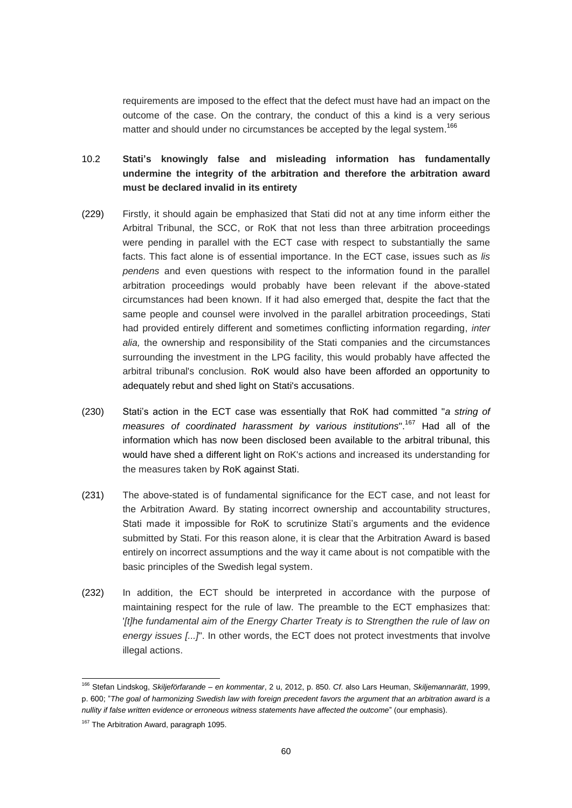requirements are imposed to the effect that the defect must have had an impact on the outcome of the case. On the contrary, the conduct of this a kind is a very serious matter and should under no circumstances be accepted by the legal system.<sup>166</sup>

# <span id="page-59-0"></span>10.2 **Stati's knowingly false and misleading information has fundamentally undermine the integrity of the arbitration and therefore the arbitration award must be declared invalid in its entirety**

- (229) Firstly, it should again be emphasized that Stati did not at any time inform either the Arbitral Tribunal, the SCC, or RoK that not less than three arbitration proceedings were pending in parallel with the ECT case with respect to substantially the same facts. This fact alone is of essential importance. In the ECT case, issues such as *lis pendens* and even questions with respect to the information found in the parallel arbitration proceedings would probably have been relevant if the above-stated circumstances had been known. If it had also emerged that, despite the fact that the same people and counsel were involved in the parallel arbitration proceedings, Stati had provided entirely different and sometimes conflicting information regarding, *inter alia,* the ownership and responsibility of the Stati companies and the circumstances surrounding the investment in the LPG facility, this would probably have affected the arbitral tribunal's conclusion. RoK would also have been afforded an opportunity to adequately rebut and shed light on Stati's accusations.
- (230) Stati's action in the ECT case was essentially that RoK had committed "*a string of measures of coordinated harassment by various institutions*".<sup>167</sup> Had all of the information which has now been disclosed been available to the arbitral tribunal, this would have shed a different light on RoK's actions and increased its understanding for the measures taken by RoK against Stati.
- (231) The above-stated is of fundamental significance for the ECT case, and not least for the Arbitration Award. By stating incorrect ownership and accountability structures, Stati made it impossible for RoK to scrutinize Stati's arguments and the evidence submitted by Stati. For this reason alone, it is clear that the Arbitration Award is based entirely on incorrect assumptions and the way it came about is not compatible with the basic principles of the Swedish legal system.
- (232) In addition, the ECT should be interpreted in accordance with the purpose of maintaining respect for the rule of law. The preamble to the ECT emphasizes that: *'[t]he fundamental aim of the Energy Charter Treaty is to Strengthen the rule of law on energy issues [...]*". In other words, the ECT does not protect investments that involve illegal actions.

1

<sup>166</sup> Stefan Lindskog, *Skiljeförfarande – en kommentar*, 2 u, 2012, p. 850. *Cf*. also Lars Heuman, *Skiljemannarätt*, 1999, p. 600; "*The goal of harmonizing Swedish law with foreign precedent favors the argument that an arbitration award is a nullity if false written evidence or erroneous witness statements have affected the outcome*" (our emphasis).

<sup>&</sup>lt;sup>167</sup> The Arbitration Award, paragraph 1095.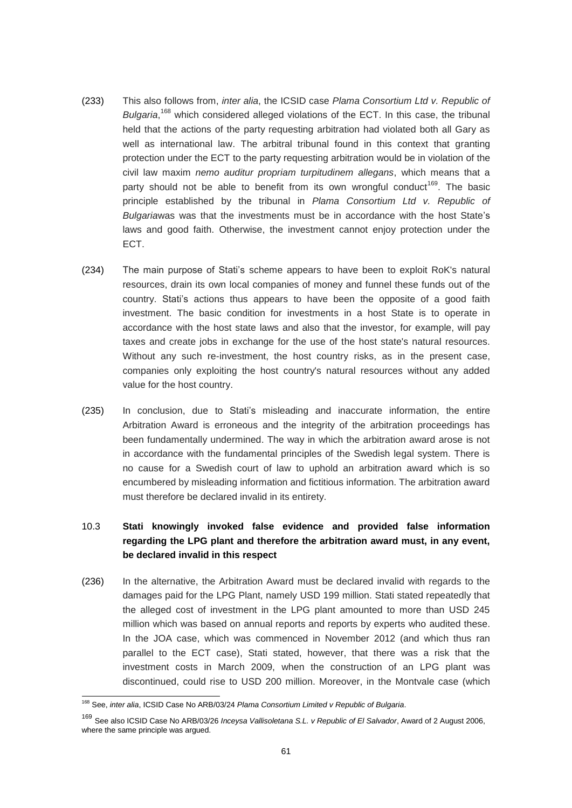- (233) This also follows from, *inter alia*, the ICSID case *Plama Consortium Ltd v. Republic of*  Bulgaria,<sup>168</sup> which considered alleged violations of the ECT. In this case, the tribunal held that the actions of the party requesting arbitration had violated both all Gary as well as international law. The arbitral tribunal found in this context that granting protection under the ECT to the party requesting arbitration would be in violation of the civil law maxim *nemo auditur propriam turpitudinem allegans*, which means that a party should not be able to benefit from its own wrongful conduct<sup>169</sup>. The basic principle established by the tribunal in *Plama Consortium Ltd v. Republic of Bulgaria*was was that the investments must be in accordance with the host State's laws and good faith. Otherwise, the investment cannot enjoy protection under the ECT.
- (234) The main purpose of Stati's scheme appears to have been to exploit RoK's natural resources, drain its own local companies of money and funnel these funds out of the country. Stati's actions thus appears to have been the opposite of a good faith investment. The basic condition for investments in a host State is to operate in accordance with the host state laws and also that the investor, for example, will pay taxes and create jobs in exchange for the use of the host state's natural resources. Without any such re-investment, the host country risks, as in the present case, companies only exploiting the host country's natural resources without any added value for the host country.
- (235) In conclusion, due to Stati's misleading and inaccurate information, the entire Arbitration Award is erroneous and the integrity of the arbitration proceedings has been fundamentally undermined. The way in which the arbitration award arose is not in accordance with the fundamental principles of the Swedish legal system. There is no cause for a Swedish court of law to uphold an arbitration award which is so encumbered by misleading information and fictitious information. The arbitration award must therefore be declared invalid in its entirety.

# <span id="page-60-0"></span>10.3 **Stati knowingly invoked false evidence and provided false information regarding the LPG plant and therefore the arbitration award must, in any event, be declared invalid in this respect**

(236) In the alternative, the Arbitration Award must be declared invalid with regards to the damages paid for the LPG Plant, namely USD 199 million. Stati stated repeatedly that the alleged cost of investment in the LPG plant amounted to more than USD 245 million which was based on annual reports and reports by experts who audited these. In the JOA case, which was commenced in November 2012 (and which thus ran parallel to the ECT case), Stati stated, however, that there was a risk that the investment costs in March 2009, when the construction of an LPG plant was discontinued, could rise to USD 200 million. Moreover, in the Montvale case (which

-

<sup>168</sup> See, *inter alia*, ICSID Case No ARB/03/24 *Plama Consortium Limited v Republic of Bulgaria*.

<sup>169</sup> See also ICSID Case No ARB/03/26 *Inceysa Vallisoletana S.L. v Republic of El Salvador*, Award of 2 August 2006, where the same principle was argued.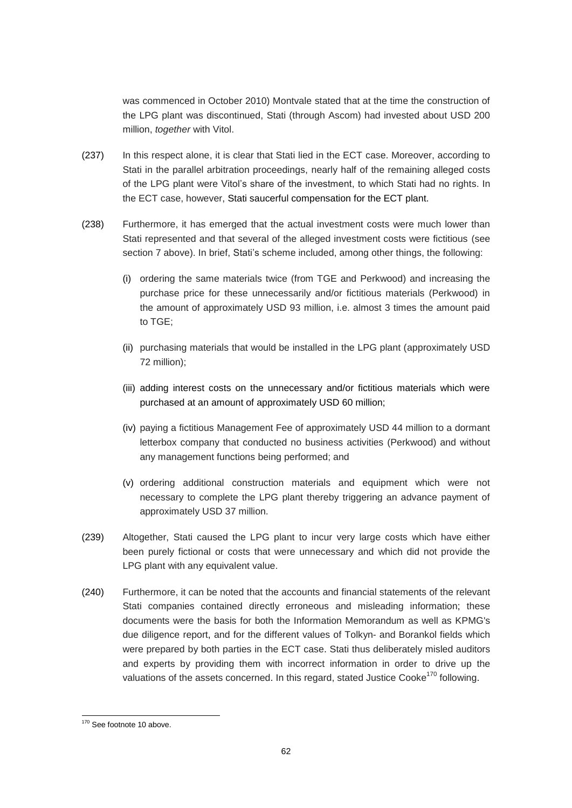was commenced in October 2010) Montvale stated that at the time the construction of the LPG plant was discontinued, Stati (through Ascom) had invested about USD 200 million, *together* with Vitol.

- (237) In this respect alone, it is clear that Stati lied in the ECT case. Moreover, according to Stati in the parallel arbitration proceedings, nearly half of the remaining alleged costs of the LPG plant were Vitol's share of the investment, to which Stati had no rights. In the ECT case, however, Stati saucerful compensation for the ECT plant.
- (238) Furthermore, it has emerged that the actual investment costs were much lower than Stati represented and that several of the alleged investment costs were fictitious (see section 7 above). In brief, Stati's scheme included, among other things, the following:
	- (i) ordering the same materials twice (from TGE and Perkwood) and increasing the purchase price for these unnecessarily and/or fictitious materials (Perkwood) in the amount of approximately USD 93 million, i.e. almost 3 times the amount paid to TGE;
	- (ii) purchasing materials that would be installed in the LPG plant (approximately USD 72 million);
	- (iii) adding interest costs on the unnecessary and/or fictitious materials which were purchased at an amount of approximately USD 60 million;
	- (iv) paying a fictitious Management Fee of approximately USD 44 million to a dormant letterbox company that conducted no business activities (Perkwood) and without any management functions being performed; and
	- (v) ordering additional construction materials and equipment which were not necessary to complete the LPG plant thereby triggering an advance payment of approximately USD 37 million.
- (239) Altogether, Stati caused the LPG plant to incur very large costs which have either been purely fictional or costs that were unnecessary and which did not provide the LPG plant with any equivalent value.
- (240) Furthermore, it can be noted that the accounts and financial statements of the relevant Stati companies contained directly erroneous and misleading information; these documents were the basis for both the Information Memorandum as well as KPMG's due diligence report, and for the different values of Tolkyn- and Borankol fields which were prepared by both parties in the ECT case. Stati thus deliberately misled auditors and experts by providing them with incorrect information in order to drive up the valuations of the assets concerned. In this regard, stated Justice Cooke<sup>170</sup> following.

<sup>-</sup><sup>170</sup> See footnote 10 above.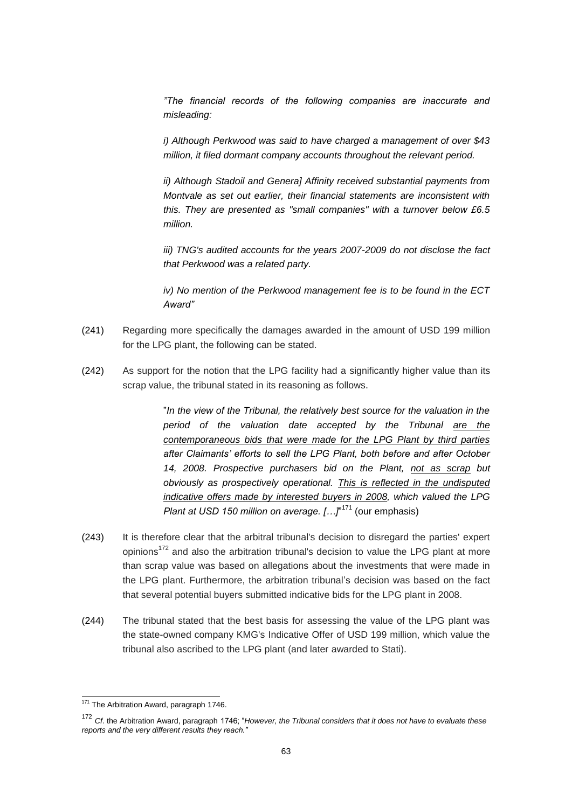*"The financial records of the following companies are inaccurate and misleading:*

*i) Although Perkwood was said to have charged a management of over \$43 million, it filed dormant company accounts throughout the relevant period.*

*ii) Although Stadoil and Genera] Affinity received substantial payments from Montvale as set out earlier, their financial statements are inconsistent with this. They are presented as "small companies" with a turnover below £6.5 million.*

*iii) TNG's audited accounts for the years 2007-2009 do not disclose the fact that Perkwood was a related party.*

*iv) No mention of the Perkwood management fee is to be found in the ECT Award"*

- (241) Regarding more specifically the damages awarded in the amount of USD 199 million for the LPG plant, the following can be stated.
- (242) As support for the notion that the LPG facility had a significantly higher value than its scrap value, the tribunal stated in its reasoning as follows.

"*In the view of the Tribunal, the relatively best source for the valuation in the period of the valuation date accepted by the Tribunal are the contemporaneous bids that were made for the LPG Plant by third parties after Claimants' efforts to sell the LPG Plant, both before and after October 14, 2008. Prospective purchasers bid on the Plant, not as scrap but obviously as prospectively operational. This is reflected in the undisputed indicative offers made by interested buyers in 2008, which valued the LPG*  Plant at USD 150 million on average. [...]<sup>"171</sup> (our emphasis)

- (243) It is therefore clear that the arbitral tribunal's decision to disregard the parties' expert opinions $172$  and also the arbitration tribunal's decision to value the LPG plant at more than scrap value was based on allegations about the investments that were made in the LPG plant. Furthermore, the arbitration tribunal's decision was based on the fact that several potential buyers submitted indicative bids for the LPG plant in 2008.
- (244) The tribunal stated that the best basis for assessing the value of the LPG plant was the state-owned company KMG's Indicative Offer of USD 199 million, which value the tribunal also ascribed to the LPG plant (and later awarded to Stati).

<sup>-</sup><sup>171</sup> The Arbitration Award, paragraph 1746.

<sup>172</sup> *Cf*. the Arbitration Award, paragraph 1746; "*However, the Tribunal considers that it does not have to evaluate these reports and the very different results they reach."*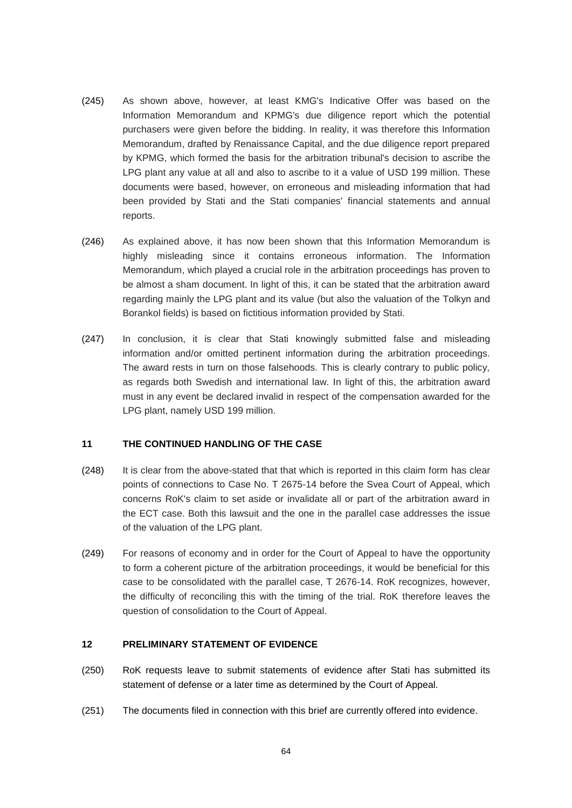- (245) As shown above, however, at least KMG's Indicative Offer was based on the Information Memorandum and KPMG's due diligence report which the potential purchasers were given before the bidding. In reality, it was therefore this Information Memorandum, drafted by Renaissance Capital, and the due diligence report prepared by KPMG, which formed the basis for the arbitration tribunal's decision to ascribe the LPG plant any value at all and also to ascribe to it a value of USD 199 million. These documents were based, however, on erroneous and misleading information that had been provided by Stati and the Stati companies' financial statements and annual reports.
- (246) As explained above, it has now been shown that this Information Memorandum is highly misleading since it contains erroneous information. The Information Memorandum, which played a crucial role in the arbitration proceedings has proven to be almost a sham document. In light of this, it can be stated that the arbitration award regarding mainly the LPG plant and its value (but also the valuation of the Tolkyn and Borankol fields) is based on fictitious information provided by Stati.
- (247) In conclusion, it is clear that Stati knowingly submitted false and misleading information and/or omitted pertinent information during the arbitration proceedings. The award rests in turn on those falsehoods. This is clearly contrary to public policy, as regards both Swedish and international law. In light of this, the arbitration award must in any event be declared invalid in respect of the compensation awarded for the LPG plant, namely USD 199 million.

### <span id="page-63-0"></span>**11 THE CONTINUED HANDLING OF THE CASE**

- (248) It is clear from the above-stated that that which is reported in this claim form has clear points of connections to Case No. T 2675-14 before the Svea Court of Appeal, which concerns RoK's claim to set aside or invalidate all or part of the arbitration award in the ECT case. Both this lawsuit and the one in the parallel case addresses the issue of the valuation of the LPG plant.
- (249) For reasons of economy and in order for the Court of Appeal to have the opportunity to form a coherent picture of the arbitration proceedings, it would be beneficial for this case to be consolidated with the parallel case, T 2676-14. RoK recognizes, however, the difficulty of reconciling this with the timing of the trial. RoK therefore leaves the question of consolidation to the Court of Appeal.

### <span id="page-63-1"></span>**12 PRELIMINARY STATEMENT OF EVIDENCE**

- (250) RoK requests leave to submit statements of evidence after Stati has submitted its statement of defense or a later time as determined by the Court of Appeal.
- (251) The documents filed in connection with this brief are currently offered into evidence.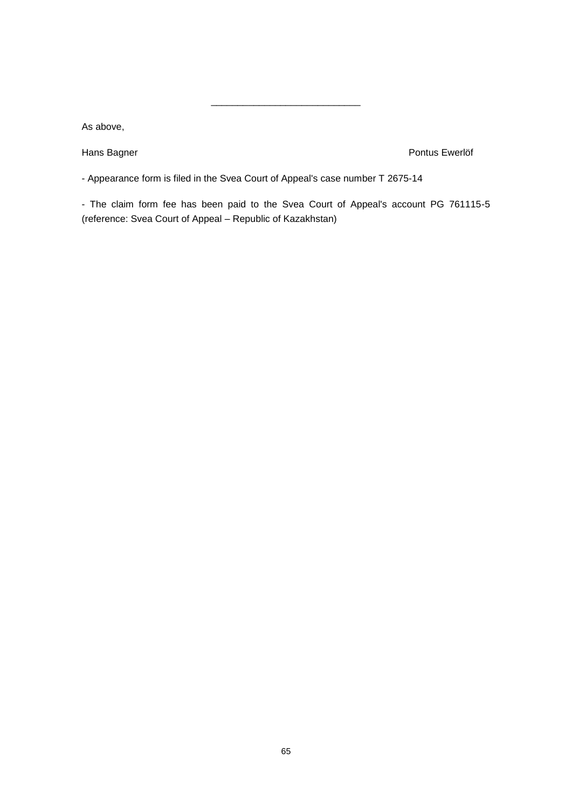As above,

Hans Bagner **Pontus Ewerlöf** 

- Appearance form is filed in the Svea Court of Appeal's case number T 2675-14

- The claim form fee has been paid to the Svea Court of Appeal's account PG 761115-5 (reference: Svea Court of Appeal – Republic of Kazakhstan)

\_\_\_\_\_\_\_\_\_\_\_\_\_\_\_\_\_\_\_\_\_\_\_\_\_\_\_\_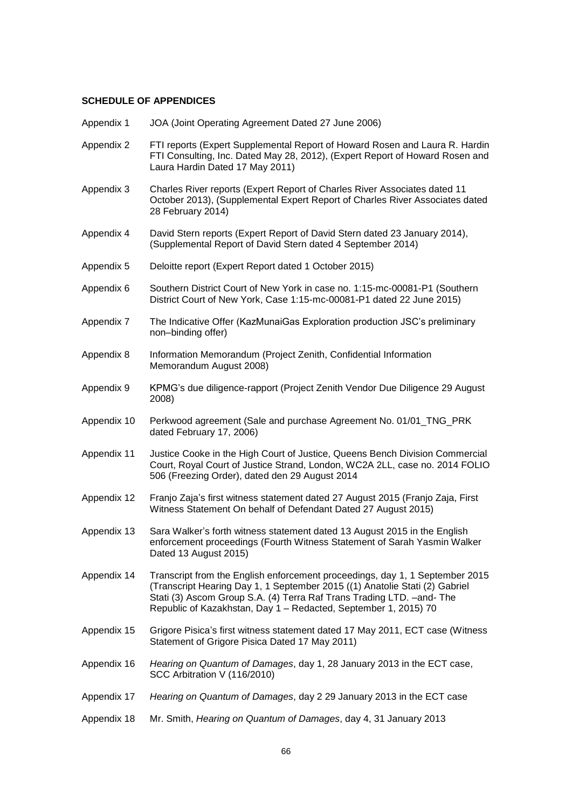# **SCHEDULE OF APPENDICES**

| Appendix 1  | JOA (Joint Operating Agreement Dated 27 June 2006)                                                                                                                                                                                                                                                        |
|-------------|-----------------------------------------------------------------------------------------------------------------------------------------------------------------------------------------------------------------------------------------------------------------------------------------------------------|
| Appendix 2  | FTI reports (Expert Supplemental Report of Howard Rosen and Laura R. Hardin<br>FTI Consulting, Inc. Dated May 28, 2012), (Expert Report of Howard Rosen and<br>Laura Hardin Dated 17 May 2011)                                                                                                            |
| Appendix 3  | Charles River reports (Expert Report of Charles River Associates dated 11<br>October 2013), (Supplemental Expert Report of Charles River Associates dated<br>28 February 2014)                                                                                                                            |
| Appendix 4  | David Stern reports (Expert Report of David Stern dated 23 January 2014),<br>(Supplemental Report of David Stern dated 4 September 2014)                                                                                                                                                                  |
| Appendix 5  | Deloitte report (Expert Report dated 1 October 2015)                                                                                                                                                                                                                                                      |
| Appendix 6  | Southern District Court of New York in case no. 1:15-mc-00081-P1 (Southern<br>District Court of New York, Case 1:15-mc-00081-P1 dated 22 June 2015)                                                                                                                                                       |
| Appendix 7  | The Indicative Offer (KazMunaiGas Exploration production JSC's preliminary<br>non-binding offer)                                                                                                                                                                                                          |
| Appendix 8  | Information Memorandum (Project Zenith, Confidential Information<br>Memorandum August 2008)                                                                                                                                                                                                               |
| Appendix 9  | KPMG's due diligence-rapport (Project Zenith Vendor Due Diligence 29 August<br>2008)                                                                                                                                                                                                                      |
| Appendix 10 | Perkwood agreement (Sale and purchase Agreement No. 01/01_TNG_PRK<br>dated February 17, 2006)                                                                                                                                                                                                             |
| Appendix 11 | Justice Cooke in the High Court of Justice, Queens Bench Division Commercial<br>Court, Royal Court of Justice Strand, London, WC2A 2LL, case no. 2014 FOLIO<br>506 (Freezing Order), dated den 29 August 2014                                                                                             |
| Appendix 12 | Franjo Zaja's first witness statement dated 27 August 2015 (Franjo Zaja, First<br>Witness Statement On behalf of Defendant Dated 27 August 2015)                                                                                                                                                          |
| Appendix 13 | Sara Walker's forth witness statement dated 13 August 2015 in the English<br>enforcement proceedings (Fourth Witness Statement of Sarah Yasmin Walker<br>Dated 13 August 2015)                                                                                                                            |
| Appendix 14 | Transcript from the English enforcement proceedings, day 1, 1 September 2015<br>(Transcript Hearing Day 1, 1 September 2015 ((1) Anatolie Stati (2) Gabriel<br>Stati (3) Ascom Group S.A. (4) Terra Raf Trans Trading LTD. - and - The<br>Republic of Kazakhstan, Day 1 - Redacted, September 1, 2015) 70 |
| Appendix 15 | Grigore Pisica's first witness statement dated 17 May 2011, ECT case (Witness<br>Statement of Grigore Pisica Dated 17 May 2011)                                                                                                                                                                           |
| Appendix 16 | Hearing on Quantum of Damages, day 1, 28 January 2013 in the ECT case,<br>SCC Arbitration V (116/2010)                                                                                                                                                                                                    |
| Appendix 17 | Hearing on Quantum of Damages, day 2 29 January 2013 in the ECT case                                                                                                                                                                                                                                      |
| Appendix 18 | Mr. Smith, Hearing on Quantum of Damages, day 4, 31 January 2013                                                                                                                                                                                                                                          |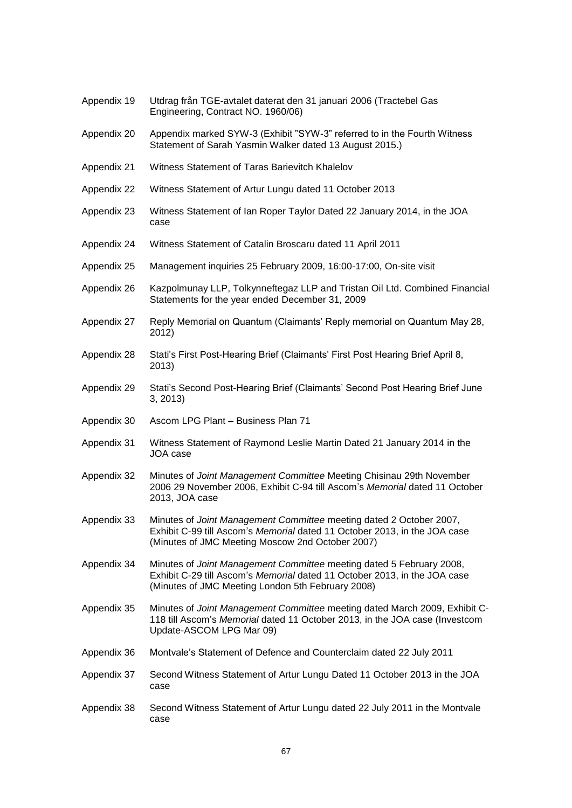| Appendix 19 | Utdrag från TGE-avtalet daterat den 31 januari 2006 (Tractebel Gas<br>Engineering, Contract NO. 1960/06)                                                                                               |
|-------------|--------------------------------------------------------------------------------------------------------------------------------------------------------------------------------------------------------|
| Appendix 20 | Appendix marked SYW-3 (Exhibit "SYW-3" referred to in the Fourth Witness<br>Statement of Sarah Yasmin Walker dated 13 August 2015.)                                                                    |
| Appendix 21 | Witness Statement of Taras Barievitch Khalelov                                                                                                                                                         |
| Appendix 22 | Witness Statement of Artur Lungu dated 11 October 2013                                                                                                                                                 |
| Appendix 23 | Witness Statement of Ian Roper Taylor Dated 22 January 2014, in the JOA<br>case                                                                                                                        |
| Appendix 24 | Witness Statement of Catalin Broscaru dated 11 April 2011                                                                                                                                              |
| Appendix 25 | Management inquiries 25 February 2009, 16:00-17:00, On-site visit                                                                                                                                      |
| Appendix 26 | Kazpolmunay LLP, Tolkynneftegaz LLP and Tristan Oil Ltd. Combined Financial<br>Statements for the year ended December 31, 2009                                                                         |
| Appendix 27 | Reply Memorial on Quantum (Claimants' Reply memorial on Quantum May 28,<br>2012)                                                                                                                       |
| Appendix 28 | Stati's First Post-Hearing Brief (Claimants' First Post Hearing Brief April 8,<br>2013)                                                                                                                |
| Appendix 29 | Stati's Second Post-Hearing Brief (Claimants' Second Post Hearing Brief June<br>3, 2013                                                                                                                |
| Appendix 30 | Ascom LPG Plant - Business Plan 71                                                                                                                                                                     |
| Appendix 31 | Witness Statement of Raymond Leslie Martin Dated 21 January 2014 in the<br>JOA case                                                                                                                    |
| Appendix 32 | Minutes of Joint Management Committee Meeting Chisinau 29th November<br>2006 29 November 2006, Exhibit C-94 till Ascom's Memorial dated 11 October<br>2013, JOA case                                   |
| Appendix 33 | Minutes of Joint Management Committee meeting dated 2 October 2007,<br>Exhibit C-99 till Ascom's Memorial dated 11 October 2013, in the JOA case<br>(Minutes of JMC Meeting Moscow 2nd October 2007)   |
| Appendix 34 | Minutes of Joint Management Committee meeting dated 5 February 2008,<br>Exhibit C-29 till Ascom's Memorial dated 11 October 2013, in the JOA case<br>(Minutes of JMC Meeting London 5th February 2008) |
| Appendix 35 | Minutes of Joint Management Committee meeting dated March 2009, Exhibit C-<br>118 till Ascom's Memorial dated 11 October 2013, in the JOA case (Investcom<br>Update-ASCOM LPG Mar 09)                  |
| Appendix 36 | Montvale's Statement of Defence and Counterclaim dated 22 July 2011                                                                                                                                    |
| Appendix 37 | Second Witness Statement of Artur Lungu Dated 11 October 2013 in the JOA<br>case                                                                                                                       |
| Appendix 38 | Second Witness Statement of Artur Lungu dated 22 July 2011 in the Montvale<br>case                                                                                                                     |